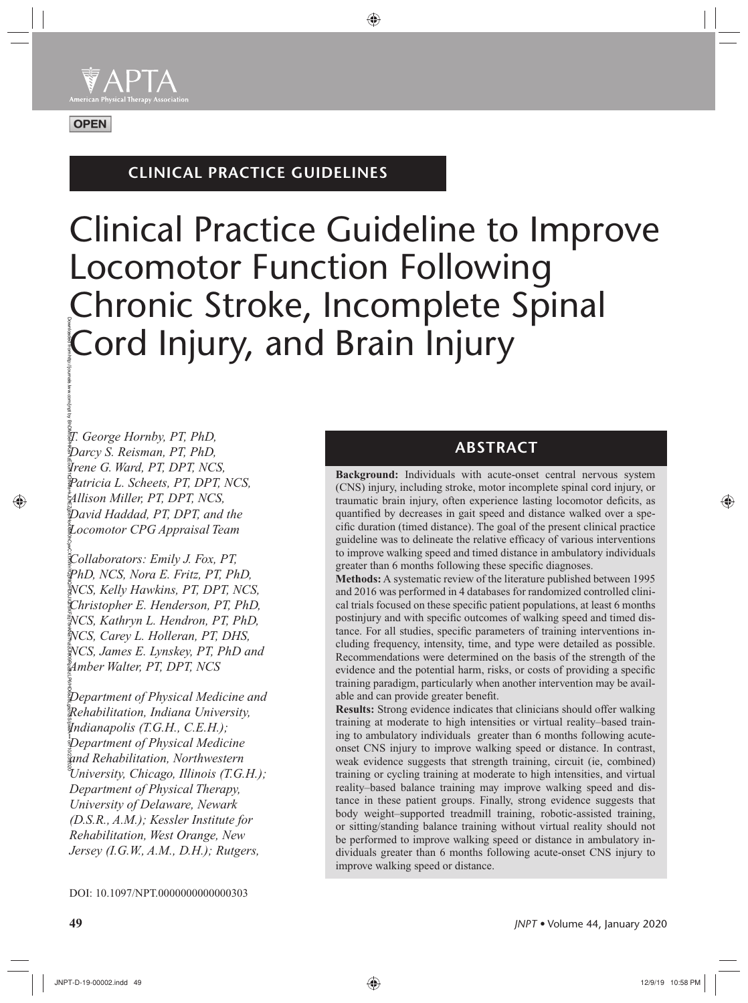

# **OPEN**

হ

# **CLINICAL PRACTICE GUIDELINES**

Downloaded from http://journals.lww.com/jnpt Clinical Practice Guideline to Improve Locomotor Function Following Chronic Stroke, Incomplete Spinal Cord Injury, and Brain Injury

*T. George Hornby, PT, PhD, Darcy S. Reisman, PT, PhD, Irene G. Ward, PT, DPT, NCS, Patricia L. Scheets, PT, DPT, NCS,*   $\frac{2}{3}$ *Allison Miller, PT, DPT, NCS. David Haddad, PT, DPT, and the Locomotor CPG Appraisal Team*

BhDMf5ePHKav1zEoum1tQfN4a+kJUHEZgbsfHo4XMi0hCywCX1AWnYQp/IlQrHD3JIQl/9XFzqTonKNaThzizUle0BAzzdziS/HD6aJ6LgsznZiS/pxwA== *Collaborators: Emily J. Fox, PT, PhD, NCS, Nora E. Fritz, PT, PhD, NCS, Kelly Hawkins, PT, DPT, NCS, Christopher E. Henderson, PT, PhD, NCS, Kathryn L. Hendron, PT, PhD, NCS, Carey L. Holleran, PT, DHS, NCS, James E. Lynskey, PT, PhD and Amber Walter, PT, DPT, NCS* 

on *Department of Physical Medicine*  10/23/2020 *Department of Physical Medicine and Rehabilitation, Indiana University, Indianapolis (T.G.H., C.E.H.); and Rehabilitation, Northwestern University, Chicago, Illinois (T.G.H.); Department of Physical Therapy, University of Delaware, Newark (D.S.R., A.M.); Kessler Institute for Rehabilitation, West Orange, New Jersey (I.G.W., A.M., D.H.); Rutgers,* 

DOI: 10.1097/NPT.0000000000000303

# **ABSTRACT**

**Background:** Individuals with acute-onset central nervous system (CNS) injury, including stroke, motor incomplete spinal cord injury, or traumatic brain injury, often experience lasting locomotor deficits, as quantified by decreases in gait speed and distance walked over a specific duration (timed distance). The goal of the present clinical practice guideline was to delineate the relative efficacy of various interventions to improve walking speed and timed distance in ambulatory individuals greater than 6 months following these specific diagnoses.

**Methods:** A systematic review of the literature published between 1995 and 2016 was performed in 4 databases for randomized controlled clinical trials focused on these specific patient populations, at least 6 months postinjury and with specific outcomes of walking speed and timed distance. For all studies, specific parameters of training interventions including frequency, intensity, time, and type were detailed as possible. Recommendations were determined on the basis of the strength of the evidence and the potential harm, risks, or costs of providing a specific training paradigm, particularly when another intervention may be available and can provide greater benefit.

**Results:** Strong evidence indicates that clinicians should offer walking training at moderate to high intensities or virtual reality–based training to ambulatory individuals greater than 6 months following acuteonset CNS injury to improve walking speed or distance. In contrast, weak evidence suggests that strength training, circuit (ie, combined) training or cycling training at moderate to high intensities, and virtual reality–based balance training may improve walking speed and distance in these patient groups. Finally, strong evidence suggests that body weight–supported treadmill training, robotic-assisted training, or sitting/standing balance training without virtual reality should not be performed to improve walking speed or distance in ambulatory individuals greater than 6 months following acute-onset CNS injury to improve walking speed or distance.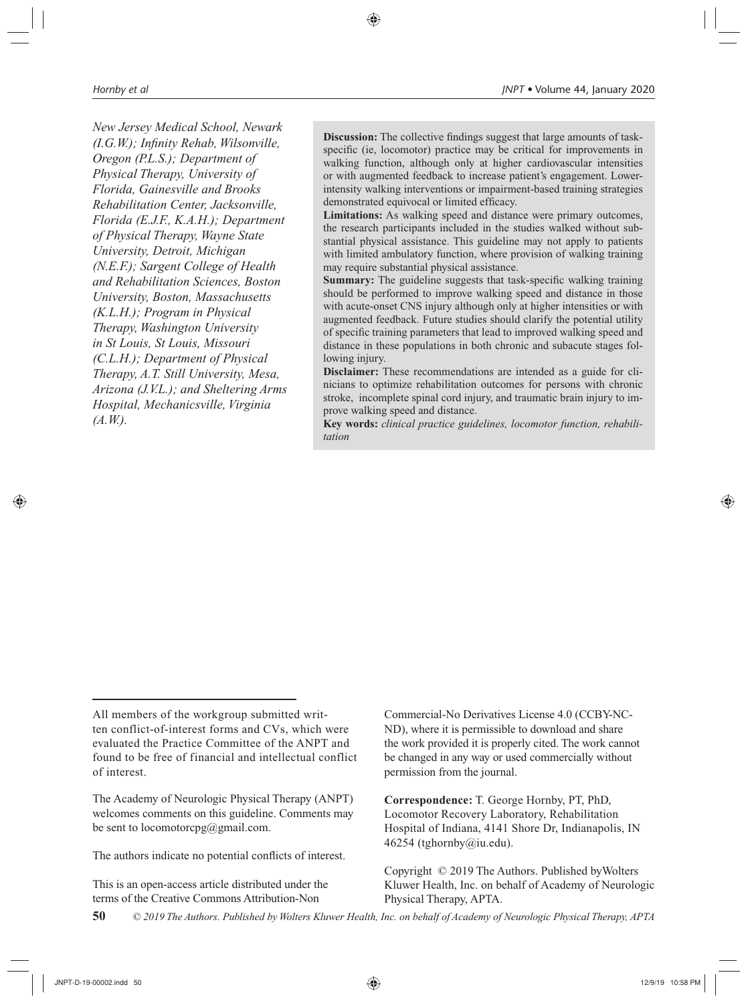*New Jersey Medical School, Newark (I.G.W.); Infinity Rehab, Wilsonville, Oregon (P.L.S.); Department of Physical Therapy, University of Florida, Gainesville and Brooks Rehabilitation Center, Jacksonville, Florida (E.J.F., K.A.H.); Department of Physical Therapy, Wayne State University, Detroit, Michigan (N.E.F.); Sargent College of Health and Rehabilitation Sciences, Boston University, Boston, Massachusetts (K.L.H.); Program in Physical Therapy, Washington University in St Louis, St Louis, Missouri (C.L.H.); Department of Physical Therapy, A.T. Still University, Mesa, Arizona (J.V.L.); and Sheltering Arms Hospital, Mechanicsville, Virginia (A.W.).*

**Discussion:** The collective findings suggest that large amounts of taskspecific (ie, locomotor) practice may be critical for improvements in walking function, although only at higher cardiovascular intensities or with augmented feedback to increase patient's engagement. Lowerintensity walking interventions or impairment-based training strategies demonstrated equivocal or limited efficacy.

**Limitations:** As walking speed and distance were primary outcomes, the research participants included in the studies walked without substantial physical assistance. This guideline may not apply to patients with limited ambulatory function, where provision of walking training may require substantial physical assistance.

**Summary:** The guideline suggests that task-specific walking training should be performed to improve walking speed and distance in those with acute-onset CNS injury although only at higher intensities or with augmented feedback. Future studies should clarify the potential utility of specific training parameters that lead to improved walking speed and distance in these populations in both chronic and subacute stages following injury.

**Disclaimer:** These recommendations are intended as a guide for clinicians to optimize rehabilitation outcomes for persons with chronic stroke, incomplete spinal cord injury, and traumatic brain injury to improve walking speed and distance.

**Key words:** *clinical practice guidelines, locomotor function, rehabilitation*

The Academy of Neurologic Physical Therapy (ANPT) welcomes comments on this guideline. Comments may be sent to locomotorcpg@gmail.com.

The authors indicate no potential conflicts of interest.

Commercial-No Derivatives License 4.0 (CCBY-NC-ND), where it is permissible to download and share the work provided it is properly cited. The work cannot be changed in any way or used commercially without permission from the journal.

**Correspondence:** T. George Hornby, PT, PhD, Locomotor Recovery Laboratory, Rehabilitation Hospital of Indiana, 4141 Shore Dr, Indianapolis, IN 46254 (tghornby@iu.edu).

Copyright © 2019 The Authors. Published byWolters Kluwer Health, Inc. on behalf of Academy of Neurologic Physical Therapy, APTA.

All members of the workgroup submitted written conflict-of-interest forms and CVs, which were evaluated the Practice Committee of the ANPT and found to be free of financial and intellectual conflict of interest.

This is an open-access article distributed under the terms of the Creative Commons Attribution-Non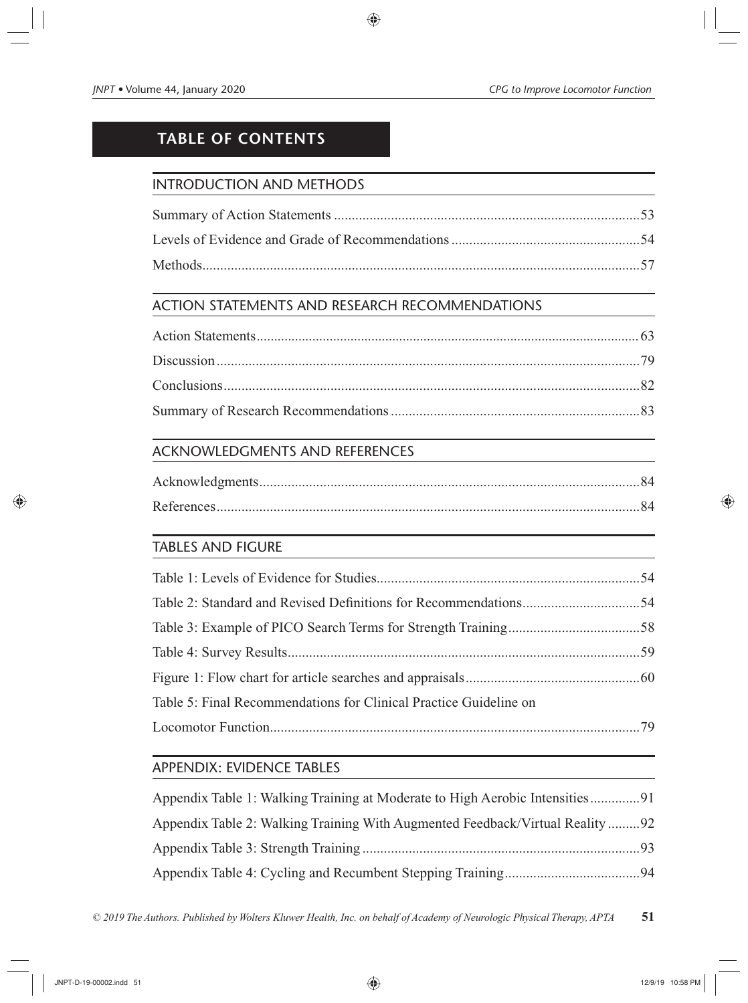# **TABLE OF CONTENTS**

# INTRODUCTION AND METHODS

# ACTION STATEMENTS AND RESEARCH RECOMMENDATIONS

# ACKNOWLEDGMENTS AND REFERENCES

# TABLES AND FIGURE

| Table 5: Final Recommendations for Clinical Practice Guideline on |  |
|-------------------------------------------------------------------|--|
|                                                                   |  |

# APPENDIX: EVIDENCE TABLES

| Appendix Table 1: Walking Training at Moderate to High Aerobic Intensities91 |  |
|------------------------------------------------------------------------------|--|
| Appendix Table 2: Walking Training With Augmented Feedback/Virtual Reality92 |  |
|                                                                              |  |
|                                                                              |  |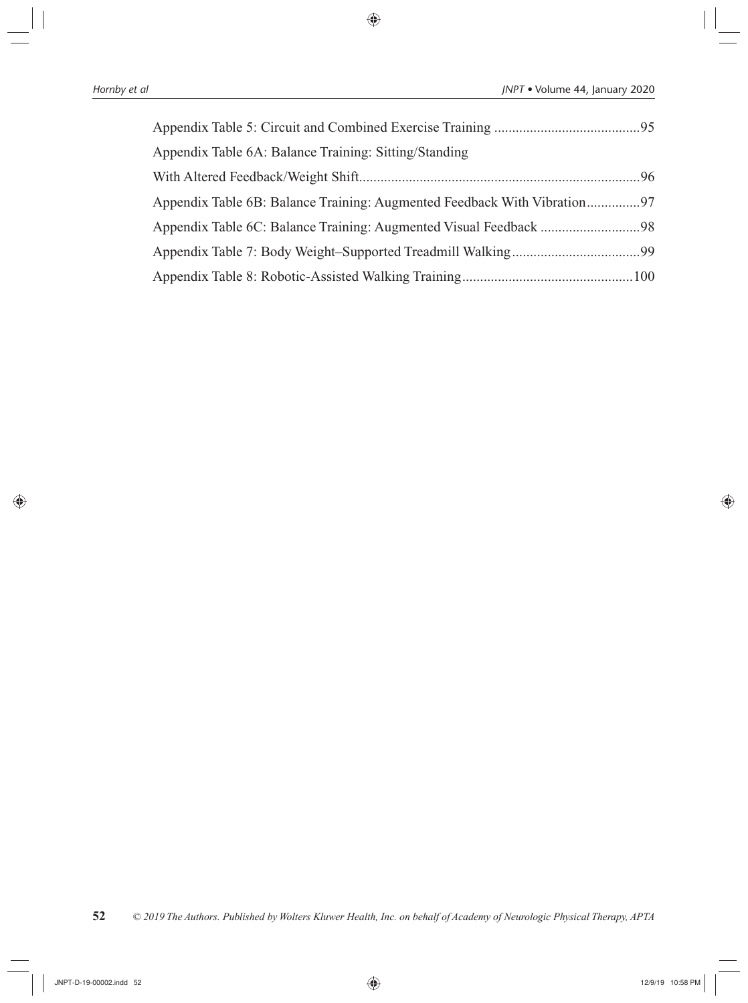| Appendix Table 6A: Balance Training: Sitting/Standing |  |
|-------------------------------------------------------|--|
|                                                       |  |
|                                                       |  |
|                                                       |  |
|                                                       |  |
|                                                       |  |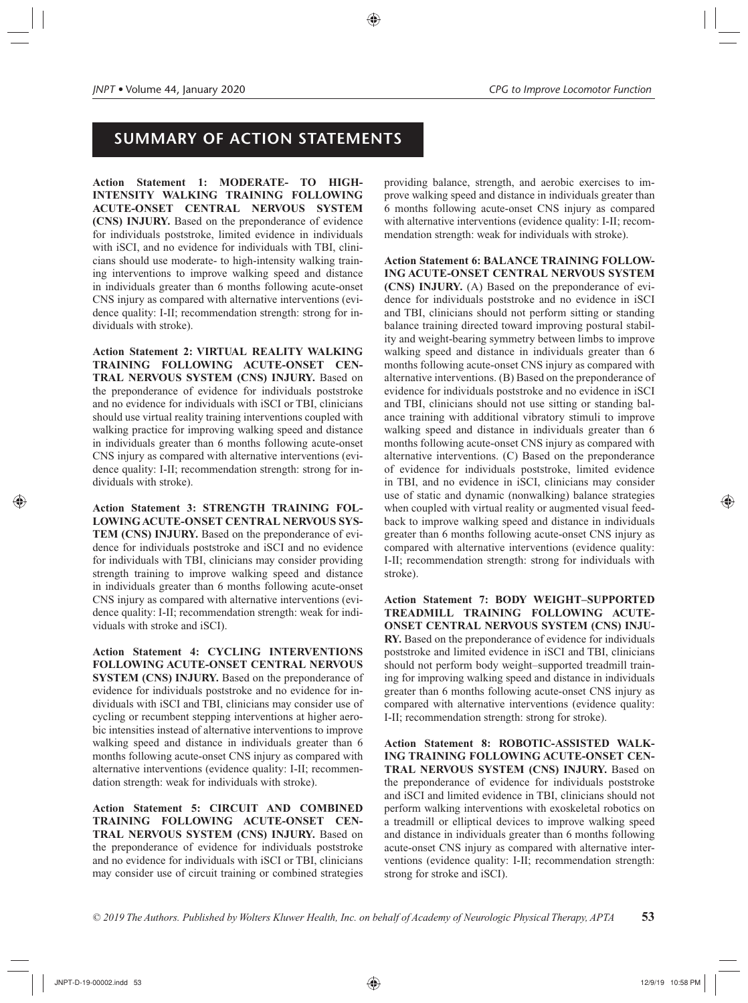# **SUMMARY OF ACTION STATEMENTS**

**Action Statement 1: MODERATE- TO HIGH-INTENSITY WALKING TRAINING FOLLOWING ACUTE-ONSET CENTRAL NERVOUS SYSTEM (CNS) INJURY.** Based on the preponderance of evidence for individuals poststroke, limited evidence in individuals with iSCI, and no evidence for individuals with TBI, clinicians should use moderate- to high-intensity walking training interventions to improve walking speed and distance in individuals greater than 6 months following acute-onset CNS injury as compared with alternative interventions (evidence quality: I-II; recommendation strength: strong for individuals with stroke).

**Action Statement 2: VIRTUAL REALITY WALKING TRAINING FOLLOWING ACUTE-ONSET CEN-TRAL NERVOUS SYSTEM (CNS) INJURY.** Based on the preponderance of evidence for individuals poststroke and no evidence for individuals with iSCI or TBI, clinicians should use virtual reality training interventions coupled with walking practice for improving walking speed and distance in individuals greater than 6 months following acute-onset CNS injury as compared with alternative interventions (evidence quality: I-II; recommendation strength: strong for individuals with stroke).

**Action Statement 3: STRENGTH TRAINING FOL-LOWING ACUTE-ONSET CENTRAL NERVOUS SYS-TEM (CNS) INJURY.** Based on the preponderance of evidence for individuals poststroke and iSCI and no evidence for individuals with TBI, clinicians may consider providing strength training to improve walking speed and distance in individuals greater than 6 months following acute-onset CNS injury as compared with alternative interventions (evidence quality: I-II; recommendation strength: weak for individuals with stroke and iSCI).

**Action Statement 4: CYCLING INTERVENTIONS FOLLOWING ACUTE-ONSET CENTRAL NERVOUS SYSTEM (CNS) INJURY.** Based on the preponderance of evidence for individuals poststroke and no evidence for individuals with iSCI and TBI, clinicians may consider use of cycling or recumbent stepping interventions at higher aerobic intensities instead of alternative interventions to improve walking speed and distance in individuals greater than 6 months following acute-onset CNS injury as compared with alternative interventions (evidence quality: I-II; recommendation strength: weak for individuals with stroke).

**Action Statement 5: CIRCUIT AND COMBINED TRAINING FOLLOWING ACUTE-ONSET CEN-TRAL NERVOUS SYSTEM (CNS) INJURY.** Based on the preponderance of evidence for individuals poststroke and no evidence for individuals with iSCI or TBI, clinicians may consider use of circuit training or combined strategies providing balance, strength, and aerobic exercises to improve walking speed and distance in individuals greater than 6 months following acute-onset CNS injury as compared with alternative interventions (evidence quality: I-II; recommendation strength: weak for individuals with stroke).

**Action Statement 6: BALANCE TRAINING FOLLOW-ING ACUTE-ONSET CENTRAL NERVOUS SYSTEM (CNS) INJURY.** (A) Based on the preponderance of evidence for individuals poststroke and no evidence in iSCI and TBI, clinicians should not perform sitting or standing balance training directed toward improving postural stability and weight-bearing symmetry between limbs to improve walking speed and distance in individuals greater than 6 months following acute-onset CNS injury as compared with alternative interventions. (B) Based on the preponderance of evidence for individuals poststroke and no evidence in iSCI and TBI, clinicians should not use sitting or standing balance training with additional vibratory stimuli to improve walking speed and distance in individuals greater than 6 months following acute-onset CNS injury as compared with alternative interventions. (C) Based on the preponderance of evidence for individuals poststroke, limited evidence in TBI, and no evidence in iSCI, clinicians may consider use of static and dynamic (nonwalking) balance strategies when coupled with virtual reality or augmented visual feedback to improve walking speed and distance in individuals greater than 6 months following acute-onset CNS injury as compared with alternative interventions (evidence quality: I-II; recommendation strength: strong for individuals with stroke).

**Action Statement 7: BODY WEIGHT–SUPPORTED TREADMILL TRAINING FOLLOWING ACUTE-ONSET CENTRAL NERVOUS SYSTEM (CNS) INJU-RY.** Based on the preponderance of evidence for individuals poststroke and limited evidence in iSCI and TBI, clinicians should not perform body weight–supported treadmill training for improving walking speed and distance in individuals greater than 6 months following acute-onset CNS injury as compared with alternative interventions (evidence quality: I-II; recommendation strength: strong for stroke).

**Action Statement 8: ROBOTIC-ASSISTED WALK-ING TRAINING FOLLOWING ACUTE-ONSET CEN-TRAL NERVOUS SYSTEM (CNS) INJURY.** Based on the preponderance of evidence for individuals poststroke and iSCI and limited evidence in TBI, clinicians should not perform walking interventions with exoskeletal robotics on a treadmill or elliptical devices to improve walking speed and distance in individuals greater than 6 months following acute-onset CNS injury as compared with alternative interventions (evidence quality: I-II; recommendation strength: strong for stroke and iSCI).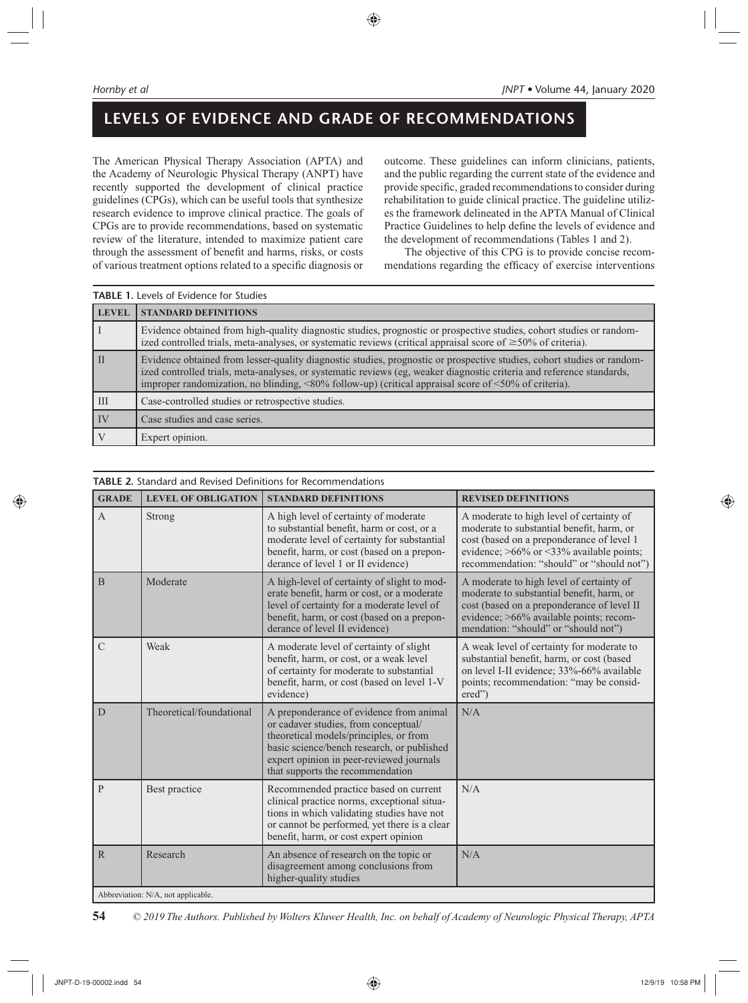# **LEVELS OF EVIDENCE AND GRADE OF RECOMMENDATIONS**

The American Physical Therapy Association (APTA) and the Academy of Neurologic Physical Therapy (ANPT) have recently supported the development of clinical practice guidelines (CPGs), which can be useful tools that synthesize research evidence to improve clinical practice. The goals of CPGs are to provide recommendations, based on systematic review of the literature, intended to maximize patient care through the assessment of benefit and harms, risks, or costs of various treatment options related to a specific diagnosis or

outcome. These guidelines can inform clinicians, patients, and the public regarding the current state of the evidence and provide specific, graded recommendations to consider during rehabilitation to guide clinical practice. The guideline utilizes the framework delineated in the APTA Manual of Clinical Practice Guidelines to help define the levels of evidence and the development of recommendations (Tables 1 and 2).

 The objective of this CPG is to provide concise recommendations regarding the efficacy of exercise interventions

|              | <b>TABLE 1.</b> Levels of Evidence for Studies                                                                                                                                                                                                                                                                                                                              |
|--------------|-----------------------------------------------------------------------------------------------------------------------------------------------------------------------------------------------------------------------------------------------------------------------------------------------------------------------------------------------------------------------------|
| <b>LEVEL</b> | <b>STANDARD DEFINITIONS</b>                                                                                                                                                                                                                                                                                                                                                 |
|              | Evidence obtained from high-quality diagnostic studies, prognostic or prospective studies, cohort studies or random-<br>ized controlled trials, meta-analyses, or systematic reviews (critical appraisal score of $\geq$ 50% of criteria).                                                                                                                                  |
|              | Evidence obtained from lesser-quality diagnostic studies, prognostic or prospective studies, cohort studies or random-<br>ized controlled trials, meta-analyses, or systematic reviews (eg, weaker diagnostic criteria and reference standards,<br>improper randomization, no blinding, $\langle 80\%$ follow-up) (critical appraisal score of $\langle 50\%$ of criteria). |
| III          | Case-controlled studies or retrospective studies.                                                                                                                                                                                                                                                                                                                           |
| IV           | Case studies and case series.                                                                                                                                                                                                                                                                                                                                               |
|              | Expert opinion.                                                                                                                                                                                                                                                                                                                                                             |

| <b>GRADE</b>   | <b>LEVEL OF OBLIGATION</b> | <b>STANDARD DEFINITIONS</b>                                                                                                                                                                                                                             | <b>REVISED DEFINITIONS</b>                                                                                                                                                                                                     |
|----------------|----------------------------|---------------------------------------------------------------------------------------------------------------------------------------------------------------------------------------------------------------------------------------------------------|--------------------------------------------------------------------------------------------------------------------------------------------------------------------------------------------------------------------------------|
| $\mathbf{A}$   | Strong                     | A high level of certainty of moderate<br>to substantial benefit, harm or cost, or a<br>moderate level of certainty for substantial<br>benefit, harm, or cost (based on a prepon-<br>derance of level 1 or II evidence)                                  | A moderate to high level of certainty of<br>moderate to substantial benefit, harm, or<br>cost (based on a preponderance of level 1<br>evidence; $>66\%$ or <33% available points;<br>recommendation: "should" or "should not") |
| $\overline{B}$ | Moderate                   | A high-level of certainty of slight to mod-<br>erate benefit, harm or cost, or a moderate<br>level of certainty for a moderate level of<br>benefit, harm, or cost (based on a prepon-<br>derance of level II evidence)                                  | A moderate to high level of certainty of<br>moderate to substantial benefit, harm, or<br>cost (based on a preponderance of level II<br>evidence; >66% available points; recom-<br>mendation: "should" or "should not")         |
| $\mathcal{C}$  | Weak                       | A moderate level of certainty of slight<br>benefit, harm, or cost, or a weak level<br>of certainty for moderate to substantial<br>benefit, harm, or cost (based on level 1-V<br>evidence)                                                               | A weak level of certainty for moderate to<br>substantial benefit, harm, or cost (based)<br>on level I-II evidence; 33%-66% available<br>points; recommendation: "may be consid-<br>ered")                                      |
| D              | Theoretical/foundational   | A preponderance of evidence from animal<br>or cadaver studies, from conceptual/<br>theoretical models/principles, or from<br>basic science/bench research, or published<br>expert opinion in peer-reviewed journals<br>that supports the recommendation | N/A                                                                                                                                                                                                                            |
| $\mathbf{P}$   | Best practice              | Recommended practice based on current<br>clinical practice norms, exceptional situa-<br>tions in which validating studies have not<br>or cannot be performed, yet there is a clear<br>benefit, harm, or cost expert opinion                             | N/A                                                                                                                                                                                                                            |
| $\mathbb{R}$   | Research                   | An absence of research on the topic or<br>disagreement among conclusions from<br>higher-quality studies                                                                                                                                                 | N/A                                                                                                                                                                                                                            |

#### **TABLE 2.** Standard and Revised Definitions for Recommendations

**54** *© 2019 The Authors. Published by Wolters Kluwer Health, Inc. on behalf of Academy of Neurologic Physical Therapy, APTA*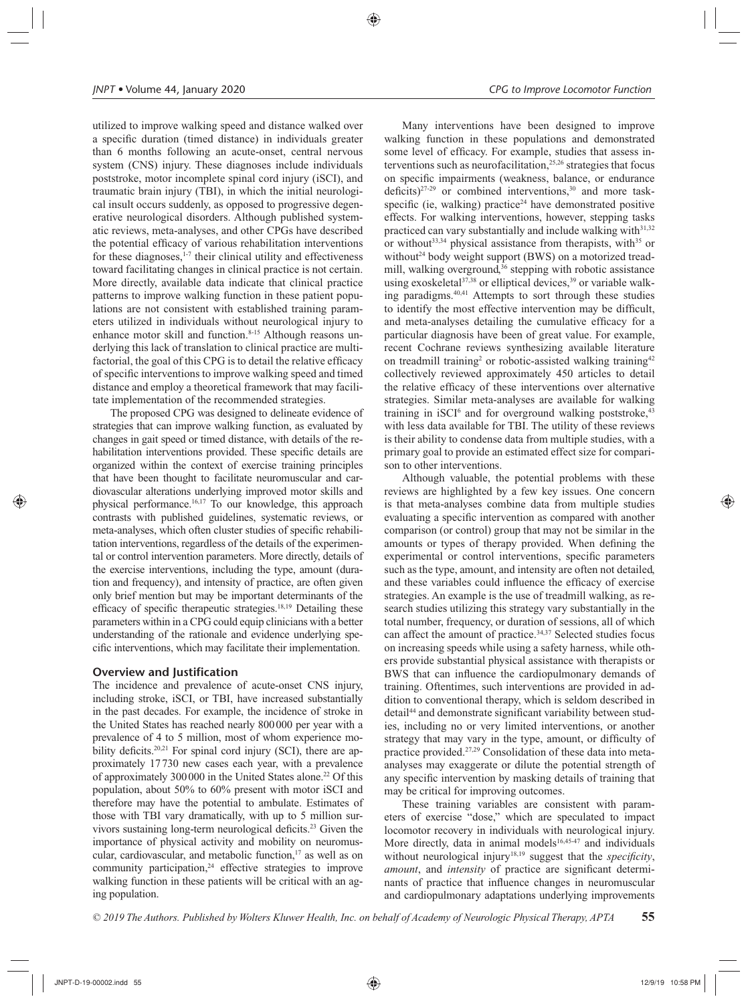utilized to improve walking speed and distance walked over a specific duration (timed distance) in individuals greater than 6 months following an acute-onset, central nervous system (CNS) injury. These diagnoses include individuals poststroke, motor incomplete spinal cord injury (iSCI), and traumatic brain injury (TBI), in which the initial neurological insult occurs suddenly, as opposed to progressive degenerative neurological disorders. Although published systematic reviews, meta-analyses, and other CPGs have described the potential efficacy of various rehabilitation interventions for these diagnoses,<sup>1-7</sup> their clinical utility and effectiveness toward facilitating changes in clinical practice is not certain. More directly, available data indicate that clinical practice patterns to improve walking function in these patient populations are not consistent with established training parameters utilized in individuals without neurological injury to enhance motor skill and function.<sup>8-15</sup> Although reasons underlying this lack of translation to clinical practice are multifactorial, the goal of this CPG is to detail the relative efficacy of specific interventions to improve walking speed and timed distance and employ a theoretical framework that may facilitate implementation of the recommended strategies.

The proposed CPG was designed to delineate evidence of strategies that can improve walking function, as evaluated by changes in gait speed or timed distance, with details of the rehabilitation interventions provided. These specific details are organized within the context of exercise training principles that have been thought to facilitate neuromuscular and cardiovascular alterations underlying improved motor skills and physical performance.16,17 To our knowledge, this approach contrasts with published guidelines, systematic reviews, or meta-analyses, which often cluster studies of specific rehabilitation interventions, regardless of the details of the experimental or control intervention parameters. More directly, details of the exercise interventions, including the type, amount (duration and frequency), and intensity of practice, are often given only brief mention but may be important determinants of the efficacy of specific therapeutic strategies.<sup>18,19</sup> Detailing these parameters within in a CPG could equip clinicians with a better understanding of the rationale and evidence underlying specific interventions, which may facilitate their implementation.

#### **Overview and Justification**

The incidence and prevalence of acute-onset CNS injury, including stroke, iSCI, or TBI, have increased substantially in the past decades. For example, the incidence of stroke in the United States has reached nearly 800000 per year with a prevalence of 4 to 5 million, most of whom experience mobility deficits.<sup>20,21</sup> For spinal cord injury (SCI), there are approximately 17730 new cases each year, with a prevalence of approximately 300000 in the United States alone.<sup>22</sup> Of this population, about 50% to 60% present with motor iSCI and therefore may have the potential to ambulate. Estimates of those with TBI vary dramatically, with up to 5 million survivors sustaining long-term neurological deficits.<sup>23</sup> Given the importance of physical activity and mobility on neuromuscular, cardiovascular, and metabolic function,<sup>17</sup> as well as on community participation,<sup>24</sup> effective strategies to improve walking function in these patients will be critical with an aging population.

Many interventions have been designed to improve walking function in these populations and demonstrated some level of efficacy. For example, studies that assess interventions such as neurofacilitation,<sup>25,26</sup> strategies that focus on specific impairments (weakness, balance, or endurance deficits) $27-29$  or combined interventions, $30$  and more taskspecific (ie, walking) practice<sup>24</sup> have demonstrated positive effects. For walking interventions, however, stepping tasks practiced can vary substantially and include walking with<sup>31,32</sup> or without<sup>33,34</sup> physical assistance from therapists, with<sup>35</sup> or without<sup>24</sup> body weight support (BWS) on a motorized treadmill, walking overground,<sup>36</sup> stepping with robotic assistance using exoskeletal<sup>37,38</sup> or elliptical devices,<sup>39</sup> or variable walking paradigms.40,41 Attempts to sort through these studies to identify the most effective intervention may be difficult, and meta-analyses detailing the cumulative efficacy for a particular diagnosis have been of great value. For example, recent Cochrane reviews synthesizing available literature on treadmill training<sup>2</sup> or robotic-assisted walking training<sup>42</sup> collectively reviewed approximately 450 articles to detail the relative efficacy of these interventions over alternative strategies. Similar meta-analyses are available for walking training in iSCI<sup>6</sup> and for overground walking poststroke,<sup>43</sup> with less data available for TBI. The utility of these reviews is their ability to condense data from multiple studies, with a primary goal to provide an estimated effect size for comparison to other interventions.

Although valuable, the potential problems with these reviews are highlighted by a few key issues. One concern is that meta-analyses combine data from multiple studies evaluating a specific intervention as compared with another comparison (or control) group that may not be similar in the amounts or types of therapy provided. When defining the experimental or control interventions, specific parameters such as the type, amount, and intensity are often not detailed, and these variables could influence the efficacy of exercise strategies. An example is the use of treadmill walking, as research studies utilizing this strategy vary substantially in the total number, frequency, or duration of sessions, all of which can affect the amount of practice.<sup>34,37</sup> Selected studies focus on increasing speeds while using a safety harness, while others provide substantial physical assistance with therapists or BWS that can influence the cardiopulmonary demands of training. Oftentimes, such interventions are provided in addition to conventional therapy, which is seldom described in detail<sup>44</sup> and demonstrate significant variability between studies, including no or very limited interventions, or another strategy that may vary in the type, amount, or difficulty of practice provided.<sup>27,29</sup> Consolidation of these data into metaanalyses may exaggerate or dilute the potential strength of any specific intervention by masking details of training that may be critical for improving outcomes.

These training variables are consistent with parameters of exercise "dose," which are speculated to impact locomotor recovery in individuals with neurological injury. More directly, data in animal models $16,45-47$  and individuals without neurological injury<sup>18,19</sup> suggest that the *specificity*, *amount*, and *intensity* of practice are significant determinants of practice that influence changes in neuromuscular and cardiopulmonary adaptations underlying improvements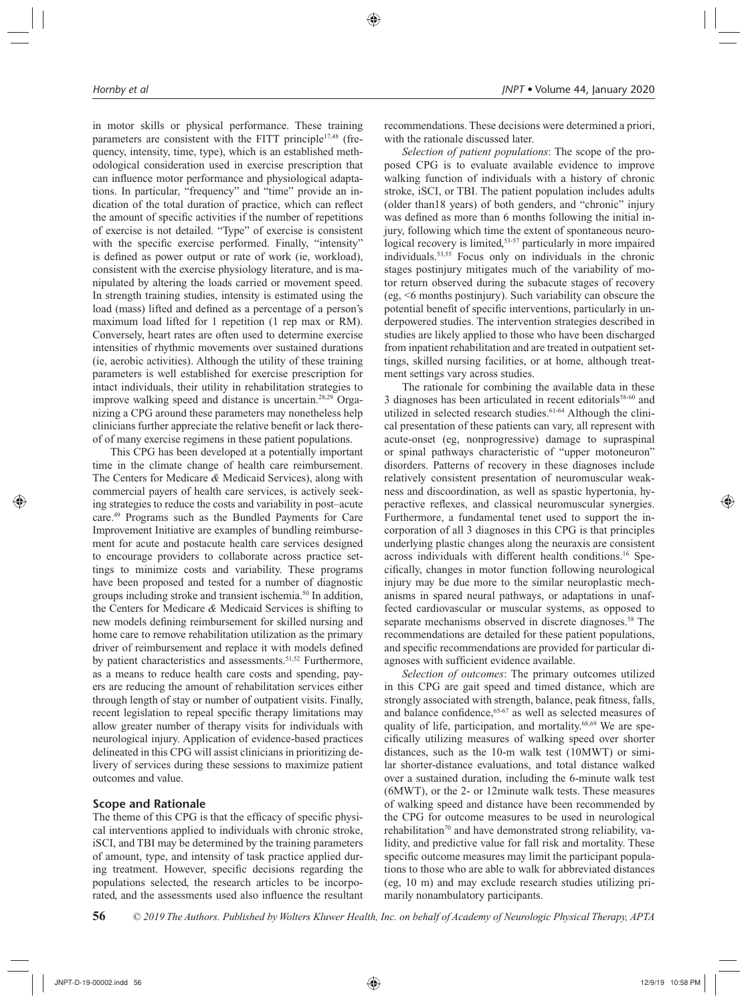in motor skills or physical performance. These training parameters are consistent with the FITT principle17,48 (frequency, intensity, time, type), which is an established methodological consideration used in exercise prescription that can influence motor performance and physiological adaptations. In particular, "frequency" and "time" provide an indication of the total duration of practice, which can reflect the amount of specific activities if the number of repetitions of exercise is not detailed. "Type" of exercise is consistent with the specific exercise performed. Finally, "intensity" is defined as power output or rate of work (ie, workload), consistent with the exercise physiology literature, and is manipulated by altering the loads carried or movement speed. In strength training studies, intensity is estimated using the load (mass) lifted and defined as a percentage of a person's maximum load lifted for 1 repetition (1 rep max or RM). Conversely, heart rates are often used to determine exercise intensities of rhythmic movements over sustained durations (ie, aerobic activities). Although the utility of these training parameters is well established for exercise prescription for intact individuals, their utility in rehabilitation strategies to improve walking speed and distance is uncertain.<sup>28,29</sup> Organizing a CPG around these parameters may nonetheless help clinicians further appreciate the relative benefit or lack thereof of many exercise regimens in these patient populations.

This CPG has been developed at a potentially important time in the climate change of health care reimbursement. The Centers for Medicare *&* Medicaid Services), along with commercial payers of health care services, is actively seeking strategies to reduce the costs and variability in post–acute care.49 Programs such as the Bundled Payments for Care Improvement Initiative are examples of bundling reimbursement for acute and postacute health care services designed to encourage providers to collaborate across practice settings to minimize costs and variability. These programs have been proposed and tested for a number of diagnostic groups including stroke and transient ischemia.50 In addition, the Centers for Medicare *&* Medicaid Services is shifting to new models defining reimbursement for skilled nursing and home care to remove rehabilitation utilization as the primary driver of reimbursement and replace it with models defined by patient characteristics and assessments.<sup>51,52</sup> Furthermore, as a means to reduce health care costs and spending, payers are reducing the amount of rehabilitation services either through length of stay or number of outpatient visits. Finally, recent legislation to repeal specific therapy limitations may allow greater number of therapy visits for individuals with neurological injury. Application of evidence-based practices delineated in this CPG will assist clinicians in prioritizing delivery of services during these sessions to maximize patient outcomes and value.

#### **Scope and Rationale**

The theme of this CPG is that the efficacy of specific physical interventions applied to individuals with chronic stroke, iSCI, and TBI may be determined by the training parameters of amount, type, and intensity of task practice applied during treatment. However, specific decisions regarding the populations selected, the research articles to be incorporated, and the assessments used also influence the resultant recommendations. These decisions were determined a priori, with the rationale discussed later.

*Selection of patient populations*: The scope of the proposed CPG is to evaluate available evidence to improve walking function of individuals with a history of chronic stroke, iSCI, or TBI. The patient population includes adults (older than18 years) of both genders, and "chronic" injury was defined as more than 6 months following the initial injury, following which time the extent of spontaneous neurological recovery is limited,<sup>53-57</sup> particularly in more impaired individuals.53,55 Focus only on individuals in the chronic stages postinjury mitigates much of the variability of motor return observed during the subacute stages of recovery (eg, <6 months postinjury). Such variability can obscure the potential benefit of specific interventions, particularly in underpowered studies. The intervention strategies described in studies are likely applied to those who have been discharged from inpatient rehabilitation and are treated in outpatient settings, skilled nursing facilities, or at home, although treatment settings vary across studies.

The rationale for combining the available data in these 3 diagnoses has been articulated in recent editorials<sup>58-60</sup> and utilized in selected research studies.61-64 Although the clinical presentation of these patients can vary, all represent with acute-onset (eg, nonprogressive) damage to supraspinal or spinal pathways characteristic of "upper motoneuron" disorders. Patterns of recovery in these diagnoses include relatively consistent presentation of neuromuscular weakness and discoordination, as well as spastic hypertonia, hyperactive reflexes, and classical neuromuscular synergies. Furthermore, a fundamental tenet used to support the incorporation of all 3 diagnoses in this CPG is that principles underlying plastic changes along the neuraxis are consistent across individuals with different health conditions.<sup>16</sup> Specifically, changes in motor function following neurological injury may be due more to the similar neuroplastic mechanisms in spared neural pathways, or adaptations in unaffected cardiovascular or muscular systems, as opposed to separate mechanisms observed in discrete diagnoses.<sup>58</sup> The recommendations are detailed for these patient populations, and specific recommendations are provided for particular diagnoses with sufficient evidence available.

*Selection of outcomes*: The primary outcomes utilized in this CPG are gait speed and timed distance, which are strongly associated with strength, balance, peak fitness, falls, and balance confidence, <sup>65-67</sup> as well as selected measures of quality of life, participation, and mortality.68,69 We are specifically utilizing measures of walking speed over shorter distances, such as the 10-m walk test (10MWT) or similar shorter-distance evaluations, and total distance walked over a sustained duration, including the 6-minute walk test (6MWT), or the 2- or 12minute walk tests. These measures of walking speed and distance have been recommended by the CPG for outcome measures to be used in neurological rehabilitation<sup>70</sup> and have demonstrated strong reliability, validity, and predictive value for fall risk and mortality. These specific outcome measures may limit the participant populations to those who are able to walk for abbreviated distances (eg, 10 m) and may exclude research studies utilizing primarily nonambulatory participants.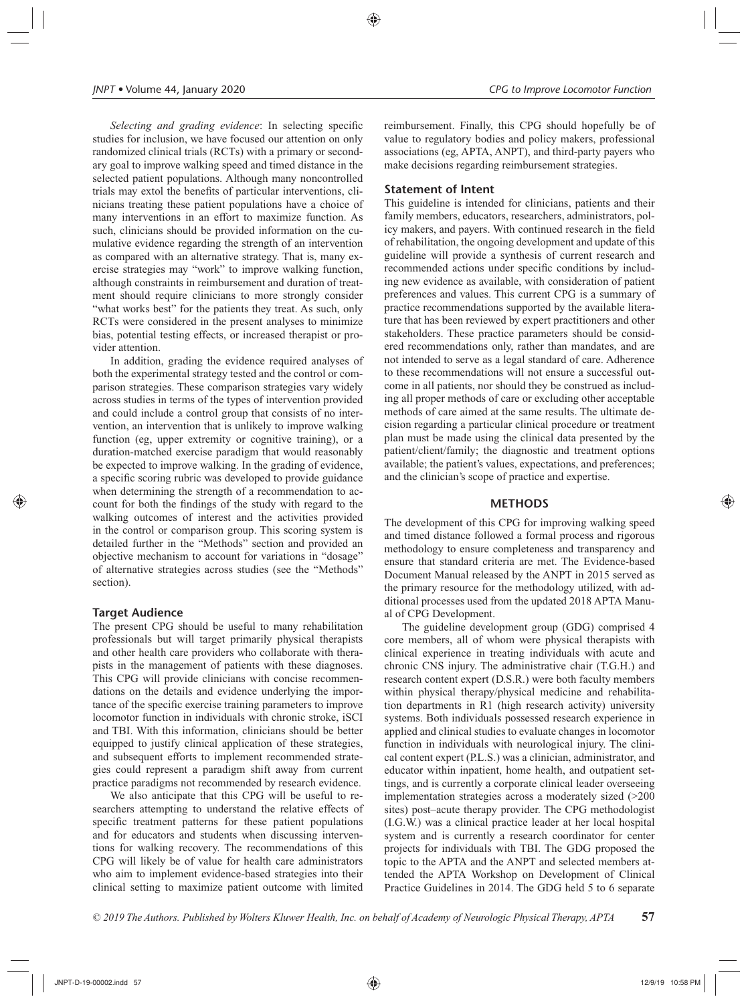Selecting and grading evidence: In selecting specific studies for inclusion, we have focused our attention on only randomized clinical trials (RCTs) with a primary or secondary goal to improve walking speed and timed distance in the selected patient populations. Although many noncontrolled trials may extol the benefits of particular interventions, clinicians treating these patient populations have a choice of many interventions in an effort to maximize function. As such, clinicians should be provided information on the cumulative evidence regarding the strength of an intervention as compared with an alternative strategy. That is, many exercise strategies may "work" to improve walking function, although constraints in reimbursement and duration of treatment should require clinicians to more strongly consider "what works best" for the patients they treat. As such, only RCTs were considered in the present analyses to minimize bias, potential testing effects, or increased therapist or provider attention.

In addition, grading the evidence required analyses of both the experimental strategy tested and the control or comparison strategies. These comparison strategies vary widely across studies in terms of the types of intervention provided and could include a control group that consists of no intervention, an intervention that is unlikely to improve walking function (eg, upper extremity or cognitive training), or a duration-matched exercise paradigm that would reasonably be expected to improve walking. In the grading of evidence, a specific scoring rubric was developed to provide guidance when determining the strength of a recommendation to account for both the findings of the study with regard to the walking outcomes of interest and the activities provided in the control or comparison group. This scoring system is detailed further in the "Methods" section and provided an objective mechanism to account for variations in "dosage" of alternative strategies across studies (see the "Methods" section).

#### **Target Audience**

The present CPG should be useful to many rehabilitation professionals but will target primarily physical therapists and other health care providers who collaborate with therapists in the management of patients with these diagnoses. This CPG will provide clinicians with concise recommendations on the details and evidence underlying the importance of the specific exercise training parameters to improve locomotor function in individuals with chronic stroke, iSCI and TBI. With this information, clinicians should be better equipped to justify clinical application of these strategies, and subsequent efforts to implement recommended strategies could represent a paradigm shift away from current practice paradigms not recommended by research evidence.

We also anticipate that this CPG will be useful to researchers attempting to understand the relative effects of specific treatment patterns for these patient populations and for educators and students when discussing interventions for walking recovery. The recommendations of this CPG will likely be of value for health care administrators who aim to implement evidence-based strategies into their clinical setting to maximize patient outcome with limited reimbursement. Finally, this CPG should hopefully be of value to regulatory bodies and policy makers, professional associations (eg, APTA, ANPT), and third-party payers who make decisions regarding reimbursement strategies.

#### **Statement of Intent**

This guideline is intended for clinicians, patients and their family members, educators, researchers, administrators, policy makers, and payers. With continued research in the field of rehabilitation, the ongoing development and update of this guideline will provide a synthesis of current research and recommended actions under specific conditions by including new evidence as available, with consideration of patient preferences and values. This current CPG is a summary of practice recommendations supported by the available literature that has been reviewed by expert practitioners and other stakeholders. These practice parameters should be considered recommendations only, rather than mandates, and are not intended to serve as a legal standard of care. Adherence to these recommendations will not ensure a successful outcome in all patients, nor should they be construed as including all proper methods of care or excluding other acceptable methods of care aimed at the same results. The ultimate decision regarding a particular clinical procedure or treatment plan must be made using the clinical data presented by the patient/client/family; the diagnostic and treatment options available; the patient's values, expectations, and preferences; and the clinician's scope of practice and expertise.

#### **METHODS**

The development of this CPG for improving walking speed and timed distance followed a formal process and rigorous methodology to ensure completeness and transparency and ensure that standard criteria are met. The Evidence-based Document Manual released by the ANPT in 2015 served as the primary resource for the methodology utilized, with additional processes used from the updated 2018 APTA Manual of CPG Development.

The guideline development group (GDG) comprised 4 core members, all of whom were physical therapists with clinical experience in treating individuals with acute and chronic CNS injury. The administrative chair (T.G.H.) and research content expert (D.S.R.) were both faculty members within physical therapy/physical medicine and rehabilitation departments in R1 (high research activity) university systems. Both individuals possessed research experience in applied and clinical studies to evaluate changes in locomotor function in individuals with neurological injury. The clinical content expert (P.L.S.) was a clinician, administrator, and educator within inpatient, home health, and outpatient settings, and is currently a corporate clinical leader overseeing implementation strategies across a moderately sized (>200 sites) post–acute therapy provider. The CPG methodologist (I.G.W.) was a clinical practice leader at her local hospital system and is currently a research coordinator for center projects for individuals with TBI. The GDG proposed the topic to the APTA and the ANPT and selected members attended the APTA Workshop on Development of Clinical Practice Guidelines in 2014. The GDG held 5 to 6 separate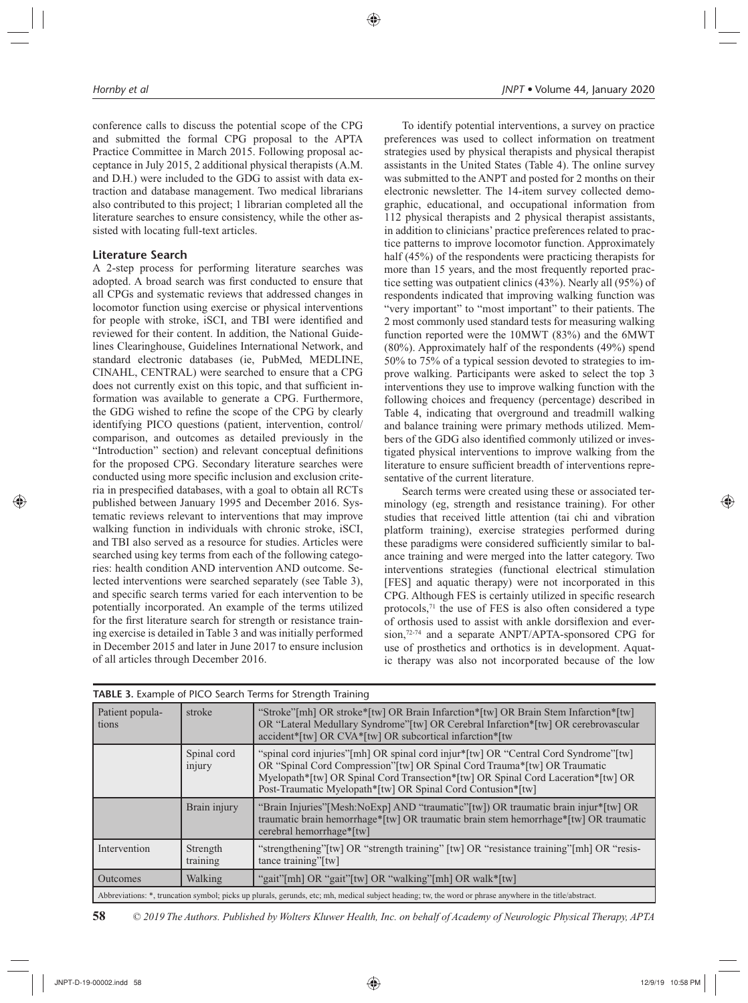conference calls to discuss the potential scope of the CPG and submitted the formal CPG proposal to the APTA Practice Committee in March 2015. Following proposal acceptance in July 2015, 2 additional physical therapists (A.M. and D.H.) were included to the GDG to assist with data extraction and database management. Two medical librarians also contributed to this project; 1 librarian completed all the literature searches to ensure consistency, while the other assisted with locating full-text articles.

## **Literature Search**

A 2-step process for performing literature searches was adopted. A broad search was first conducted to ensure that all CPGs and systematic reviews that addressed changes in locomotor function using exercise or physical interventions for people with stroke, iSCI, and TBI were identified and reviewed for their content. In addition, the National Guidelines Clearinghouse, Guidelines International Network, and standard electronic databases (ie, PubMed, MEDLINE, CINAHL, CENTRAL) were searched to ensure that a CPG does not currently exist on this topic, and that sufficient information was available to generate a CPG. Furthermore, the GDG wished to refine the scope of the CPG by clearly identifying PICO questions (patient, intervention, control/ comparison, and outcomes as detailed previously in the "Introduction" section) and relevant conceptual definitions for the proposed CPG. Secondary literature searches were conducted using more specific inclusion and exclusion criteria in prespecified databases, with a goal to obtain all RCTs published between January 1995 and December 2016. Systematic reviews relevant to interventions that may improve walking function in individuals with chronic stroke, iSCI, and TBI also served as a resource for studies. Articles were searched using key terms from each of the following categories: health condition AND intervention AND outcome. Selected interventions were searched separately (see Table 3), and specific search terms varied for each intervention to be potentially incorporated. An example of the terms utilized for the first literature search for strength or resistance training exercise is detailed in Table 3 and was initially performed in December 2015 and later in June 2017 to ensure inclusion of all articles through December 2016.

To identify potential interventions, a survey on practice preferences was used to collect information on treatment strategies used by physical therapists and physical therapist assistants in the United States (Table 4). The online survey was submitted to the ANPT and posted for 2 months on their electronic newsletter. The 14-item survey collected demographic, educational, and occupational information from 112 physical therapists and 2 physical therapist assistants, in addition to clinicians' practice preferences related to practice patterns to improve locomotor function. Approximately half (45%) of the respondents were practicing therapists for more than 15 years, and the most frequently reported practice setting was outpatient clinics (43%). Nearly all (95%) of respondents indicated that improving walking function was "very important" to "most important" to their patients. The 2 most commonly used standard tests for measuring walking function reported were the 10MWT (83%) and the 6MWT (80%). Approximately half of the respondents (49%) spend 50% to 75% of a typical session devoted to strategies to improve walking. Participants were asked to select the top 3 interventions they use to improve walking function with the following choices and frequency (percentage) described in Table 4, indicating that overground and treadmill walking and balance training were primary methods utilized. Members of the GDG also identified commonly utilized or investigated physical interventions to improve walking from the literature to ensure sufficient breadth of interventions representative of the current literature.

Search terms were created using these or associated terminology (eg, strength and resistance training). For other studies that received little attention (tai chi and vibration platform training), exercise strategies performed during these paradigms were considered sufficiently similar to balance training and were merged into the latter category. Two interventions strategies (functional electrical stimulation [FES] and aquatic therapy) were not incorporated in this CPG. Although FES is certainly utilized in specific research protocols, $71$  the use of FES is also often considered a type of orthosis used to assist with ankle dorsiflexion and eversion,<sup>72-74</sup> and a separate ANPT/APTA-sponsored CPG for use of prosthetics and orthotics is in development. Aquatic therapy was also not incorporated because of the low

| <b>TABLE 3.</b> Example of PICO Search Terms for Strength Training |                       |                                                                                                                                                                                                                                                                                                                      |  |  |  |
|--------------------------------------------------------------------|-----------------------|----------------------------------------------------------------------------------------------------------------------------------------------------------------------------------------------------------------------------------------------------------------------------------------------------------------------|--|--|--|
| Patient popula-<br>tions                                           | stroke                | "Stroke" [mh] OR stroke* [tw] OR Brain Infarction* [tw] OR Brain Stem Infarction* [tw]<br>OR "Lateral Medullary Syndrome"[tw] OR Cerebral Infarction*[tw] OR cerebrovascular<br>accident*[tw] OR CVA*[tw] OR subcortical infarction*[tw                                                                              |  |  |  |
|                                                                    | Spinal cord<br>injury | "spinal cord injuries"[mh] OR spinal cord injur*[tw] OR "Central Cord Syndrome"[tw]<br>OR "Spinal Cord Compression" [tw] OR Spinal Cord Trauma* [tw] OR Traumatic<br>Myelopath*[tw] OR Spinal Cord Transection*[tw] OR Spinal Cord Laceration*[tw] OR<br>Post-Traumatic Myelopath*[tw] OR Spinal Cord Contusion*[tw] |  |  |  |
| Brain injury                                                       |                       | "Brain Injuries" [Mesh: No Exp] AND "traumatic" [tw]) OR traumatic brain injur * [tw] OR<br>traumatic brain hemorrhage*[tw] OR traumatic brain stem hemorrhage*[tw] OR traumatic<br>cerebral hemorrhage*[tw]                                                                                                         |  |  |  |
| Intervention                                                       | Strength<br>training  | "strengthening" [tw] OR "strength training" [tw] OR "resistance training" [mh] OR "resis-<br>tance training" [tw]                                                                                                                                                                                                    |  |  |  |
| <b>Outcomes</b>                                                    | Walking               | "gait" [mh] OR "gait" [tw] OR "walking" [mh] OR walk* [tw]                                                                                                                                                                                                                                                           |  |  |  |
|                                                                    |                       | Abbreviations: *, truncation symbol; picks up plurals, gerunds, etc; mh, medical subject heading; tw, the word or phrase anywhere in the title/abstract.                                                                                                                                                             |  |  |  |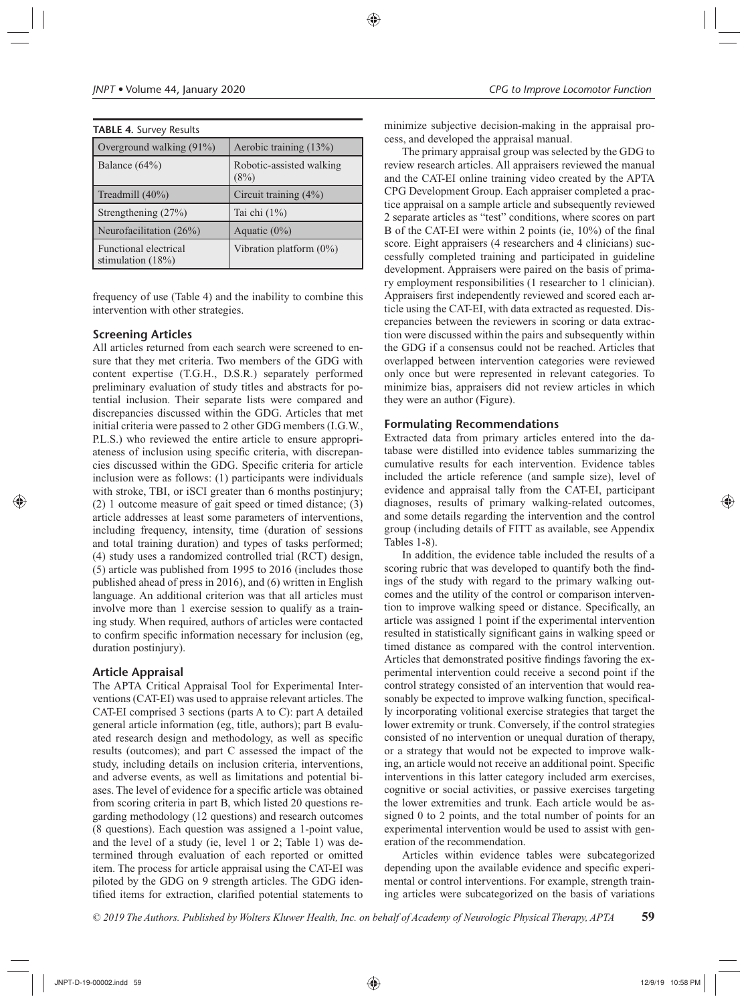| <b>ABLE 4.</b> Survey Results |                                  |
|-------------------------------|----------------------------------|
| Overground walking $(91\%)$   | Aerobic training $(13\%)$        |
| Balance (64%)                 | Robotic-assisted walking<br>(8%) |
| Treadmill $(40\%)$            | Circuit training $(4\%)$         |
| Strengthening $(27%)$         | Tai chi $(1\%)$                  |
| Neurofacilitation (26%)       | Aquatic $(0\%)$                  |

Vibration platform (0%)

#### **TABLE 4.** Survey Results

frequency of use (Table 4) and the inability to combine this intervention with other strategies.

#### **Screening Articles**

Functional electrical stimulation (18%)

All articles returned from each search were screened to ensure that they met criteria. Two members of the GDG with content expertise (T.G.H., D.S.R.) separately performed preliminary evaluation of study titles and abstracts for potential inclusion. Their separate lists were compared and discrepancies discussed within the GDG. Articles that met initial criteria were passed to 2 other GDG members (I.G.W., P.L.S.) who reviewed the entire article to ensure appropriateness of inclusion using specific criteria, with discrepancies discussed within the GDG. Specific criteria for article inclusion were as follows: (1) participants were individuals with stroke, TBI, or iSCI greater than 6 months postinjury; (2) 1 outcome measure of gait speed or timed distance; (3) article addresses at least some parameters of interventions, including frequency, intensity, time (duration of sessions and total training duration) and types of tasks performed; (4) study uses a randomized controlled trial (RCT) design, (5) article was published from 1995 to 2016 (includes those published ahead of press in 2016), and (6) written in English language. An additional criterion was that all articles must involve more than 1 exercise session to qualify as a training study. When required, authors of articles were contacted to confirm specific information necessary for inclusion (eg, duration postinjury).

#### **Article Appraisal**

The APTA Critical Appraisal Tool for Experimental Interventions (CAT-EI) was used to appraise relevant articles. The CAT-EI comprised 3 sections (parts A to C): part A detailed general article information (eg, title, authors); part B evaluated research design and methodology, as well as specific results (outcomes); and part C assessed the impact of the study, including details on inclusion criteria, interventions, and adverse events, as well as limitations and potential biases. The level of evidence for a specific article was obtained from scoring criteria in part B, which listed 20 questions regarding methodology (12 questions) and research outcomes (8 questions). Each question was assigned a 1-point value, and the level of a study (ie, level 1 or 2; Table 1) was determined through evaluation of each reported or omitted item. The process for article appraisal using the CAT-EI was piloted by the GDG on 9 strength articles. The GDG identified items for extraction, clarified potential statements to minimize subjective decision-making in the appraisal process, and developed the appraisal manual.

The primary appraisal group was selected by the GDG to review research articles. All appraisers reviewed the manual and the CAT-EI online training video created by the APTA CPG Development Group. Each appraiser completed a practice appraisal on a sample article and subsequently reviewed 2 separate articles as "test" conditions, where scores on part B of the CAT-EI were within 2 points (ie, 10%) of the final score. Eight appraisers (4 researchers and 4 clinicians) successfully completed training and participated in guideline development. Appraisers were paired on the basis of primary employment responsibilities (1 researcher to 1 clinician). Appraisers first independently reviewed and scored each article using the CAT-EI, with data extracted as requested. Discrepancies between the reviewers in scoring or data extraction were discussed within the pairs and subsequently within the GDG if a consensus could not be reached. Articles that overlapped between intervention categories were reviewed only once but were represented in relevant categories. To minimize bias, appraisers did not review articles in which they were an author (Figure).

#### **Formulating Recommendations**

Extracted data from primary articles entered into the database were distilled into evidence tables summarizing the cumulative results for each intervention. Evidence tables included the article reference (and sample size), level of evidence and appraisal tally from the CAT-EI, participant diagnoses, results of primary walking-related outcomes, and some details regarding the intervention and the control group (including details of FITT as available, see Appendix Tables 1-8).

In addition, the evidence table included the results of a scoring rubric that was developed to quantify both the findings of the study with regard to the primary walking outcomes and the utility of the control or comparison intervention to improve walking speed or distance. Specifically, an article was assigned 1 point if the experimental intervention resulted in statistically significant gains in walking speed or timed distance as compared with the control intervention. Articles that demonstrated positive findings favoring the experimental intervention could receive a second point if the control strategy consisted of an intervention that would reasonably be expected to improve walking function, specifically incorporating volitional exercise strategies that target the lower extremity or trunk. Conversely, if the control strategies consisted of no intervention or unequal duration of therapy, or a strategy that would not be expected to improve walking, an article would not receive an additional point. Specific interventions in this latter category included arm exercises, cognitive or social activities, or passive exercises targeting the lower extremities and trunk. Each article would be assigned 0 to 2 points, and the total number of points for an experimental intervention would be used to assist with generation of the recommendation.

Articles within evidence tables were subcategorized depending upon the available evidence and specific experimental or control interventions. For example, strength training articles were subcategorized on the basis of variations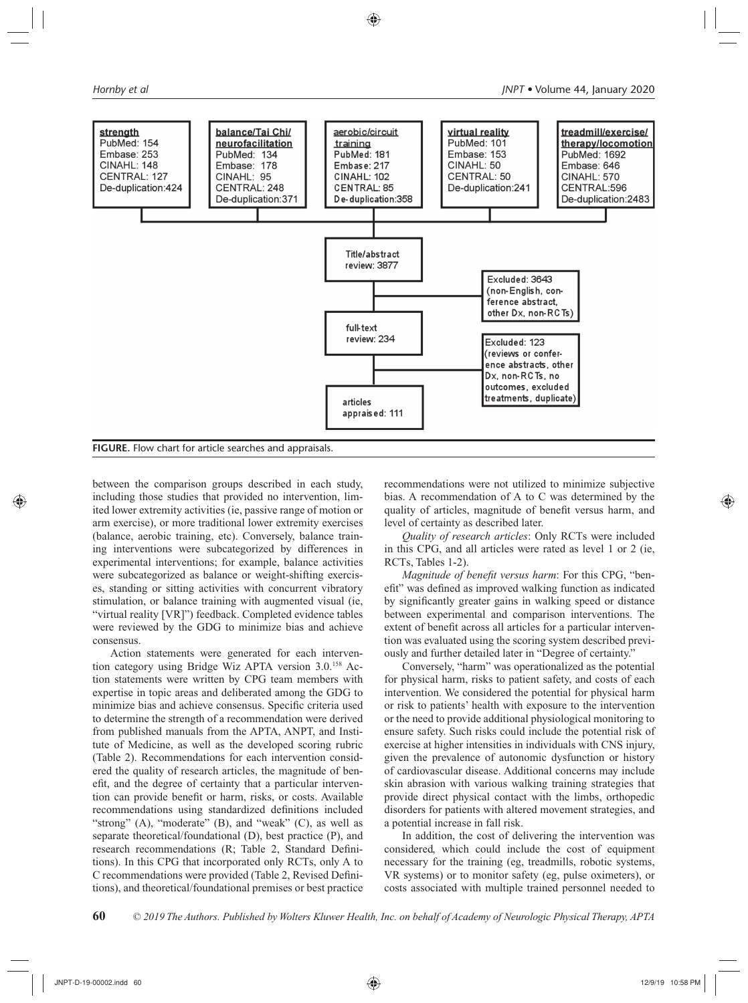

between the comparison groups described in each study, including those studies that provided no intervention, limited lower extremity activities (ie, passive range of motion or arm exercise), or more traditional lower extremity exercises (balance, aerobic training, etc). Conversely, balance training interventions were subcategorized by differences in experimental interventions; for example, balance activities were subcategorized as balance or weight-shifting exercises, standing or sitting activities with concurrent vibratory stimulation, or balance training with augmented visual (ie, "virtual reality [VR]") feedback. Completed evidence tables were reviewed by the GDG to minimize bias and achieve consensus.

Action statements were generated for each intervention category using Bridge Wiz APTA version 3.0.158 Action statements were written by CPG team members with expertise in topic areas and deliberated among the GDG to minimize bias and achieve consensus. Specific criteria used to determine the strength of a recommendation were derived from published manuals from the APTA, ANPT, and Institute of Medicine, as well as the developed scoring rubric (Table 2). Recommendations for each intervention considered the quality of research articles, the magnitude of benefit, and the degree of certainty that a particular intervention can provide benefit or harm, risks, or costs. Available recommendations using standardized definitions included "strong" (A), "moderate" (B), and "weak" (C), as well as separate theoretical/foundational (D), best practice (P), and research recommendations (R; Table 2, Standard Definitions). In this CPG that incorporated only RCTs, only A to C recommendations were provided (Table 2, Revised Definitions), and theoretical/foundational premises or best practice

recommendations were not utilized to minimize subjective bias. A recommendation of A to C was determined by the quality of articles, magnitude of benefit versus harm, and level of certainty as described later.

*Quality of research articles*: Only RCTs were included in this CPG, and all articles were rated as level 1 or 2 (ie, RCTs, Tables 1-2).

*Magnitude of benefit versus harm*: For this CPG, "benefit" was defined as improved walking function as indicated by significantly greater gains in walking speed or distance between experimental and comparison interventions. The extent of benefit across all articles for a particular intervention was evaluated using the scoring system described previously and further detailed later in "Degree of certainty."

Conversely, "harm" was operationalized as the potential for physical harm, risks to patient safety, and costs of each intervention. We considered the potential for physical harm or risk to patients' health with exposure to the intervention or the need to provide additional physiological monitoring to ensure safety. Such risks could include the potential risk of exercise at higher intensities in individuals with CNS injury, given the prevalence of autonomic dysfunction or history of cardiovascular disease. Additional concerns may include skin abrasion with various walking training strategies that provide direct physical contact with the limbs, orthopedic disorders for patients with altered movement strategies, and a potential increase in fall risk.

In addition, the cost of delivering the intervention was considered, which could include the cost of equipment necessary for the training (eg, treadmills, robotic systems, VR systems) or to monitor safety (eg, pulse oximeters), or costs associated with multiple trained personnel needed to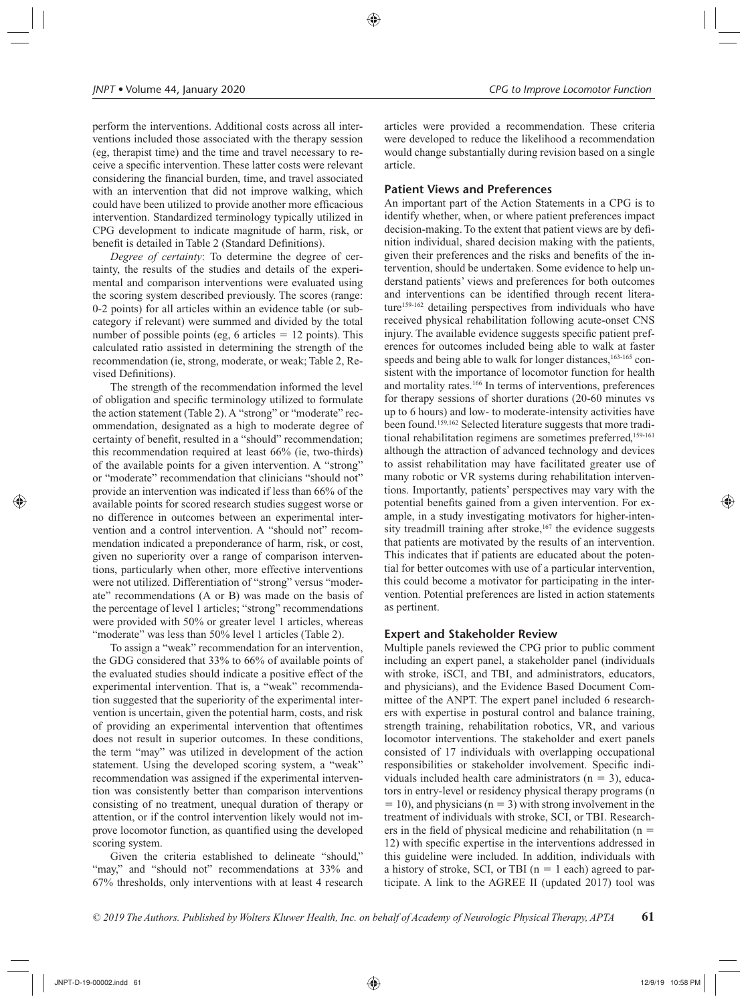perform the interventions. Additional costs across all interventions included those associated with the therapy session (eg, therapist time) and the time and travel necessary to receive a specific intervention. These latter costs were relevant considering the financial burden, time, and travel associated with an intervention that did not improve walking, which could have been utilized to provide another more efficacious intervention. Standardized terminology typically utilized in CPG development to indicate magnitude of harm, risk, or benefit is detailed in Table 2 (Standard Definitions).

*Degree of certainty*: To determine the degree of certainty, the results of the studies and details of the experimental and comparison interventions were evaluated using the scoring system described previously. The scores (range: 0-2 points) for all articles within an evidence table (or subcategory if relevant) were summed and divided by the total number of possible points (eg, 6 articles  $= 12$  points). This calculated ratio assisted in determining the strength of the recommendation (ie, strong, moderate, or weak; Table 2, Revised Definitions).

The strength of the recommendation informed the level of obligation and specific terminology utilized to formulate the action statement (Table 2). A "strong" or "moderate" recommendation, designated as a high to moderate degree of certainty of benefit, resulted in a "should" recommendation; this recommendation required at least 66% (ie, two-thirds) of the available points for a given intervention. A "strong" or "moderate" recommendation that clinicians "should not" provide an intervention was indicated if less than 66% of the available points for scored research studies suggest worse or no difference in outcomes between an experimental intervention and a control intervention. A "should not" recommendation indicated a preponderance of harm, risk, or cost, given no superiority over a range of comparison interventions, particularly when other, more effective interventions were not utilized. Differentiation of "strong" versus "moderate" recommendations (A or B) was made on the basis of the percentage of level 1 articles; "strong" recommendations were provided with 50% or greater level 1 articles, whereas "moderate" was less than 50% level 1 articles (Table 2).

To assign a "weak" recommendation for an intervention, the GDG considered that 33% to 66% of available points of the evaluated studies should indicate a positive effect of the experimental intervention. That is, a "weak" recommendation suggested that the superiority of the experimental intervention is uncertain, given the potential harm, costs, and risk of providing an experimental intervention that oftentimes does not result in superior outcomes. In these conditions, the term "may" was utilized in development of the action statement. Using the developed scoring system, a "weak" recommendation was assigned if the experimental intervention was consistently better than comparison interventions consisting of no treatment, unequal duration of therapy or attention, or if the control intervention likely would not improve locomotor function, as quantified using the developed scoring system.

Given the criteria established to delineate "should," "may," and "should not" recommendations at 33% and 67% thresholds, only interventions with at least 4 research articles were provided a recommendation. These criteria were developed to reduce the likelihood a recommendation would change substantially during revision based on a single article.

## **Patient Views and Preferences**

An important part of the Action Statements in a CPG is to identify whether, when, or where patient preferences impact decision-making. To the extent that patient views are by definition individual, shared decision making with the patients, given their preferences and the risks and benefits of the intervention, should be undertaken. Some evidence to help understand patients' views and preferences for both outcomes and interventions can be identified through recent literature<sup>159-162</sup> detailing perspectives from individuals who have received physical rehabilitation following acute-onset CNS injury. The available evidence suggests specific patient preferences for outcomes included being able to walk at faster speeds and being able to walk for longer distances,<sup>163-165</sup> consistent with the importance of locomotor function for health and mortality rates.<sup>166</sup> In terms of interventions, preferences for therapy sessions of shorter durations (20-60 minutes vs up to 6 hours) and low- to moderate-intensity activities have been found.159,162 Selected literature suggests that more traditional rehabilitation regimens are sometimes preferred,<sup>159-161</sup> although the attraction of advanced technology and devices to assist rehabilitation may have facilitated greater use of many robotic or VR systems during rehabilitation interventions. Importantly, patients' perspectives may vary with the potential benefits gained from a given intervention. For example, in a study investigating motivators for higher-intensity treadmill training after stroke, $167$  the evidence suggests that patients are motivated by the results of an intervention. This indicates that if patients are educated about the potential for better outcomes with use of a particular intervention, this could become a motivator for participating in the intervention. Potential preferences are listed in action statements as pertinent.

#### **Expert and Stakeholder Review**

Multiple panels reviewed the CPG prior to public comment including an expert panel, a stakeholder panel (individuals with stroke, iSCI, and TBI, and administrators, educators, and physicians), and the Evidence Based Document Committee of the ANPT. The expert panel included 6 researchers with expertise in postural control and balance training, strength training, rehabilitation robotics, VR, and various locomotor interventions. The stakeholder and exert panels consisted of 17 individuals with overlapping occupational responsibilities or stakeholder involvement. Specific individuals included health care administrators ( $n = 3$ ), educators in entry-level or residency physical therapy programs (n  $= 10$ ), and physicians ( $n = 3$ ) with strong involvement in the treatment of individuals with stroke, SCI, or TBI. Researchers in the field of physical medicine and rehabilitation ( $n =$ 12) with specific expertise in the interventions addressed in this guideline were included. In addition, individuals with a history of stroke, SCI, or TBI ( $n = 1$  each) agreed to participate. A link to the AGREE II (updated 2017) tool was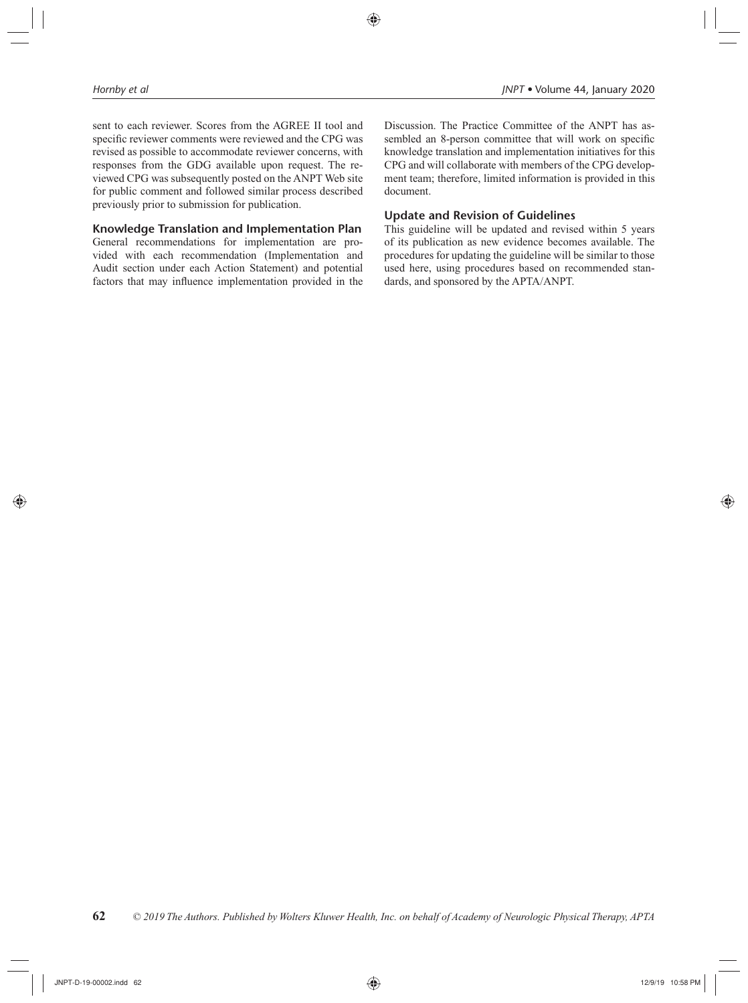sent to each reviewer. Scores from the AGREE II tool and specific reviewer comments were reviewed and the CPG was revised as possible to accommodate reviewer concerns, with responses from the GDG available upon request. The reviewed CPG was subsequently posted on the ANPT Web site for public comment and followed similar process described previously prior to submission for publication.

#### **Knowledge Translation and Implementation Plan**

General recommendations for implementation are provided with each recommendation (Implementation and Audit section under each Action Statement) and potential factors that may influence implementation provided in the Discussion. The Practice Committee of the ANPT has assembled an 8-person committee that will work on specific knowledge translation and implementation initiatives for this CPG and will collaborate with members of the CPG development team; therefore, limited information is provided in this document.

#### **Update and Revision of Guidelines**

This guideline will be updated and revised within 5 years of its publication as new evidence becomes available. The procedures for updating the guideline will be similar to those used here, using procedures based on recommended standards, and sponsored by the APTA/ANPT.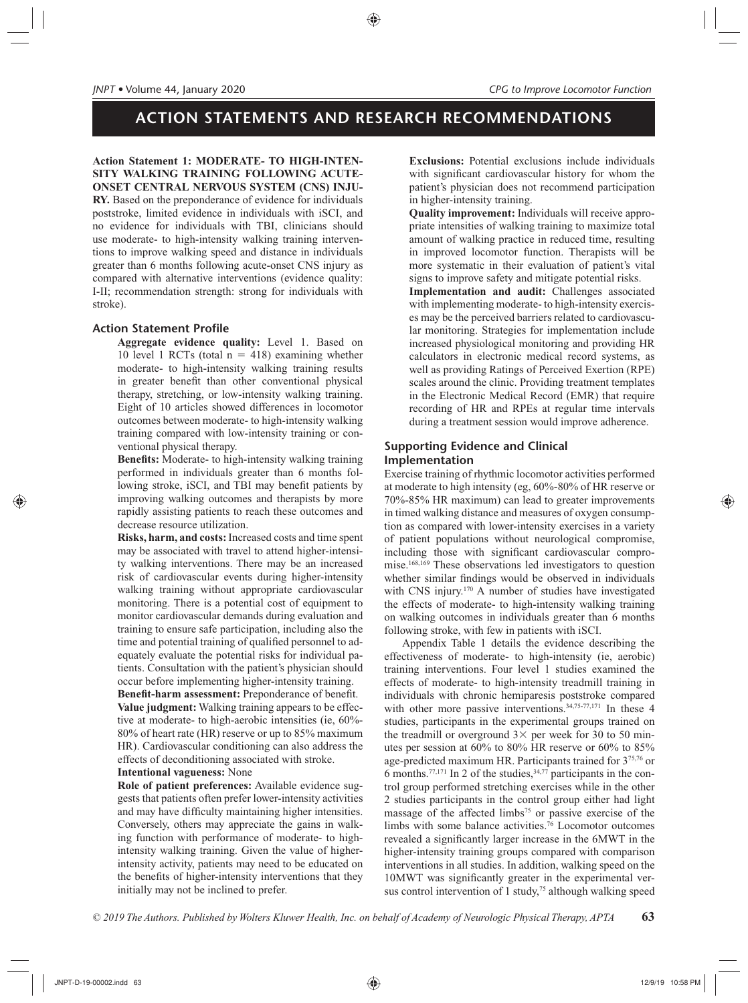# **ACTION STATEMENTS AND RESEARCH RECOMMENDATIONS**

#### **Action Statement 1: MODERATE- TO HIGH-INTEN-SITY WALKING TRAINING FOLLOWING ACUTE-ONSET CENTRAL NERVOUS SYSTEM (CNS) INJU-**

**RY.** Based on the preponderance of evidence for individuals poststroke, limited evidence in individuals with iSCI, and no evidence for individuals with TBI, clinicians should use moderate- to high-intensity walking training interventions to improve walking speed and distance in individuals greater than 6 months following acute-onset CNS injury as compared with alternative interventions (evidence quality: I-II; recommendation strength: strong for individuals with stroke).

## **Action Statement Profile**

**Aggregate evidence quality:** Level 1. Based on 10 level 1 RCTs (total  $n = 418$ ) examining whether moderate- to high-intensity walking training results in greater benefit than other conventional physical therapy, stretching, or low-intensity walking training. Eight of 10 articles showed differences in locomotor outcomes between moderate- to high-intensity walking training compared with low-intensity training or conventional physical therapy.

**Benefits:** Moderate- to high-intensity walking training performed in individuals greater than 6 months following stroke, iSCI, and TBI may benefit patients by improving walking outcomes and therapists by more rapidly assisting patients to reach these outcomes and decrease resource utilization.

**Risks, harm, and costs:** Increased costs and time spent may be associated with travel to attend higher-intensity walking interventions. There may be an increased risk of cardiovascular events during higher-intensity walking training without appropriate cardiovascular monitoring. There is a potential cost of equipment to monitor cardiovascular demands during evaluation and training to ensure safe participation, including also the time and potential training of qualified personnel to adequately evaluate the potential risks for individual patients. Consultation with the patient's physician should occur before implementing higher-intensity training.

**Benefit-harm assessment:** Preponderance of benefit. **Value judgment:** Walking training appears to be effective at moderate- to high-aerobic intensities (ie, 60%- 80% of heart rate (HR) reserve or up to 85% maximum HR). Cardiovascular conditioning can also address the effects of deconditioning associated with stroke.

#### **Intentional vagueness:** None

**Role of patient preferences:** Available evidence suggests that patients often prefer lower-intensity activities and may have difficulty maintaining higher intensities. Conversely, others may appreciate the gains in walking function with performance of moderate- to highintensity walking training. Given the value of higherintensity activity, patients may need to be educated on the benefits of higher-intensity interventions that they initially may not be inclined to prefer.

**Exclusions:** Potential exclusions include individuals with significant cardiovascular history for whom the patient's physician does not recommend participation in higher-intensity training.

**Quality improvement:** Individuals will receive appropriate intensities of walking training to maximize total amount of walking practice in reduced time, resulting in improved locomotor function. Therapists will be more systematic in their evaluation of patient's vital signs to improve safety and mitigate potential risks.

**Implementation and audit:** Challenges associated with implementing moderate- to high-intensity exercises may be the perceived barriers related to cardiovascular monitoring. Strategies for implementation include increased physiological monitoring and providing HR calculators in electronic medical record systems, as well as providing Ratings of Perceived Exertion (RPE) scales around the clinic. Providing treatment templates in the Electronic Medical Record (EMR) that require recording of HR and RPEs at regular time intervals during a treatment session would improve adherence.

## **Supporting Evidence and Clinical Implementation**

Exercise training of rhythmic locomotor activities performed at moderate to high intensity (eg, 60%-80% of HR reserve or 70%-85% HR maximum) can lead to greater improvements in timed walking distance and measures of oxygen consumption as compared with lower-intensity exercises in a variety of patient populations without neurological compromise, including those with significant cardiovascular compromise.168,169 These observations led investigators to question whether similar findings would be observed in individuals with CNS injury.170 A number of studies have investigated the effects of moderate- to high-intensity walking training on walking outcomes in individuals greater than 6 months following stroke, with few in patients with iSCI.

Appendix Table 1 details the evidence describing the effectiveness of moderate- to high-intensity (ie, aerobic) training interventions. Four level 1 studies examined the effects of moderate- to high-intensity treadmill training in individuals with chronic hemiparesis poststroke compared with other more passive interventions.<sup>34,75-77,171</sup> In these 4 studies, participants in the experimental groups trained on the treadmill or overground  $3 \times$  per week for 30 to 50 minutes per session at 60% to 80% HR reserve or 60% to 85% age-predicted maximum HR. Participants trained for 375,76 or 6 months.<sup>77,171</sup> In 2 of the studies, $34,77$  participants in the control group performed stretching exercises while in the other 2 studies participants in the control group either had light massage of the affected limbs<sup>75</sup> or passive exercise of the limbs with some balance activities.76 Locomotor outcomes revealed a significantly larger increase in the 6MWT in the higher-intensity training groups compared with comparison interventions in all studies. In addition, walking speed on the 10MWT was significantly greater in the experimental versus control intervention of 1 study,<sup>75</sup> although walking speed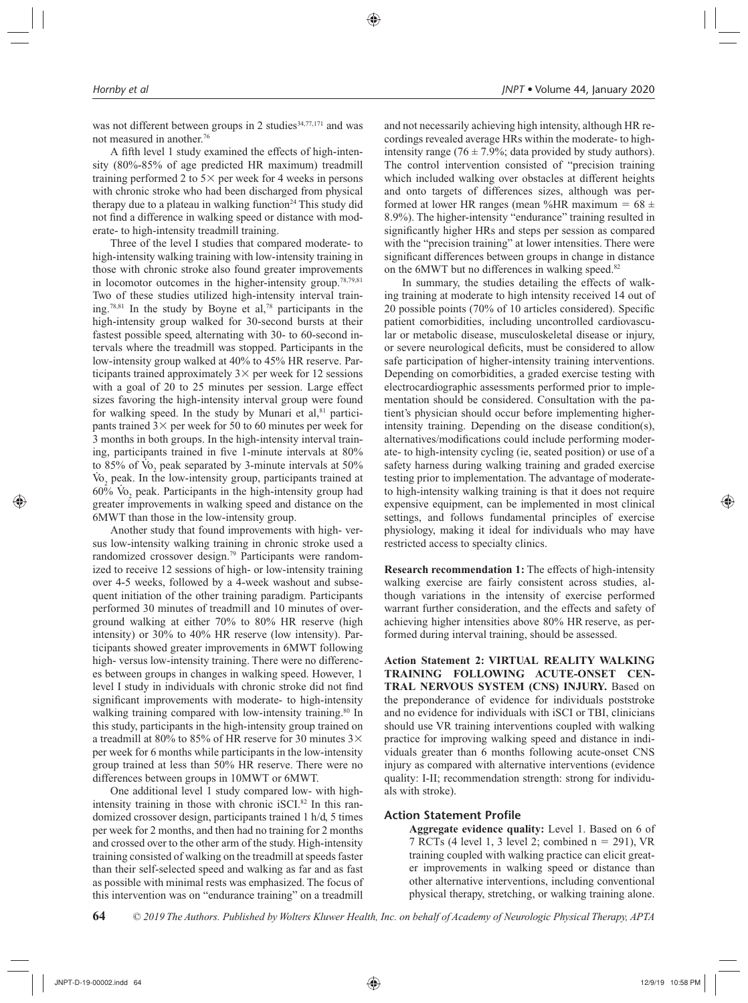was not different between groups in 2 studies $34,77,171$  and was not measured in another.76

A fifth level 1 study examined the effects of high-intensity (80%-85% of age predicted HR maximum) treadmill training performed 2 to  $5 \times$  per week for 4 weeks in persons with chronic stroke who had been discharged from physical therapy due to a plateau in walking function<sup>24</sup> This study did not find a difference in walking speed or distance with moderate- to high-intensity treadmill training.

Three of the level I studies that compared moderate- to high-intensity walking training with low-intensity training in those with chronic stroke also found greater improvements in locomotor outcomes in the higher-intensity group.78,79,81 Two of these studies utilized high-intensity interval training.78,81 In the study by Boyne et al,78 participants in the high-intensity group walked for 30-second bursts at their fastest possible speed, alternating with 30- to 60-second intervals where the treadmill was stopped. Participants in the low-intensity group walked at 40% to 45% HR reserve. Participants trained approximately  $3 \times$  per week for 12 sessions with a goal of 20 to 25 minutes per session. Large effect sizes favoring the high-intensity interval group were found for walking speed. In the study by Munari et al, $81$  participants trained  $3 \times$  per week for 50 to 60 minutes per week for 3 months in both groups. In the high-intensity interval training, participants trained in five 1-minute intervals at 80% to 85% of  $\bar{V}o_2$  peak separated by 3-minute intervals at 50%  $\rm\dot{Vo}_2$  peak. In the low-intensity group, participants trained at  $60\%$  V<sub>o<sub>2</sub> peak. Participants in the high-intensity group had</sub> greater improvements in walking speed and distance on the 6MWT than those in the low-intensity group.

Another study that found improvements with high- versus low-intensity walking training in chronic stroke used a randomized crossover design.79 Participants were randomized to receive 12 sessions of high- or low-intensity training over 4-5 weeks, followed by a 4-week washout and subsequent initiation of the other training paradigm. Participants performed 30 minutes of treadmill and 10 minutes of overground walking at either 70% to 80% HR reserve (high intensity) or 30% to 40% HR reserve (low intensity). Participants showed greater improvements in 6MWT following high- versus low-intensity training. There were no differences between groups in changes in walking speed. However, 1 level I study in individuals with chronic stroke did not find significant improvements with moderate- to high-intensity walking training compared with low-intensity training.<sup>80</sup> In this study, participants in the high-intensity group trained on a treadmill at 80% to 85% of HR reserve for 30 minutes  $3 \times$ per week for 6 months while participants in the low-intensity group trained at less than 50% HR reserve. There were no differences between groups in 10MWT or 6MWT.

One additional level 1 study compared low- with highintensity training in those with chronic iSCI.<sup>82</sup> In this randomized crossover design, participants trained 1 h/d, 5 times per week for 2 months, and then had no training for 2 months and crossed over to the other arm of the study. High-intensity training consisted of walking on the treadmill at speeds faster than their self-selected speed and walking as far and as fast as possible with minimal rests was emphasized. The focus of this intervention was on "endurance training" on a treadmill and not necessarily achieving high intensity, although HR recordings revealed average HRs within the moderate- to highintensity range (76  $\pm$  7.9%; data provided by study authors). The control intervention consisted of "precision training which included walking over obstacles at different heights and onto targets of differences sizes, although was performed at lower HR ranges (mean %HR maximum =  $68 \pm$ 8.9%). The higher-intensity "endurance" training resulted in significantly higher HRs and steps per session as compared with the "precision training" at lower intensities. There were significant differences between groups in change in distance on the 6MWT but no differences in walking speed.<sup>82</sup>

In summary, the studies detailing the effects of walking training at moderate to high intensity received 14 out of 20 possible points  $(70\% \text{ of } 10 \text{ articles considered})$ . Specific patient comorbidities, including uncontrolled cardiovascular or metabolic disease, musculoskeletal disease or injury, or severe neurological deficits, must be considered to allow safe participation of higher-intensity training interventions. Depending on comorbidities, a graded exercise testing with electrocardiographic assessments performed prior to implementation should be considered. Consultation with the patient's physician should occur before implementing higherintensity training. Depending on the disease condition(s), alternatives/modifications could include performing moderate- to high-intensity cycling (ie, seated position) or use of a safety harness during walking training and graded exercise testing prior to implementation. The advantage of moderateto high-intensity walking training is that it does not require expensive equipment, can be implemented in most clinical settings, and follows fundamental principles of exercise physiology, making it ideal for individuals who may have restricted access to specialty clinics.

**Research recommendation 1:** The effects of high-intensity walking exercise are fairly consistent across studies, although variations in the intensity of exercise performed warrant further consideration, and the effects and safety of achieving higher intensities above 80% HR reserve, as performed during interval training, should be assessed.

**Action Statement 2: VIRTUAL REALITY WALKING TRAINING FOLLOWING ACUTE-ONSET CEN-TRAL NERVOUS SYSTEM (CNS) INJURY.** Based on the preponderance of evidence for individuals poststroke and no evidence for individuals with iSCI or TBI, clinicians should use VR training interventions coupled with walking practice for improving walking speed and distance in individuals greater than 6 months following acute-onset CNS injury as compared with alternative interventions (evidence quality: I-II; recommendation strength: strong for individuals with stroke).

#### **Action Statement Profile**

**Aggregate evidence quality:** Level 1. Based on 6 of 7 RCTs (4 level 1, 3 level 2; combined n = 291), VR training coupled with walking practice can elicit greater improvements in walking speed or distance than other alternative interventions, including conventional physical therapy, stretching, or walking training alone.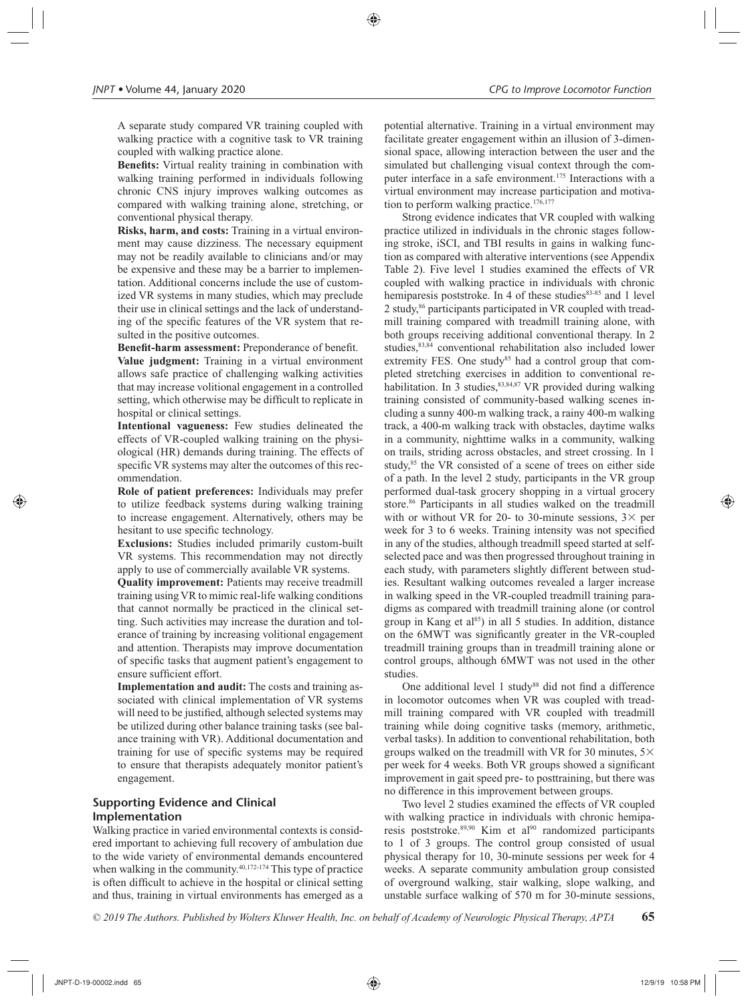A separate study compared VR training coupled with walking practice with a cognitive task to VR training coupled with walking practice alone.

**Benefits:** Virtual reality training in combination with walking training performed in individuals following chronic CNS injury improves walking outcomes as compared with walking training alone, stretching, or conventional physical therapy.

**Risks, harm, and costs:** Training in a virtual environment may cause dizziness. The necessary equipment may not be readily available to clinicians and/or may be expensive and these may be a barrier to implementation. Additional concerns include the use of customized VR systems in many studies, which may preclude their use in clinical settings and the lack of understanding of the specific features of the VR system that resulted in the positive outcomes.

Benefit-harm assessment: Preponderance of benefit.

**Value judgment:** Training in a virtual environment allows safe practice of challenging walking activities that may increase volitional engagement in a controlled setting, which otherwise may be difficult to replicate in hospital or clinical settings.

**Intentional vagueness:** Few studies delineated the effects of VR-coupled walking training on the physiological (HR) demands during training. The effects of specific VR systems may alter the outcomes of this recommendation.

**Role of patient preferences:** Individuals may prefer to utilize feedback systems during walking training to increase engagement. Alternatively, others may be hesitant to use specific technology.

**Exclusions:** Studies included primarily custom-built VR systems. This recommendation may not directly apply to use of commercially available VR systems.

**Quality improvement:** Patients may receive treadmill training using VR to mimic real-life walking conditions that cannot normally be practiced in the clinical setting. Such activities may increase the duration and tolerance of training by increasing volitional engagement and attention. Therapists may improve documentation of specific tasks that augment patient's engagement to ensure sufficient effort.

**Implementation and audit:** The costs and training associated with clinical implementation of VR systems will need to be justified, although selected systems may be utilized during other balance training tasks (see balance training with VR). Additional documentation and training for use of specific systems may be required to ensure that therapists adequately monitor patient's engagement.

## **Supporting Evidence and Clinical Implementation**

Walking practice in varied environmental contexts is considered important to achieving full recovery of ambulation due to the wide variety of environmental demands encountered when walking in the community.<sup>40,172-174</sup> This type of practice is often difficult to achieve in the hospital or clinical setting and thus, training in virtual environments has emerged as a potential alternative. Training in a virtual environment may facilitate greater engagement within an illusion of 3-dimensional space, allowing interaction between the user and the simulated but challenging visual context through the computer interface in a safe environment.<sup>175</sup> Interactions with a virtual environment may increase participation and motivation to perform walking practice.<sup>176,177</sup>

Strong evidence indicates that VR coupled with walking practice utilized in individuals in the chronic stages following stroke, iSCI, and TBI results in gains in walking function as compared with alterative interventions (see Appendix Table 2). Five level 1 studies examined the effects of VR coupled with walking practice in individuals with chronic hemiparesis poststroke. In 4 of these studies<sup>83-85</sup> and 1 level 2 study,<sup>86</sup> participants participated in VR coupled with treadmill training compared with treadmill training alone, with both groups receiving additional conventional therapy. In 2 studies, 83,84 conventional rehabilitation also included lower extremity FES. One study<sup>85</sup> had a control group that completed stretching exercises in addition to conventional rehabilitation. In  $\overline{3}$  studies,  $83,84,87$  VR provided during walking training consisted of community-based walking scenes including a sunny 400-m walking track, a rainy 400-m walking track, a 400-m walking track with obstacles, daytime walks in a community, nighttime walks in a community, walking on trails, striding across obstacles, and street crossing. In 1 study,<sup>85</sup> the VR consisted of a scene of trees on either side of a path. In the level 2 study, participants in the VR group performed dual-task grocery shopping in a virtual grocery store.<sup>86</sup> Participants in all studies walked on the treadmill with or without VR for 20- to 30-minute sessions,  $3 \times$  per week for 3 to 6 weeks. Training intensity was not specified in any of the studies, although treadmill speed started at selfselected pace and was then progressed throughout training in each study, with parameters slightly different between studies. Resultant walking outcomes revealed a larger increase in walking speed in the VR-coupled treadmill training paradigms as compared with treadmill training alone (or control group in Kang et al<sup>85</sup>) in all 5 studies. In addition, distance on the 6MWT was significantly greater in the VR-coupled treadmill training groups than in treadmill training alone or control groups, although 6MWT was not used in the other studies.

One additional level 1 study<sup>88</sup> did not find a difference in locomotor outcomes when VR was coupled with treadmill training compared with VR coupled with treadmill training while doing cognitive tasks (memory, arithmetic, verbal tasks). In addition to conventional rehabilitation, both groups walked on the treadmill with VR for 30 minutes,  $5\times$ per week for 4 weeks. Both VR groups showed a significant improvement in gait speed pre- to posttraining, but there was no difference in this improvement between groups.

Two level 2 studies examined the effects of VR coupled with walking practice in individuals with chronic hemiparesis poststroke. $89,90$  Kim et al<sup>90</sup> randomized participants to 1 of 3 groups. The control group consisted of usual physical therapy for 10, 30-minute sessions per week for 4 weeks. A separate community ambulation group consisted of overground walking, stair walking, slope walking, and unstable surface walking of 570 m for 30-minute sessions,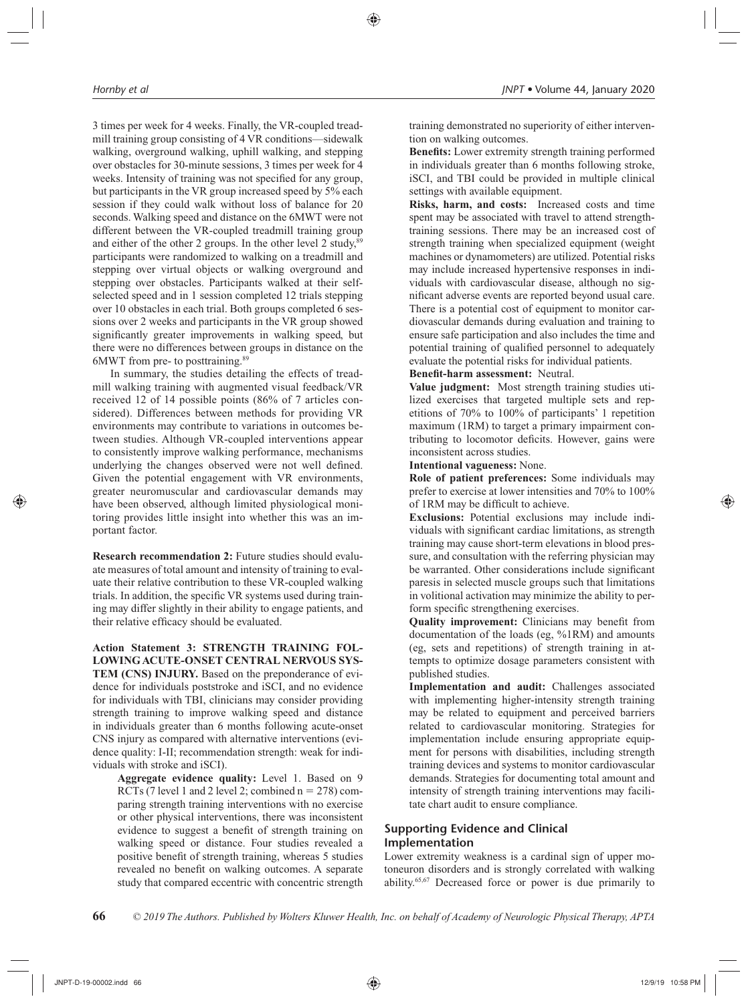3 times per week for 4 weeks. Finally, the VR-coupled treadmill training group consisting of 4 VR conditions—sidewalk walking, overground walking, uphill walking, and stepping over obstacles for 30-minute sessions, 3 times per week for 4 weeks. Intensity of training was not specified for any group, but participants in the VR group increased speed by 5% each session if they could walk without loss of balance for 20 seconds. Walking speed and distance on the 6MWT were not different between the VR-coupled treadmill training group and either of the other 2 groups. In the other level 2 study,<sup>89</sup> participants were randomized to walking on a treadmill and stepping over virtual objects or walking overground and stepping over obstacles. Participants walked at their selfselected speed and in 1 session completed 12 trials stepping over 10 obstacles in each trial. Both groups completed 6 sessions over 2 weeks and participants in the VR group showed significantly greater improvements in walking speed, but there were no differences between groups in distance on the 6MWT from pre- to posttraining.89

In summary, the studies detailing the effects of treadmill walking training with augmented visual feedback/VR received 12 of 14 possible points (86% of 7 articles considered). Differences between methods for providing VR environments may contribute to variations in outcomes between studies. Although VR-coupled interventions appear to consistently improve walking performance, mechanisms underlying the changes observed were not well defined. Given the potential engagement with VR environments, greater neuromuscular and cardiovascular demands may have been observed, although limited physiological monitoring provides little insight into whether this was an important factor.

**Research recommendation 2:** Future studies should evaluate measures of total amount and intensity of training to evaluate their relative contribution to these VR-coupled walking trials. In addition, the specific VR systems used during training may differ slightly in their ability to engage patients, and their relative efficacy should be evaluated.

#### **Action Statement 3: STRENGTH TRAINING FOL-LOWING ACUTE-ONSET CENTRAL NERVOUS SYS-TEM (CNS) INJURY.** Based on the preponderance of evi-

dence for individuals poststroke and iSCI, and no evidence for individuals with TBI, clinicians may consider providing strength training to improve walking speed and distance in individuals greater than 6 months following acute-onset CNS injury as compared with alternative interventions (evidence quality: I-II; recommendation strength: weak for individuals with stroke and iSCI).

**Aggregate evidence quality:** Level 1. Based on 9 RCTs (7 level 1 and 2 level 2; combined  $n = 278$ ) comparing strength training interventions with no exercise or other physical interventions, there was inconsistent evidence to suggest a benefit of strength training on walking speed or distance. Four studies revealed a positive benefit of strength training, whereas 5 studies revealed no benefit on walking outcomes. A separate study that compared eccentric with concentric strength

training demonstrated no superiority of either intervention on walking outcomes.

**Benefits:** Lower extremity strength training performed in individuals greater than 6 months following stroke, iSCI, and TBI could be provided in multiple clinical settings with available equipment.

**Risks, harm, and costs:** Increased costs and time spent may be associated with travel to attend strengthtraining sessions. There may be an increased cost of strength training when specialized equipment (weight machines or dynamometers) are utilized. Potential risks may include increased hypertensive responses in individuals with cardiovascular disease, although no significant adverse events are reported beyond usual care. There is a potential cost of equipment to monitor cardiovascular demands during evaluation and training to ensure safe participation and also includes the time and potential training of qualified personnel to adequately evaluate the potential risks for individual patients.

Benefit-harm assessment: Neutral.

**Value judgment:** Most strength training studies utilized exercises that targeted multiple sets and repetitions of 70% to 100% of participants' 1 repetition maximum (1RM) to target a primary impairment contributing to locomotor deficits. However, gains were inconsistent across studies.

**Intentional vagueness:** None.

**Role of patient preferences:** Some individuals may prefer to exercise at lower intensities and 70% to 100% of 1RM may be difficult to achieve.

**Exclusions:** Potential exclusions may include individuals with significant cardiac limitations, as strength training may cause short-term elevations in blood pressure, and consultation with the referring physician may be warranted. Other considerations include significant paresis in selected muscle groups such that limitations in volitional activation may minimize the ability to perform specific strengthening exercises.

Quality improvement: Clinicians may benefit from documentation of the loads (eg, %1RM) and amounts (eg, sets and repetitions) of strength training in attempts to optimize dosage parameters consistent with published studies.

**Implementation and audit:** Challenges associated with implementing higher-intensity strength training may be related to equipment and perceived barriers related to cardiovascular monitoring. Strategies for implementation include ensuring appropriate equipment for persons with disabilities, including strength training devices and systems to monitor cardiovascular demands. Strategies for documenting total amount and intensity of strength training interventions may facilitate chart audit to ensure compliance.

## **Supporting Evidence and Clinical Implementation**

Lower extremity weakness is a cardinal sign of upper motoneuron disorders and is strongly correlated with walking ability.65,67 Decreased force or power is due primarily to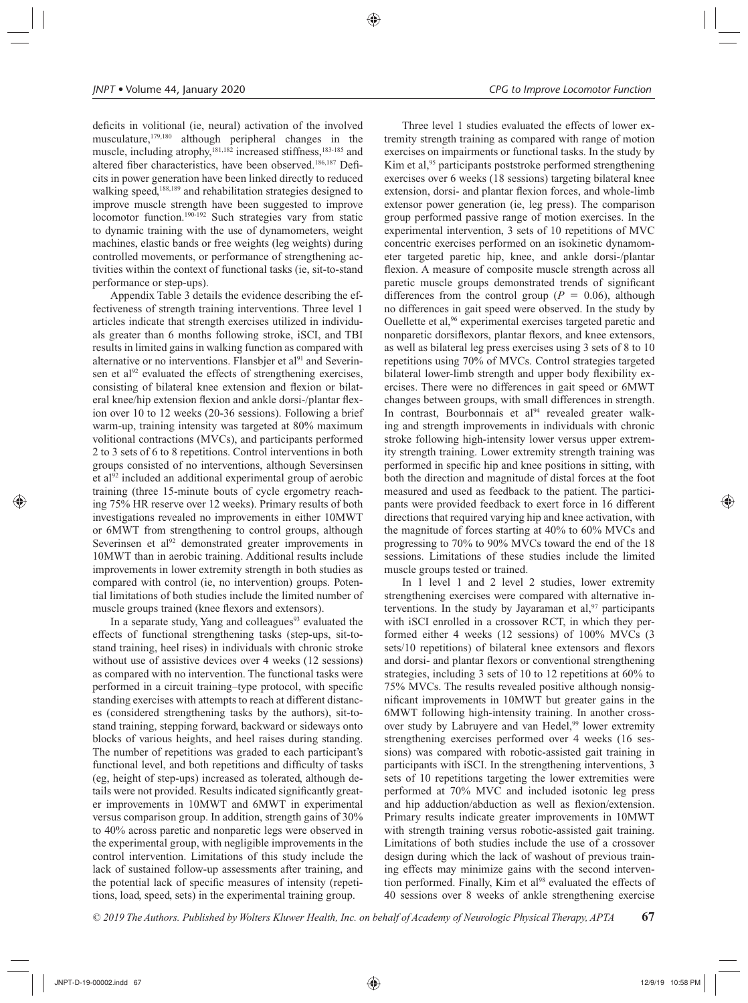*JNPT •* Volume 44, January 2020 *CPG to Improve Locomotor Function*

deficits in volitional (ie, neural) activation of the involved musculature,179,180 although peripheral changes in the muscle, including atrophy,<sup>181,182</sup> increased stiffness,<sup>183-185</sup> and altered fiber characteristics, have been observed.<sup>186,187</sup> Deficits in power generation have been linked directly to reduced walking speed,<sup>188,189</sup> and rehabilitation strategies designed to improve muscle strength have been suggested to improve locomotor function.190-192 Such strategies vary from static to dynamic training with the use of dynamometers, weight machines, elastic bands or free weights (leg weights) during controlled movements, or performance of strengthening activities within the context of functional tasks (ie, sit-to-stand performance or step-ups).

Appendix Table 3 details the evidence describing the effectiveness of strength training interventions. Three level 1 articles indicate that strength exercises utilized in individuals greater than 6 months following stroke, iSCI, and TBI results in limited gains in walking function as compared with alternative or no interventions. Flansbjer et al<sup>91</sup> and Severinsen et al<sup>92</sup> evaluated the effects of strengthening exercises, consisting of bilateral knee extension and flexion or bilateral knee/hip extension flexion and ankle dorsi-/plantar flexion over 10 to 12 weeks (20-36 sessions). Following a brief warm-up, training intensity was targeted at 80% maximum volitional contractions (MVCs), and participants performed 2 to 3 sets of 6 to 8 repetitions. Control interventions in both groups consisted of no interventions, although Seversinsen et al $^{92}$  included an additional experimental group of aerobic training (three 15-minute bouts of cycle ergometry reaching 75% HR reserve over 12 weeks). Primary results of both investigations revealed no improvements in either 10MWT or 6MWT from strengthening to control groups, although Severinsen et al<sup>92</sup> demonstrated greater improvements in 10MWT than in aerobic training. Additional results include improvements in lower extremity strength in both studies as compared with control (ie, no intervention) groups. Potential limitations of both studies include the limited number of muscle groups trained (knee flexors and extensors).

In a separate study, Yang and colleagues<sup>93</sup> evaluated the effects of functional strengthening tasks (step-ups, sit-tostand training, heel rises) in individuals with chronic stroke without use of assistive devices over 4 weeks (12 sessions) as compared with no intervention. The functional tasks were performed in a circuit training–type protocol, with specific standing exercises with attempts to reach at different distances (considered strengthening tasks by the authors), sit-tostand training, stepping forward, backward or sideways onto blocks of various heights, and heel raises during standing. The number of repetitions was graded to each participant's functional level, and both repetitions and difficulty of tasks (eg, height of step-ups) increased as tolerated, although details were not provided. Results indicated significantly greater improvements in 10MWT and 6MWT in experimental versus comparison group. In addition, strength gains of 30% to 40% across paretic and nonparetic legs were observed in the experimental group, with negligible improvements in the control intervention. Limitations of this study include the lack of sustained follow-up assessments after training, and the potential lack of specific measures of intensity (repetitions, load, speed, sets) in the experimental training group.

Three level 1 studies evaluated the effects of lower extremity strength training as compared with range of motion exercises on impairments or functional tasks. In the study by Kim et al,<sup>95</sup> participants poststroke performed strengthening exercises over 6 weeks (18 sessions) targeting bilateral knee extension, dorsi- and plantar flexion forces, and whole-limb extensor power generation (ie, leg press). The comparison group performed passive range of motion exercises. In the experimental intervention, 3 sets of 10 repetitions of MVC concentric exercises performed on an isokinetic dynamometer targeted paretic hip, knee, and ankle dorsi-/plantar flexion. A measure of composite muscle strength across all paretic muscle groups demonstrated trends of significant differences from the control group ( $P = 0.06$ ), although no differences in gait speed were observed. In the study by Ouellette et al,<sup>96</sup> experimental exercises targeted paretic and nonparetic dorsiflexors, plantar flexors, and knee extensors, as well as bilateral leg press exercises using 3 sets of 8 to 10 repetitions using 70% of MVCs. Control strategies targeted bilateral lower-limb strength and upper body flexibility exercises. There were no differences in gait speed or 6MWT changes between groups, with small differences in strength. In contrast, Bourbonnais et al<sup>94</sup> revealed greater walking and strength improvements in individuals with chronic stroke following high-intensity lower versus upper extremity strength training. Lower extremity strength training was performed in specific hip and knee positions in sitting, with both the direction and magnitude of distal forces at the foot measured and used as feedback to the patient. The participants were provided feedback to exert force in 16 different directions that required varying hip and knee activation, with the magnitude of forces starting at 40% to 60% MVCs and progressing to 70% to 90% MVCs toward the end of the 18 sessions. Limitations of these studies include the limited muscle groups tested or trained.

In 1 level 1 and 2 level 2 studies, lower extremity strengthening exercises were compared with alternative interventions. In the study by Jayaraman et al, $97$  participants with iSCI enrolled in a crossover RCT, in which they performed either 4 weeks (12 sessions) of 100% MVCs (3 sets/10 repetitions) of bilateral knee extensors and flexors and dorsi- and plantar flexors or conventional strengthening strategies, including 3 sets of 10 to 12 repetitions at 60% to 75% MVCs. The results revealed positive although nonsignificant improvements in 10MWT but greater gains in the 6MWT following high-intensity training. In another crossover study by Labruyere and van Hedel,<sup>99</sup> lower extremity strengthening exercises performed over 4 weeks (16 sessions) was compared with robotic-assisted gait training in participants with iSCI. In the strengthening interventions, 3 sets of 10 repetitions targeting the lower extremities were performed at 70% MVC and included isotonic leg press and hip adduction/abduction as well as flexion/extension. Primary results indicate greater improvements in 10MWT with strength training versus robotic-assisted gait training. Limitations of both studies include the use of a crossover design during which the lack of washout of previous training effects may minimize gains with the second intervention performed. Finally, Kim et al<sup>98</sup> evaluated the effects of 40 sessions over 8 weeks of ankle strengthening exercise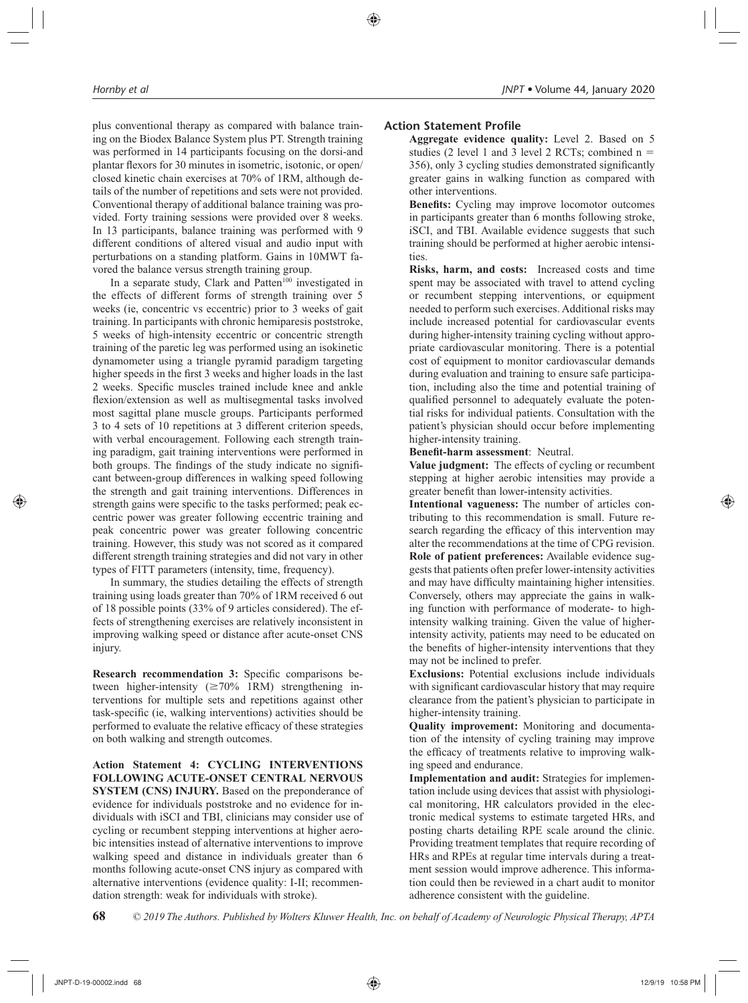plus conventional therapy as compared with balance training on the Biodex Balance System plus PT. Strength training was performed in 14 participants focusing on the dorsi-and plantar flexors for 30 minutes in isometric, isotonic, or open/ closed kinetic chain exercises at 70% of 1RM, although details of the number of repetitions and sets were not provided. Conventional therapy of additional balance training was provided. Forty training sessions were provided over 8 weeks. In 13 participants, balance training was performed with 9 different conditions of altered visual and audio input with perturbations on a standing platform. Gains in 10MWT favored the balance versus strength training group.

In a separate study, Clark and Patten<sup>100</sup> investigated in the effects of different forms of strength training over 5 weeks (ie, concentric vs eccentric) prior to 3 weeks of gait training. In participants with chronic hemiparesis poststroke, 5 weeks of high-intensity eccentric or concentric strength training of the paretic leg was performed using an isokinetic dynamometer using a triangle pyramid paradigm targeting higher speeds in the first 3 weeks and higher loads in the last 2 weeks. Specific muscles trained include knee and ankle flexion/extension as well as multisegmental tasks involved most sagittal plane muscle groups. Participants performed 3 to 4 sets of 10 repetitions at 3 different criterion speeds, with verbal encouragement. Following each strength training paradigm, gait training interventions were performed in both groups. The findings of the study indicate no significant between-group differences in walking speed following the strength and gait training interventions. Differences in strength gains were specific to the tasks performed; peak eccentric power was greater following eccentric training and peak concentric power was greater following concentric training. However, this study was not scored as it compared different strength training strategies and did not vary in other types of FITT parameters (intensity, time, frequency).

In summary, the studies detailing the effects of strength training using loads greater than 70% of 1RM received 6 out of 18 possible points (33% of 9 articles considered). The effects of strengthening exercises are relatively inconsistent in improving walking speed or distance after acute-onset CNS injury.

**Research recommendation 3:** Specific comparisons between higher-intensity (≥70% 1RM) strengthening interventions for multiple sets and repetitions against other task-specific (ie, walking interventions) activities should be performed to evaluate the relative efficacy of these strategies on both walking and strength outcomes.

## **Action Statement 4: CYCLING INTERVENTIONS FOLLOWING ACUTE-ONSET CENTRAL NERVOUS**

**SYSTEM (CNS) INJURY.** Based on the preponderance of evidence for individuals poststroke and no evidence for individuals with iSCI and TBI, clinicians may consider use of cycling or recumbent stepping interventions at higher aerobic intensities instead of alternative interventions to improve walking speed and distance in individuals greater than 6 months following acute-onset CNS injury as compared with alternative interventions (evidence quality: I-II; recommendation strength: weak for individuals with stroke).

# **Action Statement Profile**

**Aggregate evidence quality:** Level 2. Based on 5 studies (2 level 1 and 3 level 2 RCTs; combined  $n =$ 356), only 3 cycling studies demonstrated significantly greater gains in walking function as compared with other interventions.

**Benefits:** Cycling may improve locomotor outcomes in participants greater than 6 months following stroke, iSCI, and TBI. Available evidence suggests that such training should be performed at higher aerobic intensities.

**Risks, harm, and costs:** Increased costs and time spent may be associated with travel to attend cycling or recumbent stepping interventions, or equipment needed to perform such exercises. Additional risks may include increased potential for cardiovascular events during higher-intensity training cycling without appropriate cardiovascular monitoring. There is a potential cost of equipment to monitor cardiovascular demands during evaluation and training to ensure safe participation, including also the time and potential training of qualified personnel to adequately evaluate the potential risks for individual patients. Consultation with the patient's physician should occur before implementing higher-intensity training.

Benefit-harm assessment: Neutral.

**Value judgment:** The effects of cycling or recumbent stepping at higher aerobic intensities may provide a greater benefit than lower-intensity activities.

**Intentional vagueness:** The number of articles contributing to this recommendation is small. Future research regarding the efficacy of this intervention may alter the recommendations at the time of CPG revision. **Role of patient preferences:** Available evidence suggests that patients often prefer lower-intensity activities and may have difficulty maintaining higher intensities. Conversely, others may appreciate the gains in walking function with performance of moderate- to highintensity walking training. Given the value of higherintensity activity, patients may need to be educated on the benefits of higher-intensity interventions that they may not be inclined to prefer.

**Exclusions:** Potential exclusions include individuals with significant cardiovascular history that may require clearance from the patient's physician to participate in higher-intensity training.

**Quality improvement:** Monitoring and documentation of the intensity of cycling training may improve the efficacy of treatments relative to improving walking speed and endurance.

**Implementation and audit:** Strategies for implementation include using devices that assist with physiological monitoring, HR calculators provided in the electronic medical systems to estimate targeted HRs, and posting charts detailing RPE scale around the clinic. Providing treatment templates that require recording of HRs and RPEs at regular time intervals during a treatment session would improve adherence. This information could then be reviewed in a chart audit to monitor adherence consistent with the guideline.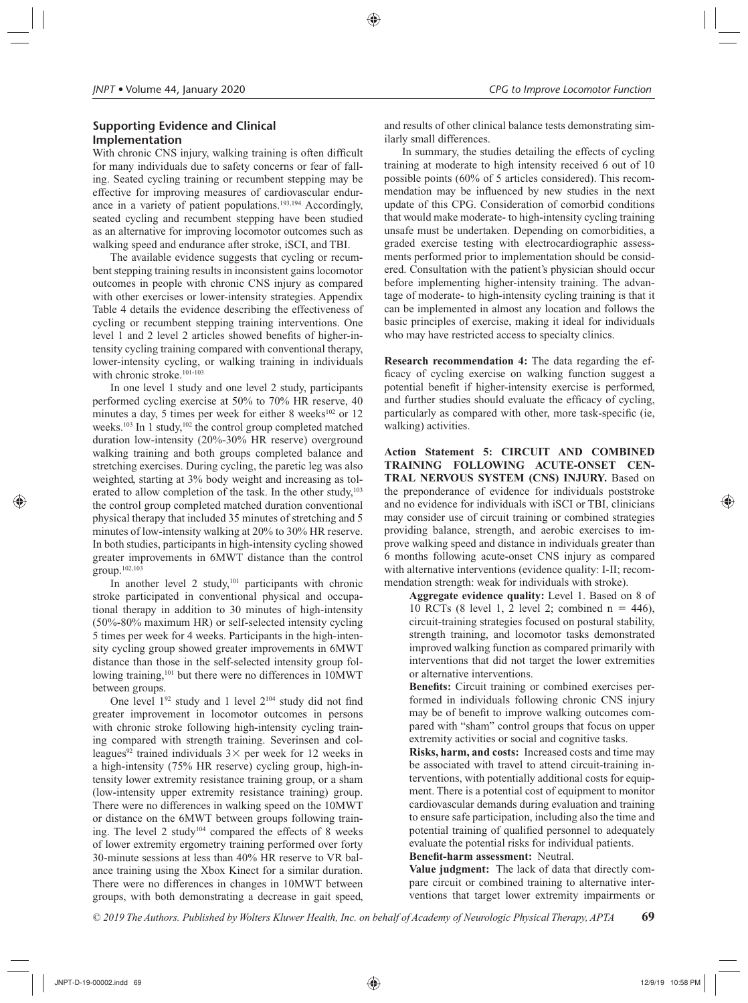# **Supporting Evidence and Clinical Implementation**

With chronic CNS injury, walking training is often difficult for many individuals due to safety concerns or fear of falling. Seated cycling training or recumbent stepping may be effective for improving measures of cardiovascular endurance in a variety of patient populations.<sup>193,194</sup> Accordingly, seated cycling and recumbent stepping have been studied as an alternative for improving locomotor outcomes such as walking speed and endurance after stroke, iSCI, and TBI.

The available evidence suggests that cycling or recumbent stepping training results in inconsistent gains locomotor outcomes in people with chronic CNS injury as compared with other exercises or lower-intensity strategies. Appendix Table 4 details the evidence describing the effectiveness of cycling or recumbent stepping training interventions. One level 1 and 2 level 2 articles showed benefits of higher-intensity cycling training compared with conventional therapy, lower-intensity cycling, or walking training in individuals with chronic stroke.<sup>101-103</sup>

In one level 1 study and one level 2 study, participants performed cycling exercise at 50% to 70% HR reserve, 40 minutes a day, 5 times per week for either 8 weeks<sup>102</sup> or 12 weeks.103 In 1 study,102 the control group completed matched duration low-intensity (20%-30% HR reserve) overground walking training and both groups completed balance and stretching exercises. During cycling, the paretic leg was also weighted, starting at 3% body weight and increasing as tolerated to allow completion of the task. In the other study, $103$ the control group completed matched duration conventional physical therapy that included 35 minutes of stretching and 5 minutes of low-intensity walking at 20% to 30% HR reserve. In both studies, participants in high-intensity cycling showed greater improvements in 6MWT distance than the control group.102,103

In another level  $2$  study,<sup>101</sup> participants with chronic stroke participated in conventional physical and occupational therapy in addition to 30 minutes of high-intensity (50%-80% maximum HR) or self-selected intensity cycling 5 times per week for 4 weeks. Participants in the high-intensity cycling group showed greater improvements in 6MWT distance than those in the self-selected intensity group following training,<sup>101</sup> but there were no differences in 10MWT between groups.

One level  $1^{92}$  study and 1 level  $2^{104}$  study did not find greater improvement in locomotor outcomes in persons with chronic stroke following high-intensity cycling training compared with strength training. Severinsen and colleagues<sup>92</sup> trained individuals  $3 \times$  per week for 12 weeks in a high-intensity (75% HR reserve) cycling group, high-intensity lower extremity resistance training group, or a sham (low-intensity upper extremity resistance training) group. There were no differences in walking speed on the 10MWT or distance on the 6MWT between groups following training. The level 2 study<sup>104</sup> compared the effects of 8 weeks of lower extremity ergometry training performed over forty 30-minute sessions at less than 40% HR reserve to VR balance training using the Xbox Kinect for a similar duration. There were no differences in changes in 10MWT between groups, with both demonstrating a decrease in gait speed,

and results of other clinical balance tests demonstrating similarly small differences.

In summary, the studies detailing the effects of cycling training at moderate to high intensity received 6 out of 10 possible points (60% of 5 articles considered). This recommendation may be influenced by new studies in the next update of this CPG. Consideration of comorbid conditions that would make moderate- to high-intensity cycling training unsafe must be undertaken. Depending on comorbidities, a graded exercise testing with electrocardiographic assessments performed prior to implementation should be considered. Consultation with the patient's physician should occur before implementing higher-intensity training. The advantage of moderate- to high-intensity cycling training is that it can be implemented in almost any location and follows the basic principles of exercise, making it ideal for individuals who may have restricted access to specialty clinics.

**Research recommendation 4:** The data regarding the efficacy of cycling exercise on walking function suggest a potential benefit if higher-intensity exercise is performed, and further studies should evaluate the efficacy of cycling, particularly as compared with other, more task-specific (ie, walking) activities.

**Action Statement 5: CIRCUIT AND COMBINED TRAINING FOLLOWING ACUTE-ONSET CEN-TRAL NERVOUS SYSTEM (CNS) INJURY.** Based on the preponderance of evidence for individuals poststroke and no evidence for individuals with iSCI or TBI, clinicians may consider use of circuit training or combined strategies providing balance, strength, and aerobic exercises to improve walking speed and distance in individuals greater than 6 months following acute-onset CNS injury as compared with alternative interventions (evidence quality: I-II; recommendation strength: weak for individuals with stroke).

**Aggregate evidence quality:** Level 1. Based on 8 of 10 RCTs (8 level 1, 2 level 2; combined  $n = 446$ ), circuit-training strategies focused on postural stability, strength training, and locomotor tasks demonstrated improved walking function as compared primarily with interventions that did not target the lower extremities or alternative interventions.

Benefits: Circuit training or combined exercises performed in individuals following chronic CNS injury may be of benefit to improve walking outcomes compared with "sham" control groups that focus on upper extremity activities or social and cognitive tasks.

**Risks, harm, and costs:** Increased costs and time may be associated with travel to attend circuit-training interventions, with potentially additional costs for equipment. There is a potential cost of equipment to monitor cardiovascular demands during evaluation and training to ensure safe participation, including also the time and potential training of qualified personnel to adequately evaluate the potential risks for individual patients. Benefit-harm assessment: Neutral.

**Value judgment:** The lack of data that directly compare circuit or combined training to alternative interventions that target lower extremity impairments or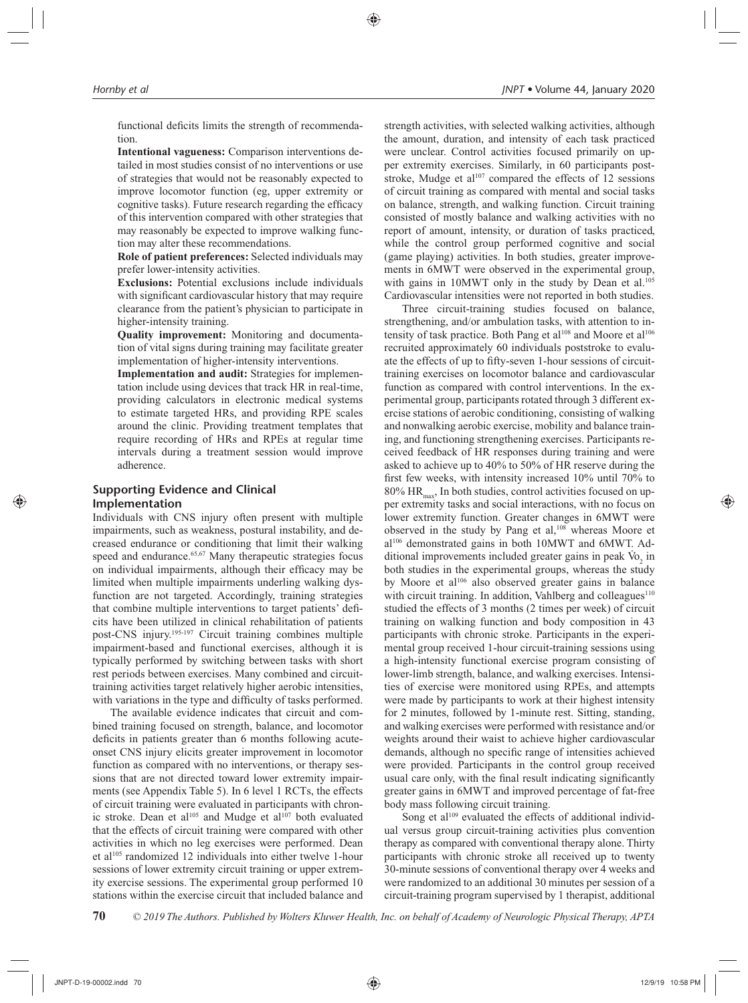functional deficits limits the strength of recommendation.

**Intentional vagueness:** Comparison interventions detailed in most studies consist of no interventions or use of strategies that would not be reasonably expected to improve locomotor function (eg, upper extremity or cognitive tasks). Future research regarding the efficacy of this intervention compared with other strategies that may reasonably be expected to improve walking function may alter these recommendations.

**Role of patient preferences:** Selected individuals may prefer lower-intensity activities.

**Exclusions:** Potential exclusions include individuals with significant cardiovascular history that may require clearance from the patient's physician to participate in higher-intensity training.

**Quality improvement:** Monitoring and documentation of vital signs during training may facilitate greater implementation of higher-intensity interventions.

**Implementation and audit:** Strategies for implementation include using devices that track HR in real-time, providing calculators in electronic medical systems to estimate targeted HRs, and providing RPE scales around the clinic. Providing treatment templates that require recording of HRs and RPEs at regular time intervals during a treatment session would improve adherence.

## **Supporting Evidence and Clinical Implementation**

Individuals with CNS injury often present with multiple impairments, such as weakness, postural instability, and decreased endurance or conditioning that limit their walking speed and endurance.<sup>65,67</sup> Many therapeutic strategies focus on individual impairments, although their efficacy may be limited when multiple impairments underling walking dysfunction are not targeted. Accordingly, training strategies that combine multiple interventions to target patients' deficits have been utilized in clinical rehabilitation of patients post-CNS injury.195-197 Circuit training combines multiple impairment-based and functional exercises, although it is typically performed by switching between tasks with short rest periods between exercises. Many combined and circuittraining activities target relatively higher aerobic intensities, with variations in the type and difficulty of tasks performed.

The available evidence indicates that circuit and combined training focused on strength, balance, and locomotor deficits in patients greater than 6 months following acuteonset CNS injury elicits greater improvement in locomotor function as compared with no interventions, or therapy sessions that are not directed toward lower extremity impairments (see Appendix Table 5). In 6 level 1 RCTs, the effects of circuit training were evaluated in participants with chronic stroke. Dean et al<sup>105</sup> and Mudge et al<sup>107</sup> both evaluated that the effects of circuit training were compared with other activities in which no leg exercises were performed. Dean et al<sup>105</sup> randomized 12 individuals into either twelve 1-hour sessions of lower extremity circuit training or upper extremity exercise sessions. The experimental group performed 10 stations within the exercise circuit that included balance and

strength activities, with selected walking activities, although the amount, duration, and intensity of each task practiced were unclear. Control activities focused primarily on upper extremity exercises. Similarly, in 60 participants poststroke, Mudge et al<sup>107</sup> compared the effects of 12 sessions of circuit training as compared with mental and social tasks on balance, strength, and walking function. Circuit training consisted of mostly balance and walking activities with no report of amount, intensity, or duration of tasks practiced, while the control group performed cognitive and social (game playing) activities. In both studies, greater improvements in 6MWT were observed in the experimental group, with gains in 10MWT only in the study by Dean et al.<sup>105</sup> Cardiovascular intensities were not reported in both studies.

Three circuit-training studies focused on balance, strengthening, and/or ambulation tasks, with attention to intensity of task practice. Both Pang et al<sup>108</sup> and Moore et al<sup>106</sup> recruited approximately 60 individuals poststroke to evaluate the effects of up to fifty-seven 1-hour sessions of circuittraining exercises on locomotor balance and cardiovascular function as compared with control interventions. In the experimental group, participants rotated through 3 different exercise stations of aerobic conditioning, consisting of walking and nonwalking aerobic exercise, mobility and balance training, and functioning strengthening exercises. Participants received feedback of HR responses during training and were asked to achieve up to 40% to 50% of HR reserve during the first few weeks, with intensity increased  $10\%$  until 70% to  $80\%$  HR<sub>max</sub>, In both studies, control activities focused on upper extremity tasks and social interactions, with no focus on lower extremity function. Greater changes in 6MWT were observed in the study by Pang et al,<sup>108</sup> whereas Moore et al106 demonstrated gains in both 10MWT and 6MWT. Additional improvements included greater gains in peak  $\dot{V}_{O_2}$  in both studies in the experimental groups, whereas the study by Moore et al<sup>106</sup> also observed greater gains in balance with circuit training. In addition, Vahlberg and colleagues<sup>110</sup> studied the effects of 3 months (2 times per week) of circuit training on walking function and body composition in 43 participants with chronic stroke. Participants in the experimental group received 1-hour circuit-training sessions using a high-intensity functional exercise program consisting of lower-limb strength, balance, and walking exercises. Intensities of exercise were monitored using RPEs, and attempts were made by participants to work at their highest intensity for 2 minutes, followed by 1-minute rest. Sitting, standing, and walking exercises were performed with resistance and/or weights around their waist to achieve higher cardiovascular demands, although no specific range of intensities achieved were provided. Participants in the control group received usual care only, with the final result indicating significantly greater gains in 6MWT and improved percentage of fat-free body mass following circuit training.

Song et al<sup>109</sup> evaluated the effects of additional individual versus group circuit-training activities plus convention therapy as compared with conventional therapy alone. Thirty participants with chronic stroke all received up to twenty 30-minute sessions of conventional therapy over 4 weeks and were randomized to an additional 30 minutes per session of a circuit-training program supervised by 1 therapist, additional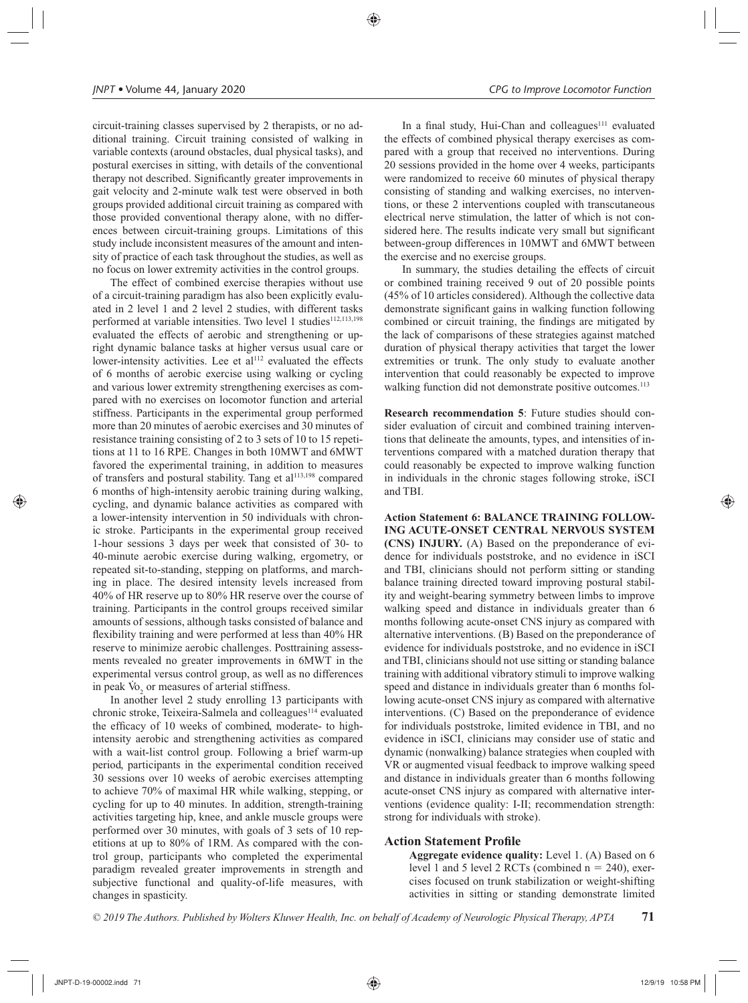circuit-training classes supervised by 2 therapists, or no additional training. Circuit training consisted of walking in variable contexts (around obstacles, dual physical tasks), and postural exercises in sitting, with details of the conventional therapy not described. Significantly greater improvements in gait velocity and 2-minute walk test were observed in both groups provided additional circuit training as compared with those provided conventional therapy alone, with no differences between circuit-training groups. Limitations of this study include inconsistent measures of the amount and intensity of practice of each task throughout the studies, as well as no focus on lower extremity activities in the control groups.

The effect of combined exercise therapies without use of a circuit-training paradigm has also been explicitly evaluated in 2 level 1 and 2 level 2 studies, with different tasks performed at variable intensities. Two level 1 studies<sup>112,113,198</sup> evaluated the effects of aerobic and strengthening or upright dynamic balance tasks at higher versus usual care or lower-intensity activities. Lee et al<sup>112</sup> evaluated the effects of 6 months of aerobic exercise using walking or cycling and various lower extremity strengthening exercises as compared with no exercises on locomotor function and arterial stiffness. Participants in the experimental group performed more than 20 minutes of aerobic exercises and 30 minutes of resistance training consisting of 2 to 3 sets of 10 to 15 repetitions at 11 to 16 RPE. Changes in both 10MWT and 6MWT favored the experimental training, in addition to measures of transfers and postural stability. Tang et al<sup>113,198</sup> compared 6 months of high-intensity aerobic training during walking, cycling, and dynamic balance activities as compared with a lower-intensity intervention in 50 individuals with chronic stroke. Participants in the experimental group received 1-hour sessions 3 days per week that consisted of 30- to 40-minute aerobic exercise during walking, ergometry, or repeated sit-to-standing, stepping on platforms, and marching in place. The desired intensity levels increased from 40% of HR reserve up to 80% HR reserve over the course of training. Participants in the control groups received similar amounts of sessions, although tasks consisted of balance and flexibility training and were performed at less than 40% HR reserve to minimize aerobic challenges. Posttraining assessments revealed no greater improvements in 6MWT in the experimental versus control group, as well as no differences in peak  $\rm\ddot{Vo}_2$  or measures of arterial stiffness.

In another level 2 study enrolling 13 participants with chronic stroke, Teixeira-Salmela and colleagues<sup>114</sup> evaluated the efficacy of 10 weeks of combined, moderate- to highintensity aerobic and strengthening activities as compared with a wait-list control group. Following a brief warm-up period, participants in the experimental condition received 30 sessions over 10 weeks of aerobic exercises attempting to achieve 70% of maximal HR while walking, stepping, or cycling for up to 40 minutes. In addition, strength-training activities targeting hip, knee, and ankle muscle groups were performed over 30 minutes, with goals of 3 sets of 10 repetitions at up to 80% of 1RM. As compared with the control group, participants who completed the experimental paradigm revealed greater improvements in strength and subjective functional and quality-of-life measures, with changes in spasticity.

In a final study, Hui-Chan and colleagues<sup>111</sup> evaluated the effects of combined physical therapy exercises as compared with a group that received no interventions. During 20 sessions provided in the home over 4 weeks, participants were randomized to receive 60 minutes of physical therapy consisting of standing and walking exercises, no interventions, or these 2 interventions coupled with transcutaneous electrical nerve stimulation, the latter of which is not considered here. The results indicate very small but significant between-group differences in 10MWT and 6MWT between the exercise and no exercise groups.

In summary, the studies detailing the effects of circuit or combined training received 9 out of 20 possible points (45% of 10 articles considered). Although the collective data demonstrate significant gains in walking function following combined or circuit training, the findings are mitigated by the lack of comparisons of these strategies against matched duration of physical therapy activities that target the lower extremities or trunk. The only study to evaluate another intervention that could reasonably be expected to improve walking function did not demonstrate positive outcomes.<sup>113</sup>

**Research recommendation 5**: Future studies should consider evaluation of circuit and combined training interventions that delineate the amounts, types, and intensities of interventions compared with a matched duration therapy that could reasonably be expected to improve walking function in individuals in the chronic stages following stroke, iSCI and TBI.

**Action Statement 6: BALANCE TRAINING FOLLOW-ING ACUTE-ONSET CENTRAL NERVOUS SYSTEM (CNS) INJURY.** (A) Based on the preponderance of evidence for individuals poststroke, and no evidence in iSCI and TBI, clinicians should not perform sitting or standing balance training directed toward improving postural stability and weight-bearing symmetry between limbs to improve walking speed and distance in individuals greater than 6 months following acute-onset CNS injury as compared with alternative interventions. (B) Based on the preponderance of evidence for individuals poststroke, and no evidence in iSCI and TBI, clinicians should not use sitting or standing balance training with additional vibratory stimuli to improve walking speed and distance in individuals greater than 6 months following acute-onset CNS injury as compared with alternative interventions. (C) Based on the preponderance of evidence for individuals poststroke, limited evidence in TBI, and no evidence in iSCI, clinicians may consider use of static and dynamic (nonwalking) balance strategies when coupled with VR or augmented visual feedback to improve walking speed and distance in individuals greater than 6 months following acute-onset CNS injury as compared with alternative interventions (evidence quality: I-II; recommendation strength: strong for individuals with stroke).

## **Action Statement Profile**

**Aggregate evidence quality:** Level 1. (A) Based on 6 level 1 and 5 level 2 RCTs (combined  $n = 240$ ), exercises focused on trunk stabilization or weight-shifting activities in sitting or standing demonstrate limited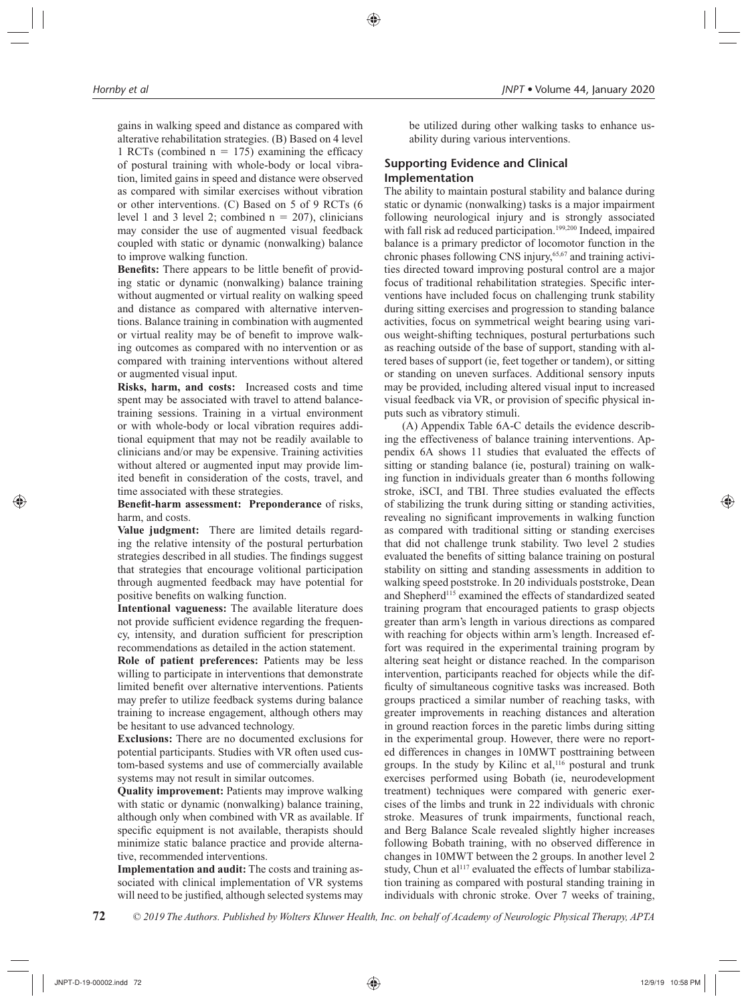gains in walking speed and distance as compared with alterative rehabilitation strategies. (B) Based on 4 level 1 RCTs (combined  $n = 175$ ) examining the efficacy of postural training with whole-body or local vibration, limited gains in speed and distance were observed as compared with similar exercises without vibration or other interventions. (C) Based on 5 of 9 RCTs (6 level 1 and 3 level 2; combined  $n = 207$ ), clinicians may consider the use of augmented visual feedback coupled with static or dynamic (nonwalking) balance to improve walking function.

**Benefits:** There appears to be little benefit of providing static or dynamic (nonwalking) balance training without augmented or virtual reality on walking speed and distance as compared with alternative interventions. Balance training in combination with augmented or virtual reality may be of benefit to improve walking outcomes as compared with no intervention or as compared with training interventions without altered or augmented visual input.

**Risks, harm, and costs:** Increased costs and time spent may be associated with travel to attend balancetraining sessions. Training in a virtual environment or with whole-body or local vibration requires additional equipment that may not be readily available to clinicians and/or may be expensive. Training activities without altered or augmented input may provide limited benefit in consideration of the costs, travel, and time associated with these strategies.

#### **Benefit-harm assessment: Preponderance** of risks, harm, and costs.

**Value judgment:** There are limited details regarding the relative intensity of the postural perturbation strategies described in all studies. The findings suggest that strategies that encourage volitional participation through augmented feedback may have potential for positive benefits on walking function.

**Intentional vagueness:** The available literature does not provide sufficient evidence regarding the frequency, intensity, and duration sufficient for prescription recommendations as detailed in the action statement.

**Role of patient preferences:** Patients may be less willing to participate in interventions that demonstrate limited benefit over alternative interventions. Patients may prefer to utilize feedback systems during balance training to increase engagement, although others may be hesitant to use advanced technology.

**Exclusions:** There are no documented exclusions for potential participants. Studies with VR often used custom-based systems and use of commercially available systems may not result in similar outcomes.

**Quality improvement:** Patients may improve walking with static or dynamic (nonwalking) balance training, although only when combined with VR as available. If specific equipment is not available, therapists should minimize static balance practice and provide alternative, recommended interventions.

**Implementation and audit:** The costs and training associated with clinical implementation of VR systems will need to be justified, although selected systems may be utilized during other walking tasks to enhance usability during various interventions.

## **Supporting Evidence and Clinical Implementation**

The ability to maintain postural stability and balance during static or dynamic (nonwalking) tasks is a major impairment following neurological injury and is strongly associated with fall risk ad reduced participation.<sup>199,200</sup> Indeed, impaired balance is a primary predictor of locomotor function in the chronic phases following CNS injury,<sup>65,67</sup> and training activities directed toward improving postural control are a major focus of traditional rehabilitation strategies. Specific interventions have included focus on challenging trunk stability during sitting exercises and progression to standing balance activities, focus on symmetrical weight bearing using various weight-shifting techniques, postural perturbations such as reaching outside of the base of support, standing with altered bases of support (ie, feet together or tandem), or sitting or standing on uneven surfaces. Additional sensory inputs may be provided, including altered visual input to increased visual feedback via VR, or provision of specific physical inputs such as vibratory stimuli.

(A) Appendix Table 6A-C details the evidence describing the effectiveness of balance training interventions. Appendix 6A shows 11 studies that evaluated the effects of sitting or standing balance (ie, postural) training on walking function in individuals greater than 6 months following stroke, iSCI, and TBI. Three studies evaluated the effects of stabilizing the trunk during sitting or standing activities, revealing no significant improvements in walking function as compared with traditional sitting or standing exercises that did not challenge trunk stability. Two level 2 studies evaluated the benefits of sitting balance training on postural stability on sitting and standing assessments in addition to walking speed poststroke. In 20 individuals poststroke, Dean and Shepherd<sup>115</sup> examined the effects of standardized seated training program that encouraged patients to grasp objects greater than arm's length in various directions as compared with reaching for objects within arm's length. Increased effort was required in the experimental training program by altering seat height or distance reached. In the comparison intervention, participants reached for objects while the difficulty of simultaneous cognitive tasks was increased. Both groups practiced a similar number of reaching tasks, with greater improvements in reaching distances and alteration in ground reaction forces in the paretic limbs during sitting in the experimental group. However, there were no reported differences in changes in 10MWT posttraining between groups. In the study by Kilinc et al,<sup>116</sup> postural and trunk exercises performed using Bobath (ie, neurodevelopment treatment) techniques were compared with generic exercises of the limbs and trunk in 22 individuals with chronic stroke. Measures of trunk impairments, functional reach, and Berg Balance Scale revealed slightly higher increases following Bobath training, with no observed difference in changes in 10MWT between the 2 groups. In another level 2 study, Chun et al<sup>117</sup> evaluated the effects of lumbar stabilization training as compared with postural standing training in individuals with chronic stroke. Over 7 weeks of training,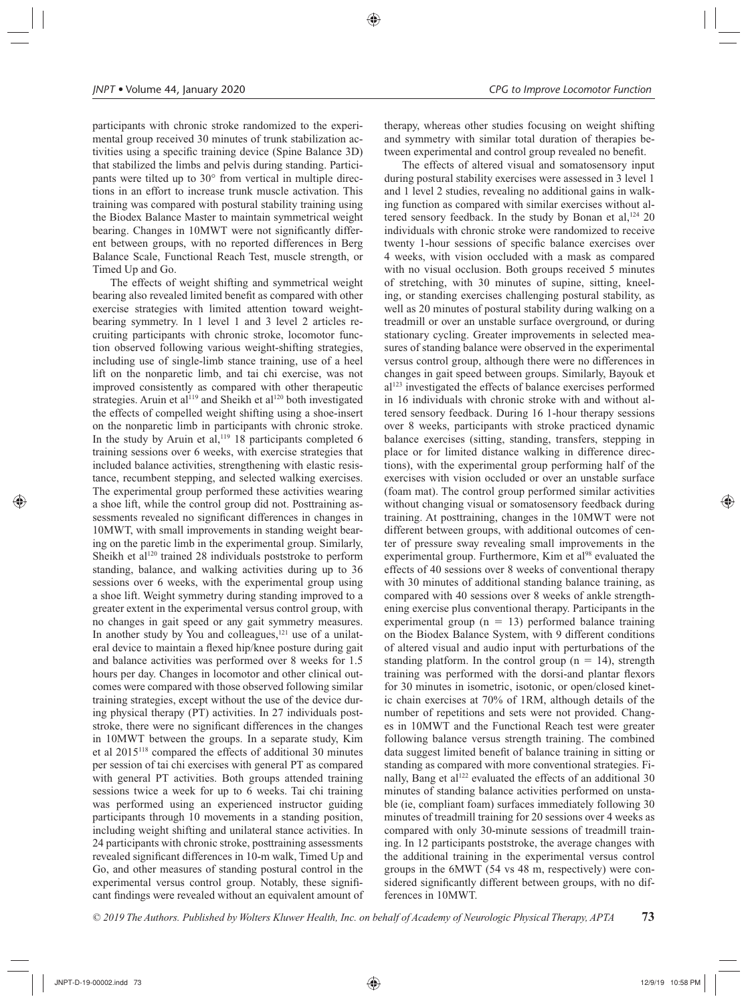participants with chronic stroke randomized to the experimental group received 30 minutes of trunk stabilization activities using a specific training device (Spine Balance 3D) that stabilized the limbs and pelvis during standing. Participants were tilted up to 30° from vertical in multiple directions in an effort to increase trunk muscle activation. This training was compared with postural stability training using the Biodex Balance Master to maintain symmetrical weight bearing. Changes in 10MWT were not significantly different between groups, with no reported differences in Berg Balance Scale, Functional Reach Test, muscle strength, or Timed Up and Go.

The effects of weight shifting and symmetrical weight bearing also revealed limited benefit as compared with other exercise strategies with limited attention toward weightbearing symmetry. In 1 level 1 and 3 level 2 articles recruiting participants with chronic stroke, locomotor function observed following various weight-shifting strategies, including use of single-limb stance training, use of a heel lift on the nonparetic limb, and tai chi exercise, was not improved consistently as compared with other therapeutic strategies. Aruin et al<sup>119</sup> and Sheikh et al<sup>120</sup> both investigated the effects of compelled weight shifting using a shoe-insert on the nonparetic limb in participants with chronic stroke. In the study by Aruin et al, $119$  18 participants completed 6 training sessions over 6 weeks, with exercise strategies that included balance activities, strengthening with elastic resistance, recumbent stepping, and selected walking exercises. The experimental group performed these activities wearing a shoe lift, while the control group did not. Posttraining assessments revealed no significant differences in changes in 10MWT, with small improvements in standing weight bearing on the paretic limb in the experimental group. Similarly, Sheikh et al<sup>120</sup> trained 28 individuals poststroke to perform standing, balance, and walking activities during up to 36 sessions over 6 weeks, with the experimental group using a shoe lift. Weight symmetry during standing improved to a greater extent in the experimental versus control group, with no changes in gait speed or any gait symmetry measures. In another study by You and colleagues,<sup>121</sup> use of a unilateral device to maintain a flexed hip/knee posture during gait and balance activities was performed over 8 weeks for 1.5 hours per day. Changes in locomotor and other clinical outcomes were compared with those observed following similar training strategies, except without the use of the device during physical therapy (PT) activities. In 27 individuals poststroke, there were no significant differences in the changes in 10MWT between the groups. In a separate study, Kim et al 2015118 compared the effects of additional 30 minutes per session of tai chi exercises with general PT as compared with general PT activities. Both groups attended training sessions twice a week for up to 6 weeks. Tai chi training was performed using an experienced instructor guiding participants through 10 movements in a standing position, including weight shifting and unilateral stance activities. In 24 participants with chronic stroke, posttraining assessments revealed significant differences in 10-m walk, Timed Up and Go, and other measures of standing postural control in the experimental versus control group. Notably, these significant findings were revealed without an equivalent amount of therapy, whereas other studies focusing on weight shifting and symmetry with similar total duration of therapies between experimental and control group revealed no benefit.

The effects of altered visual and somatosensory input during postural stability exercises were assessed in 3 level 1 and 1 level 2 studies, revealing no additional gains in walking function as compared with similar exercises without altered sensory feedback. In the study by Bonan et al,<sup>124</sup> 20 individuals with chronic stroke were randomized to receive twenty 1-hour sessions of specific balance exercises over 4 weeks, with vision occluded with a mask as compared with no visual occlusion. Both groups received 5 minutes of stretching, with 30 minutes of supine, sitting, kneeling, or standing exercises challenging postural stability, as well as 20 minutes of postural stability during walking on a treadmill or over an unstable surface overground, or during stationary cycling. Greater improvements in selected measures of standing balance were observed in the experimental versus control group, although there were no differences in changes in gait speed between groups. Similarly, Bayouk et al123 investigated the effects of balance exercises performed in 16 individuals with chronic stroke with and without altered sensory feedback. During 16 1-hour therapy sessions over 8 weeks, participants with stroke practiced dynamic balance exercises (sitting, standing, transfers, stepping in place or for limited distance walking in difference directions), with the experimental group performing half of the exercises with vision occluded or over an unstable surface (foam mat). The control group performed similar activities without changing visual or somatosensory feedback during training. At posttraining, changes in the 10MWT were not different between groups, with additional outcomes of center of pressure sway revealing small improvements in the experimental group. Furthermore, Kim et al<sup>98</sup> evaluated the effects of 40 sessions over 8 weeks of conventional therapy with 30 minutes of additional standing balance training, as compared with 40 sessions over 8 weeks of ankle strengthening exercise plus conventional therapy. Participants in the experimental group  $(n = 13)$  performed balance training on the Biodex Balance System, with 9 different conditions of altered visual and audio input with perturbations of the standing platform. In the control group ( $n = 14$ ), strength training was performed with the dorsi-and plantar flexors for 30 minutes in isometric, isotonic, or open/closed kinetic chain exercises at 70% of 1RM, although details of the number of repetitions and sets were not provided. Changes in 10MWT and the Functional Reach test were greater following balance versus strength training. The combined data suggest limited benefit of balance training in sitting or standing as compared with more conventional strategies. Finally, Bang et al<sup>122</sup> evaluated the effects of an additional 30 minutes of standing balance activities performed on unstable (ie, compliant foam) surfaces immediately following 30 minutes of treadmill training for 20 sessions over 4 weeks as compared with only 30-minute sessions of treadmill training. In 12 participants poststroke, the average changes with the additional training in the experimental versus control groups in the 6MWT (54 vs 48 m, respectively) were considered significantly different between groups, with no differences in 10MWT.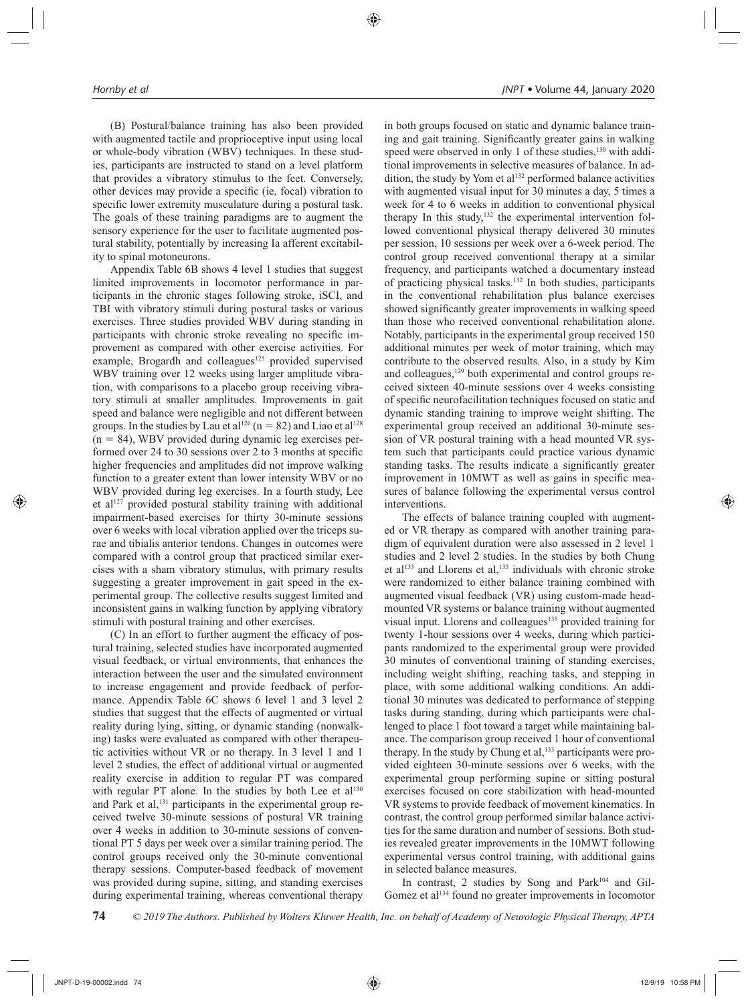(B) Postural/balance training has also been provided with augmented tactile and proprioceptive input using local or whole-body vibration (WBV) techniques. In these studies, participants are instructed to stand on a level platform that provides a vibratory stimulus to the feet. Conversely, other devices may provide a specific (ie, focal) vibration to specific lower extremity musculature during a postural task. The goals of these training paradigms are to augment the sensory experience for the user to facilitate augmented postural stability, potentially by increasing Ia afferent excitability to spinal motoneurons.

Appendix Table 6B shows 4 level 1 studies that suggest limited improvements in locomotor performance in participants in the chronic stages following stroke, iSCI, and TBI with vibratory stimuli during postural tasks or various exercises. Three studies provided WBV during standing in participants with chronic stroke revealing no specific improvement as compared with other exercise activities. For example, Brogardh and colleagues<sup>125</sup> provided supervised WBV training over 12 weeks using larger amplitude vibration, with comparisons to a placebo group receiving vibratory stimuli at smaller amplitudes. Improvements in gait speed and balance were negligible and not different between groups. In the studies by Lau et al<sup>126</sup> ( $n = 82$ ) and Liao et al<sup>128</sup>  $(n = 84)$ , WBV provided during dynamic leg exercises performed over 24 to 30 sessions over 2 to 3 months at specific higher frequencies and amplitudes did not improve walking function to a greater extent than lower intensity WBV or no WBV provided during leg exercises. In a fourth study, Lee et al<sup>127</sup> provided postural stability training with additional impairment-based exercises for thirty 30-minute sessions over 6 weeks with local vibration applied over the triceps surae and tibialis anterior tendons. Changes in outcomes were compared with a control group that practiced similar exercises with a sham vibratory stimulus, with primary results suggesting a greater improvement in gait speed in the experimental group. The collective results suggest limited and inconsistent gains in walking function by applying vibratory stimuli with postural training and other exercises.

 $(C)$  In an effort to further augment the efficacy of postural training, selected studies have incorporated augmented visual feedback, or virtual environments, that enhances the interaction between the user and the simulated environment to increase engagement and provide feedback of performance. Appendix Table 6C shows 6 level 1 and 3 level 2 studies that suggest that the effects of augmented or virtual reality during lying, sitting, or dynamic standing (nonwalking) tasks were evaluated as compared with other therapeutic activities without VR or no therapy. In 3 level 1 and 1 level 2 studies, the effect of additional virtual or augmented reality exercise in addition to regular PT was compared with regular PT alone. In the studies by both Lee et  $al<sup>130</sup>$ and Park et al,<sup>131</sup> participants in the experimental group received twelve 30-minute sessions of postural VR training over 4 weeks in addition to 30-minute sessions of conventional PT 5 days per week over a similar training period. The control groups received only the 30-minute conventional therapy sessions. Computer-based feedback of movement was provided during supine, sitting, and standing exercises during experimental training, whereas conventional therapy

in both groups focused on static and dynamic balance training and gait training. Significantly greater gains in walking speed were observed in only 1 of these studies,<sup>130</sup> with additional improvements in selective measures of balance. In addition, the study by Yom et al<sup>132</sup> performed balance activities with augmented visual input for 30 minutes a day, 5 times a week for 4 to 6 weeks in addition to conventional physical therapy In this study,<sup>132</sup> the experimental intervention followed conventional physical therapy delivered 30 minutes per session, 10 sessions per week over a 6-week period. The control group received conventional therapy at a similar frequency, and participants watched a documentary instead of practicing physical tasks.<sup>132</sup> In both studies, participants in the conventional rehabilitation plus balance exercises showed significantly greater improvements in walking speed than those who received conventional rehabilitation alone. Notably, participants in the experimental group received 150 additional minutes per week of motor training, which may contribute to the observed results. Also, in a study by Kim and colleagues,<sup>129</sup> both experimental and control groups received sixteen 40-minute sessions over 4 weeks consisting of specific neurofacilitation techniques focused on static and dynamic standing training to improve weight shifting. The experimental group received an additional 30-minute session of VR postural training with a head mounted VR system such that participants could practice various dynamic standing tasks. The results indicate a significantly greater improvement in 10MWT as well as gains in specific measures of balance following the experimental versus control interventions.

The effects of balance training coupled with augmented or VR therapy as compared with another training paradigm of equivalent duration were also assessed in 2 level 1 studies and 2 level 2 studies. In the studies by both Chung et al<sup>133</sup> and Llorens et al,<sup>135</sup> individuals with chronic stroke were randomized to either balance training combined with augmented visual feedback (VR) using custom-made headmounted VR systems or balance training without augmented visual input. Llorens and colleagues<sup>135</sup> provided training for twenty 1-hour sessions over 4 weeks, during which participants randomized to the experimental group were provided 30 minutes of conventional training of standing exercises, including weight shifting, reaching tasks, and stepping in place, with some additional walking conditions. An additional 30 minutes was dedicated to performance of stepping tasks during standing, during which participants were challenged to place 1 foot toward a target while maintaining balance. The comparison group received 1 hour of conventional therapy. In the study by Chung et al,<sup>133</sup> participants were provided eighteen 30-minute sessions over 6 weeks, with the experimental group performing supine or sitting postural exercises focused on core stabilization with head-mounted VR systems to provide feedback of movement kinematics. In contrast, the control group performed similar balance activities for the same duration and number of sessions. Both studies revealed greater improvements in the 10MWT following experimental versus control training, with additional gains in selected balance measures.

In contrast, 2 studies by Song and Park<sup>104</sup> and Gil-Gomez et al<sup>134</sup> found no greater improvements in locomotor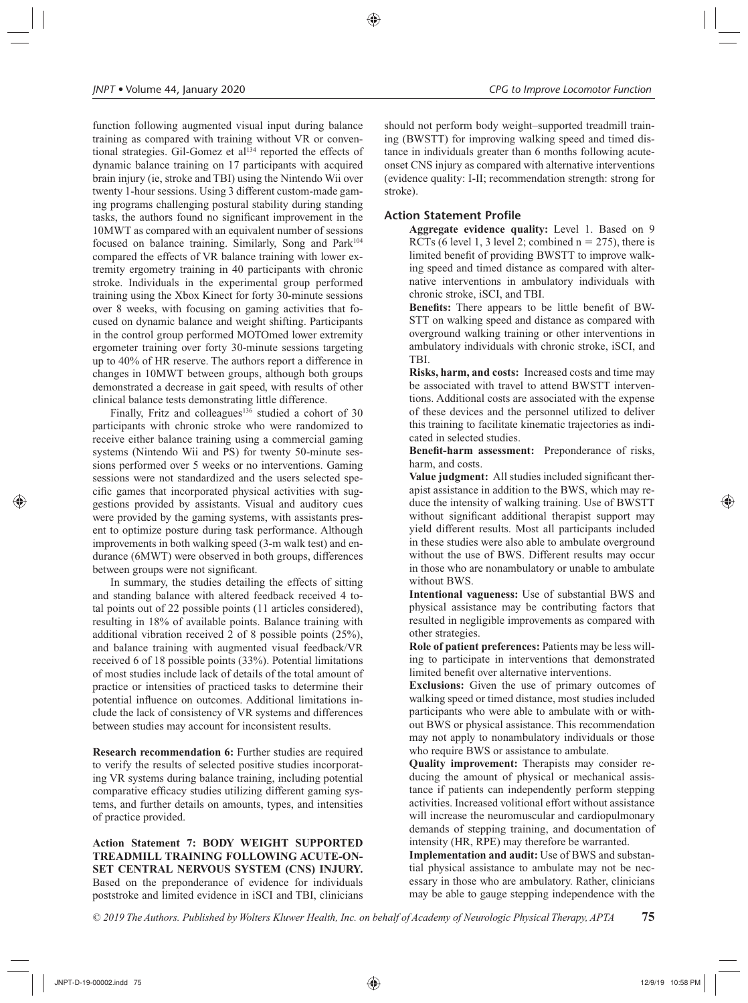function following augmented visual input during balance training as compared with training without VR or conventional strategies. Gil-Gomez et al<sup>134</sup> reported the effects of dynamic balance training on 17 participants with acquired brain injury (ie, stroke and TBI) using the Nintendo Wii over twenty 1-hour sessions. Using 3 different custom-made gaming programs challenging postural stability during standing tasks, the authors found no significant improvement in the 10MWT as compared with an equivalent number of sessions focused on balance training. Similarly, Song and Park<sup>104</sup> compared the effects of VR balance training with lower extremity ergometry training in 40 participants with chronic stroke. Individuals in the experimental group performed training using the Xbox Kinect for forty 30-minute sessions over 8 weeks, with focusing on gaming activities that focused on dynamic balance and weight shifting. Participants in the control group performed MOTOmed lower extremity ergometer training over forty 30-minute sessions targeting up to 40% of HR reserve. The authors report a difference in changes in 10MWT between groups, although both groups demonstrated a decrease in gait speed, with results of other clinical balance tests demonstrating little difference.

Finally, Fritz and colleagues<sup>136</sup> studied a cohort of 30 participants with chronic stroke who were randomized to receive either balance training using a commercial gaming systems (Nintendo Wii and PS) for twenty 50-minute sessions performed over 5 weeks or no interventions. Gaming sessions were not standardized and the users selected specific games that incorporated physical activities with suggestions provided by assistants. Visual and auditory cues were provided by the gaming systems, with assistants present to optimize posture during task performance. Although improvements in both walking speed (3-m walk test) and endurance (6MWT) were observed in both groups, differences between groups were not significant.

In summary, the studies detailing the effects of sitting and standing balance with altered feedback received 4 total points out of 22 possible points (11 articles considered), resulting in 18% of available points. Balance training with additional vibration received 2 of 8 possible points (25%), and balance training with augmented visual feedback/VR received 6 of 18 possible points (33%). Potential limitations of most studies include lack of details of the total amount of practice or intensities of practiced tasks to determine their potential influence on outcomes. Additional limitations include the lack of consistency of VR systems and differences between studies may account for inconsistent results.

**Research recommendation 6:** Further studies are required to verify the results of selected positive studies incorporating VR systems during balance training, including potential comparative efficacy studies utilizing different gaming systems, and further details on amounts, types, and intensities of practice provided.

**Action Statement 7: BODY WEIGHT SUPPORTED TREADMILL TRAINING FOLLOWING ACUTE-ON-SET CENTRAL NERVOUS SYSTEM (CNS) INJURY.** Based on the preponderance of evidence for individuals poststroke and limited evidence in iSCI and TBI, clinicians should not perform body weight–supported treadmill training (BWSTT) for improving walking speed and timed distance in individuals greater than 6 months following acuteonset CNS injury as compared with alternative interventions (evidence quality: I-II; recommendation strength: strong for stroke).

# **Action Statement Profile**

**Aggregate evidence quality:** Level 1. Based on 9 RCTs (6 level 1, 3 level 2; combined  $n = 275$ ), there is limited benefit of providing BWSTT to improve walking speed and timed distance as compared with alternative interventions in ambulatory individuals with chronic stroke, iSCI, and TBI.

**Benefits:** There appears to be little benefit of BW-STT on walking speed and distance as compared with overground walking training or other interventions in ambulatory individuals with chronic stroke, iSCI, and TBI.

**Risks, harm, and costs:** Increased costs and time may be associated with travel to attend BWSTT interventions. Additional costs are associated with the expense of these devices and the personnel utilized to deliver this training to facilitate kinematic trajectories as indicated in selected studies.

Benefit-harm assessment: Preponderance of risks, harm, and costs.

**Value judgment:** All studies included significant therapist assistance in addition to the BWS, which may reduce the intensity of walking training. Use of BWSTT without significant additional therapist support may yield different results. Most all participants included in these studies were also able to ambulate overground without the use of BWS. Different results may occur in those who are nonambulatory or unable to ambulate without BWS.

**Intentional vagueness:** Use of substantial BWS and physical assistance may be contributing factors that resulted in negligible improvements as compared with other strategies.

**Role of patient preferences:** Patients may be less willing to participate in interventions that demonstrated limited benefit over alternative interventions.

**Exclusions:** Given the use of primary outcomes of walking speed or timed distance, most studies included participants who were able to ambulate with or without BWS or physical assistance. This recommendation may not apply to nonambulatory individuals or those who require BWS or assistance to ambulate.

**Quality improvement:** Therapists may consider reducing the amount of physical or mechanical assistance if patients can independently perform stepping activities. Increased volitional effort without assistance will increase the neuromuscular and cardiopulmonary demands of stepping training, and documentation of intensity (HR, RPE) may therefore be warranted.

**Implementation and audit:** Use of BWS and substantial physical assistance to ambulate may not be necessary in those who are ambulatory. Rather, clinicians may be able to gauge stepping independence with the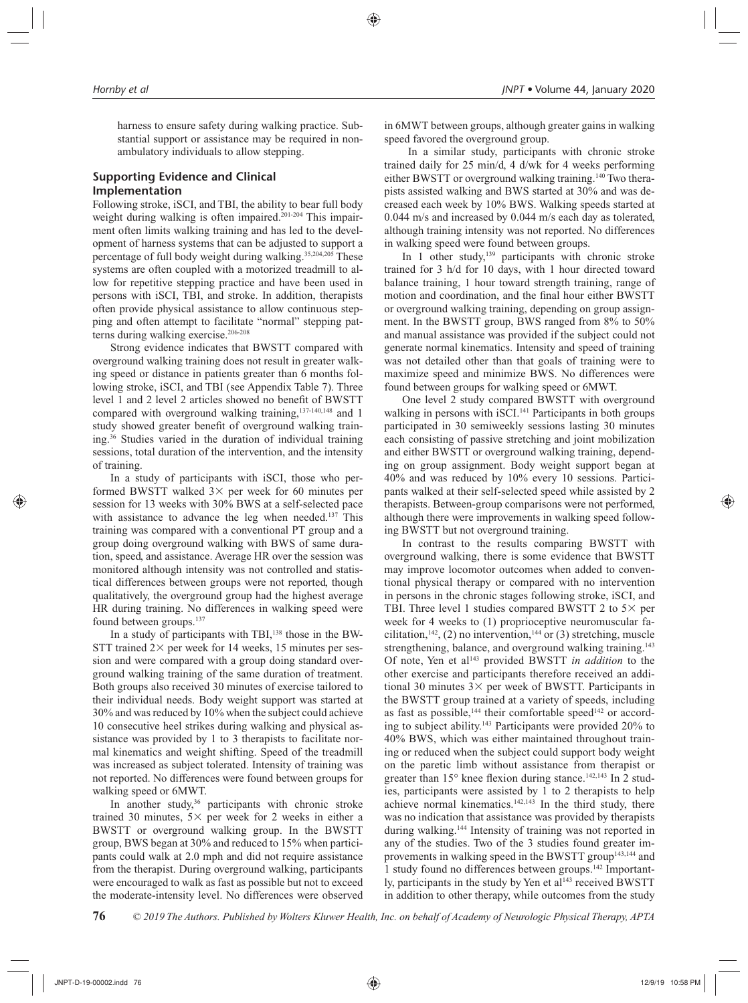harness to ensure safety during walking practice. Substantial support or assistance may be required in nonambulatory individuals to allow stepping.

## **Supporting Evidence and Clinical Implementation**

Following stroke, iSCI, and TBI, the ability to bear full body weight during walking is often impaired.<sup>201-204</sup> This impairment often limits walking training and has led to the development of harness systems that can be adjusted to support a percentage of full body weight during walking.35,204,205 These systems are often coupled with a motorized treadmill to allow for repetitive stepping practice and have been used in persons with iSCI, TBI, and stroke. In addition, therapists often provide physical assistance to allow continuous stepping and often attempt to facilitate "normal" stepping patterns during walking exercise.206-208

Strong evidence indicates that BWSTT compared with overground walking training does not result in greater walking speed or distance in patients greater than 6 months following stroke, iSCI, and TBI (see Appendix Table 7). Three level 1 and 2 level 2 articles showed no benefit of BWSTT compared with overground walking training,137-140,148 and 1 study showed greater benefit of overground walking training.36 Studies varied in the duration of individual training sessions, total duration of the intervention, and the intensity of training.

In a study of participants with iSCI, those who performed BWSTT walked  $3 \times$  per week for 60 minutes per session for 13 weeks with 30% BWS at a self-selected pace with assistance to advance the leg when needed.<sup>137</sup> This training was compared with a conventional PT group and a group doing overground walking with BWS of same duration, speed, and assistance. Average HR over the session was monitored although intensity was not controlled and statistical differences between groups were not reported, though qualitatively, the overground group had the highest average HR during training. No differences in walking speed were found between groups.<sup>137</sup>

In a study of participants with TBI,<sup>138</sup> those in the BW-STT trained  $2 \times$  per week for 14 weeks, 15 minutes per session and were compared with a group doing standard overground walking training of the same duration of treatment. Both groups also received 30 minutes of exercise tailored to their individual needs. Body weight support was started at 30% and was reduced by 10% when the subject could achieve 10 consecutive heel strikes during walking and physical assistance was provided by 1 to 3 therapists to facilitate normal kinematics and weight shifting. Speed of the treadmill was increased as subject tolerated. Intensity of training was not reported. No differences were found between groups for walking speed or 6MWT.

In another study,<sup>36</sup> participants with chronic stroke trained 30 minutes,  $5 \times$  per week for 2 weeks in either a BWSTT or overground walking group. In the BWSTT group, BWS began at 30% and reduced to 15% when participants could walk at 2.0 mph and did not require assistance from the therapist. During overground walking, participants were encouraged to walk as fast as possible but not to exceed the moderate-intensity level. No differences were observed

in 6MWT between groups, although greater gains in walking speed favored the overground group.

 In a similar study, participants with chronic stroke trained daily for 25 min/d, 4 d/wk for 4 weeks performing either BWSTT or overground walking training.140 Two therapists assisted walking and BWS started at 30% and was decreased each week by 10% BWS. Walking speeds started at 0.044 m/s and increased by 0.044 m/s each day as tolerated, although training intensity was not reported. No differences in walking speed were found between groups.

In 1 other study,<sup>139</sup> participants with chronic stroke trained for 3 h/d for 10 days, with 1 hour directed toward balance training, 1 hour toward strength training, range of motion and coordination, and the final hour either BWSTT or overground walking training, depending on group assignment. In the BWSTT group, BWS ranged from 8% to 50% and manual assistance was provided if the subject could not generate normal kinematics. Intensity and speed of training was not detailed other than that goals of training were to maximize speed and minimize BWS. No differences were found between groups for walking speed or 6MWT.

One level 2 study compared BWSTT with overground walking in persons with iSCI.<sup>141</sup> Participants in both groups participated in 30 semiweekly sessions lasting 30 minutes each consisting of passive stretching and joint mobilization and either BWSTT or overground walking training, depending on group assignment. Body weight support began at 40% and was reduced by 10% every 10 sessions. Participants walked at their self-selected speed while assisted by 2 therapists. Between-group comparisons were not performed, although there were improvements in walking speed following BWSTT but not overground training.

In contrast to the results comparing BWSTT with overground walking, there is some evidence that BWSTT may improve locomotor outcomes when added to conventional physical therapy or compared with no intervention in persons in the chronic stages following stroke, iSCI, and TBI. Three level 1 studies compared BWSTT 2 to  $5\times$  per week for 4 weeks to (1) proprioceptive neuromuscular facilitation,  $142$ , (2) no intervention,  $144$  or (3) stretching, muscle strengthening, balance, and overground walking training.<sup>143</sup> Of note, Yen et al143 provided BWSTT *in addition* to the other exercise and participants therefore received an additional 30 minutes  $3 \times$  per week of BWSTT. Participants in the BWSTT group trained at a variety of speeds, including as fast as possible,<sup>144</sup> their comfortable speed<sup>142</sup> or according to subject ability.143 Participants were provided 20% to 40% BWS, which was either maintained throughout training or reduced when the subject could support body weight on the paretic limb without assistance from therapist or greater than  $15^{\circ}$  knee flexion during stance.<sup>142,143</sup> In 2 studies, participants were assisted by 1 to 2 therapists to help achieve normal kinematics.<sup>142,143</sup> In the third study, there was no indication that assistance was provided by therapists during walking.<sup>144</sup> Intensity of training was not reported in any of the studies. Two of the 3 studies found greater improvements in walking speed in the BWSTT group<sup>143,144</sup> and 1 study found no differences between groups.142 Importantly, participants in the study by Yen et al<sup>143</sup> received BWSTT in addition to other therapy, while outcomes from the study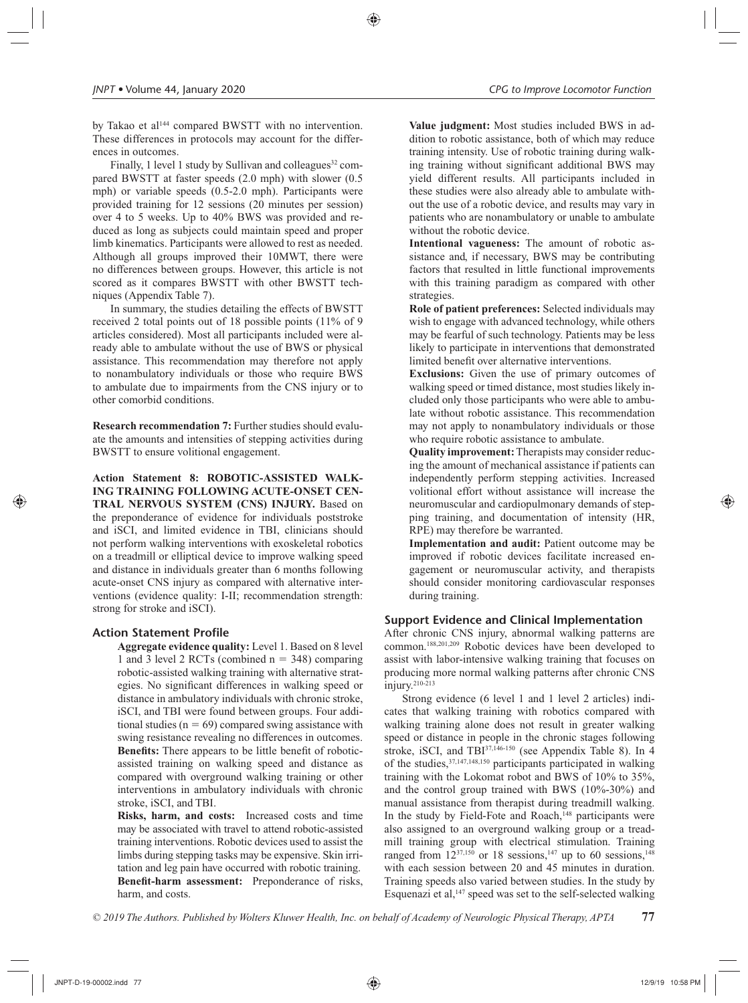by Takao et al<sup>144</sup> compared BWSTT with no intervention. These differences in protocols may account for the differences in outcomes.

Finally, 1 level 1 study by Sullivan and colleagues<sup>32</sup> compared BWSTT at faster speeds (2.0 mph) with slower (0.5 mph) or variable speeds (0.5-2.0 mph). Participants were provided training for 12 sessions (20 minutes per session) over 4 to 5 weeks. Up to 40% BWS was provided and reduced as long as subjects could maintain speed and proper limb kinematics. Participants were allowed to rest as needed. Although all groups improved their 10MWT, there were no differences between groups. However, this article is not scored as it compares BWSTT with other BWSTT techniques (Appendix Table 7).

In summary, the studies detailing the effects of BWSTT received 2 total points out of 18 possible points (11% of 9 articles considered). Most all participants included were already able to ambulate without the use of BWS or physical assistance. This recommendation may therefore not apply to nonambulatory individuals or those who require BWS to ambulate due to impairments from the CNS injury or to other comorbid conditions.

**Research recommendation 7: Further studies should evalu**ate the amounts and intensities of stepping activities during BWSTT to ensure volitional engagement.

**Action Statement 8: ROBOTIC-ASSISTED WALK-ING TRAINING FOLLOWING ACUTE-ONSET CEN-TRAL NERVOUS SYSTEM (CNS) INJURY.** Based on the preponderance of evidence for individuals poststroke and iSCI, and limited evidence in TBI, clinicians should not perform walking interventions with exoskeletal robotics on a treadmill or elliptical device to improve walking speed and distance in individuals greater than 6 months following acute-onset CNS injury as compared with alternative interventions (evidence quality: I-II; recommendation strength: strong for stroke and iSCI).

#### **Action Statement Profile**

**Aggregate evidence quality:** Level 1. Based on 8 level 1 and 3 level 2 RCTs (combined  $n = 348$ ) comparing robotic-assisted walking training with alternative strategies. No significant differences in walking speed or distance in ambulatory individuals with chronic stroke, iSCI, and TBI were found between groups. Four additional studies ( $n = 69$ ) compared swing assistance with swing resistance revealing no differences in outcomes. **Benefits:** There appears to be little benefit of roboticassisted training on walking speed and distance as compared with overground walking training or other interventions in ambulatory individuals with chronic stroke, iSCI, and TBI.

**Risks, harm, and costs:** Increased costs and time may be associated with travel to attend robotic-assisted training interventions. Robotic devices used to assist the limbs during stepping tasks may be expensive. Skin irritation and leg pain have occurred with robotic training. Benefit-harm assessment: Preponderance of risks, harm, and costs.

**Value judgment:** Most studies included BWS in addition to robotic assistance, both of which may reduce training intensity. Use of robotic training during walking training without significant additional BWS may yield different results. All participants included in these studies were also already able to ambulate without the use of a robotic device, and results may vary in patients who are nonambulatory or unable to ambulate without the robotic device.

**Intentional vagueness:** The amount of robotic assistance and, if necessary, BWS may be contributing factors that resulted in little functional improvements with this training paradigm as compared with other strategies.

**Role of patient preferences:** Selected individuals may wish to engage with advanced technology, while others may be fearful of such technology. Patients may be less likely to participate in interventions that demonstrated limited benefit over alternative interventions.

**Exclusions:** Given the use of primary outcomes of walking speed or timed distance, most studies likely included only those participants who were able to ambulate without robotic assistance. This recommendation may not apply to nonambulatory individuals or those who require robotic assistance to ambulate.

**Quality improvement:** Therapists may consider reducing the amount of mechanical assistance if patients can independently perform stepping activities. Increased volitional effort without assistance will increase the neuromuscular and cardiopulmonary demands of stepping training, and documentation of intensity (HR, RPE) may therefore be warranted.

**Implementation and audit:** Patient outcome may be improved if robotic devices facilitate increased engagement or neuromuscular activity, and therapists should consider monitoring cardiovascular responses during training.

## **Support Evidence and Clinical Implementation**

After chronic CNS injury, abnormal walking patterns are common.188,201,209 Robotic devices have been developed to assist with labor-intensive walking training that focuses on producing more normal walking patterns after chronic CNS injury.210-213

Strong evidence (6 level 1 and 1 level 2 articles) indicates that walking training with robotics compared with walking training alone does not result in greater walking speed or distance in people in the chronic stages following stroke, iSCI, and TBI<sup>37,146-150</sup> (see Appendix Table 8). In 4 of the studies,37,147,148,150 participants participated in walking training with the Lokomat robot and BWS of 10% to 35%, and the control group trained with BWS (10%-30%) and manual assistance from therapist during treadmill walking. In the study by Field-Fote and Roach,<sup>148</sup> participants were also assigned to an overground walking group or a treadmill training group with electrical stimulation. Training ranged from  $12^{37,150}$  or 18 sessions,<sup>147</sup> up to 60 sessions,<sup>148</sup> with each session between 20 and 45 minutes in duration. Training speeds also varied between studies. In the study by Esquenazi et al,<sup>147</sup> speed was set to the self-selected walking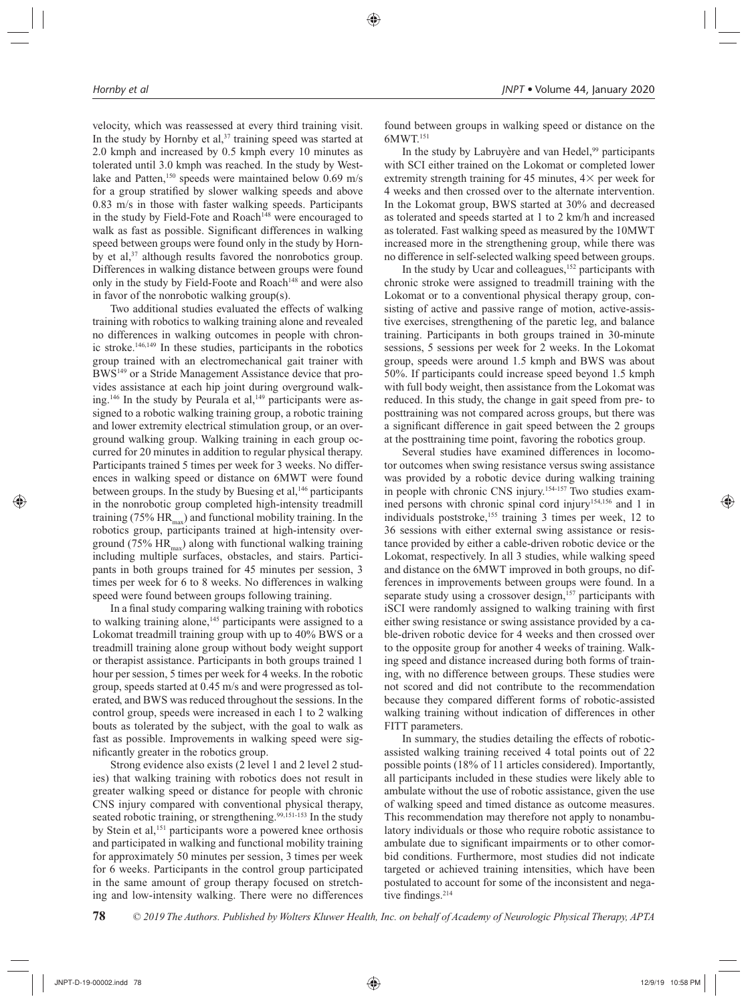velocity, which was reassessed at every third training visit. In the study by Hornby et al,<sup>37</sup> training speed was started at 2.0 kmph and increased by 0.5 kmph every 10 minutes as tolerated until 3.0 kmph was reached. In the study by Westlake and Patten,<sup>150</sup> speeds were maintained below 0.69 m/s for a group stratified by slower walking speeds and above 0.83 m/s in those with faster walking speeds. Participants in the study by Field-Fote and Roach<sup>148</sup> were encouraged to walk as fast as possible. Significant differences in walking speed between groups were found only in the study by Hornby et al,<sup>37</sup> although results favored the nonrobotics group. Differences in walking distance between groups were found only in the study by Field-Foote and Roach<sup>148</sup> and were also in favor of the nonrobotic walking group(s).

Two additional studies evaluated the effects of walking training with robotics to walking training alone and revealed no differences in walking outcomes in people with chronic stroke.146,149 In these studies, participants in the robotics group trained with an electromechanical gait trainer with BWS149 or a Stride Management Assistance device that provides assistance at each hip joint during overground walking.<sup>146</sup> In the study by Peurala et al,<sup>149</sup> participants were assigned to a robotic walking training group, a robotic training and lower extremity electrical stimulation group, or an overground walking group. Walking training in each group occurred for 20 minutes in addition to regular physical therapy. Participants trained 5 times per week for 3 weeks. No differences in walking speed or distance on 6MWT were found between groups. In the study by Buesing et al,<sup>146</sup> participants in the nonrobotic group completed high-intensity treadmill training (75%  $HR<sub>max</sub>$ ) and functional mobility training. In the robotics group, participants trained at high-intensity overground (75%  $HR_{max}$ ) along with functional walking training including multiple surfaces, obstacles, and stairs. Participants in both groups trained for 45 minutes per session, 3 times per week for 6 to 8 weeks. No differences in walking speed were found between groups following training.

In a final study comparing walking training with robotics to walking training alone,<sup>145</sup> participants were assigned to a Lokomat treadmill training group with up to 40% BWS or a treadmill training alone group without body weight support or therapist assistance. Participants in both groups trained 1 hour per session, 5 times per week for 4 weeks. In the robotic group, speeds started at 0.45 m/s and were progressed as tolerated, and BWS was reduced throughout the sessions. In the control group, speeds were increased in each 1 to 2 walking bouts as tolerated by the subject, with the goal to walk as fast as possible. Improvements in walking speed were significantly greater in the robotics group.

Strong evidence also exists (2 level 1 and 2 level 2 studies) that walking training with robotics does not result in greater walking speed or distance for people with chronic CNS injury compared with conventional physical therapy, seated robotic training, or strengthening.<sup>99,151-153</sup> In the study by Stein et al,<sup>151</sup> participants wore a powered knee orthosis and participated in walking and functional mobility training for approximately 50 minutes per session, 3 times per week for 6 weeks. Participants in the control group participated in the same amount of group therapy focused on stretching and low-intensity walking. There were no differences found between groups in walking speed or distance on the 6MWT.151

In the study by Labruyère and van Hedel,<sup>99</sup> participants with SCI either trained on the Lokomat or completed lower extremity strength training for 45 minutes,  $4\times$  per week for 4 weeks and then crossed over to the alternate intervention. In the Lokomat group, BWS started at 30% and decreased as tolerated and speeds started at 1 to 2 km/h and increased as tolerated. Fast walking speed as measured by the 10MWT increased more in the strengthening group, while there was no difference in self-selected walking speed between groups.

In the study by Ucar and colleagues,<sup>152</sup> participants with chronic stroke were assigned to treadmill training with the Lokomat or to a conventional physical therapy group, consisting of active and passive range of motion, active-assistive exercises, strengthening of the paretic leg, and balance training. Participants in both groups trained in 30-minute sessions, 5 sessions per week for 2 weeks. In the Lokomat group, speeds were around 1.5 kmph and BWS was about 50%. If participants could increase speed beyond 1.5 kmph with full body weight, then assistance from the Lokomat was reduced. In this study, the change in gait speed from pre- to posttraining was not compared across groups, but there was a significant difference in gait speed between the 2 groups at the posttraining time point, favoring the robotics group.

Several studies have examined differences in locomotor outcomes when swing resistance versus swing assistance was provided by a robotic device during walking training in people with chronic CNS injury.154-157 Two studies examined persons with chronic spinal cord injury154,156 and 1 in individuals poststroke,155 training 3 times per week, 12 to 36 sessions with either external swing assistance or resistance provided by either a cable-driven robotic device or the Lokomat, respectively. In all 3 studies, while walking speed and distance on the 6MWT improved in both groups, no differences in improvements between groups were found. In a separate study using a crossover design,<sup>157</sup> participants with iSCI were randomly assigned to walking training with first either swing resistance or swing assistance provided by a cable-driven robotic device for 4 weeks and then crossed over to the opposite group for another 4 weeks of training. Walking speed and distance increased during both forms of training, with no difference between groups. These studies were not scored and did not contribute to the recommendation because they compared different forms of robotic-assisted walking training without indication of differences in other FITT parameters.

In summary, the studies detailing the effects of roboticassisted walking training received 4 total points out of 22 possible points (18% of 11 articles considered). Importantly, all participants included in these studies were likely able to ambulate without the use of robotic assistance, given the use of walking speed and timed distance as outcome measures. This recommendation may therefore not apply to nonambulatory individuals or those who require robotic assistance to ambulate due to significant impairments or to other comorbid conditions. Furthermore, most studies did not indicate targeted or achieved training intensities, which have been postulated to account for some of the inconsistent and negative findings. $214$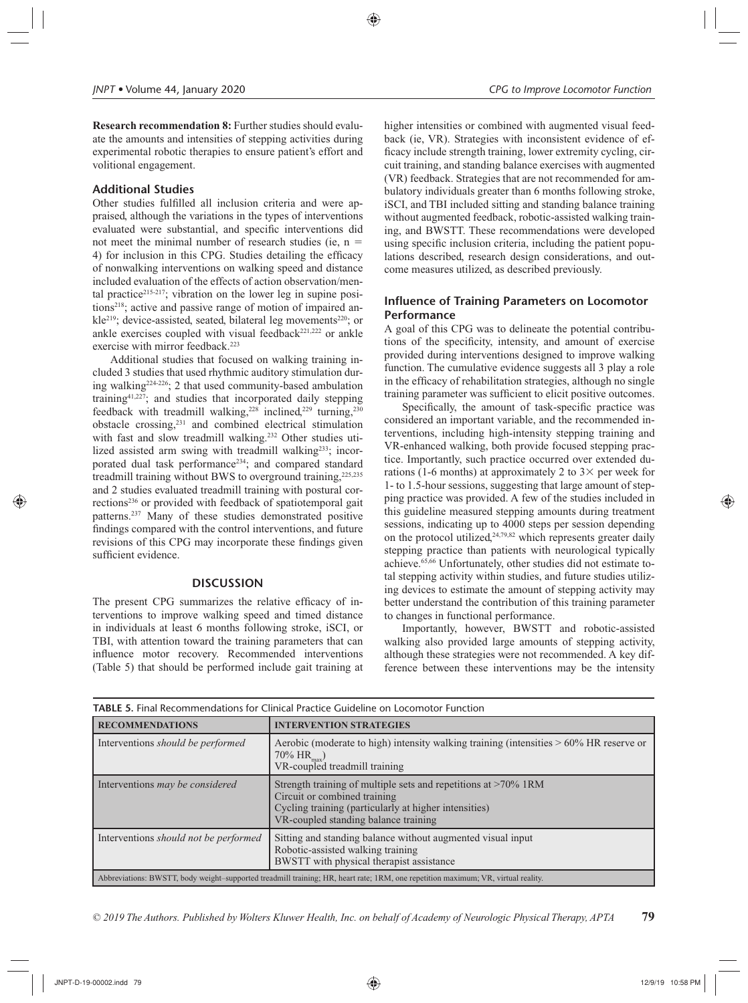**Research recommendation 8:** Further studies should evaluate the amounts and intensities of stepping activities during experimental robotic therapies to ensure patient's effort and volitional engagement.

#### **Additional Studies**

Other studies fulfilled all inclusion criteria and were appraised, although the variations in the types of interventions evaluated were substantial, and specific interventions did not meet the minimal number of research studies (ie,  $n =$ 4) for inclusion in this CPG. Studies detailing the efficacy of nonwalking interventions on walking speed and distance included evaluation of the effects of action observation/mental practice<sup>215-217</sup>; vibration on the lower leg in supine positions<sup>218</sup>; active and passive range of motion of impaired ankle<sup>219</sup>; device-assisted, seated, bilateral leg movements<sup>220</sup>; or ankle exercises coupled with visual feedback $221,222$  or ankle exercise with mirror feedback.<sup>223</sup>

Additional studies that focused on walking training included 3 studies that used rhythmic auditory stimulation during walking224-226; 2 that used community-based ambulation training41,227; and studies that incorporated daily stepping feedback with treadmill walking,<sup>228</sup> inclined,<sup>229</sup> turning,<sup>230</sup> obstacle crossing,231 and combined electrical stimulation with fast and slow treadmill walking.<sup>232</sup> Other studies utilized assisted arm swing with treadmill walking<sup>233</sup>; incorporated dual task performance<sup>234</sup>; and compared standard treadmill training without BWS to overground training,<sup>225,235</sup> and 2 studies evaluated treadmill training with postural corrections<sup>236</sup> or provided with feedback of spatiotemporal gait patterns.237 Many of these studies demonstrated positive findings compared with the control interventions, and future revisions of this CPG may incorporate these findings given sufficient evidence.

#### **DISCUSSION**

The present CPG summarizes the relative efficacy of interventions to improve walking speed and timed distance in individuals at least 6 months following stroke, iSCI, or TBI, with attention toward the training parameters that can influence motor recovery. Recommended interventions (Table 5) that should be performed include gait training at higher intensities or combined with augmented visual feedback (ie, VR). Strategies with inconsistent evidence of efficacy include strength training, lower extremity cycling, circuit training, and standing balance exercises with augmented (VR) feedback. Strategies that are not recommended for ambulatory individuals greater than 6 months following stroke, iSCI, and TBI included sitting and standing balance training without augmented feedback, robotic-assisted walking training, and BWSTT. These recommendations were developed using specific inclusion criteria, including the patient populations described, research design considerations, and outcome measures utilized, as described previously.

#### **Influence of Training Parameters on Locomotor Performance**

A goal of this CPG was to delineate the potential contributions of the specificity, intensity, and amount of exercise provided during interventions designed to improve walking function. The cumulative evidence suggests all 3 play a role in the efficacy of rehabilitation strategies, although no single training parameter was sufficient to elicit positive outcomes.

Specifically, the amount of task-specific practice was considered an important variable, and the recommended interventions, including high-intensity stepping training and VR-enhanced walking, both provide focused stepping practice. Importantly, such practice occurred over extended durations (1-6 months) at approximately 2 to  $3\times$  per week for 1- to 1.5-hour sessions, suggesting that large amount of stepping practice was provided. A few of the studies included in this guideline measured stepping amounts during treatment sessions, indicating up to 4000 steps per session depending on the protocol utilized,<sup>24,79,82</sup> which represents greater daily stepping practice than patients with neurological typically achieve.65,66 Unfortunately, other studies did not estimate total stepping activity within studies, and future studies utilizing devices to estimate the amount of stepping activity may better understand the contribution of this training parameter to changes in functional performance.

Importantly, however, BWSTT and robotic-assisted walking also provided large amounts of stepping activity, although these strategies were not recommended. A key difference between these interventions may be the intensity

| <b>TABLE 5.</b> Final Recommendations for Clinical Practice Guideline on Locomotor Function |                                                                                                                                                                                                    |  |  |
|---------------------------------------------------------------------------------------------|----------------------------------------------------------------------------------------------------------------------------------------------------------------------------------------------------|--|--|
| <b>RECOMMENDATIONS</b>                                                                      | <b>INTERVENTION STRATEGIES</b>                                                                                                                                                                     |  |  |
| Interventions should be performed                                                           | Aerobic (moderate to high) intensity walking training (intensities $> 60\%$ HR reserve or<br>70% $HR_{max}$ )<br>VR-coupled treadmill training                                                     |  |  |
| Interventions may be considered                                                             | Strength training of multiple sets and repetitions at $>70\%$ 1RM<br>Circuit or combined training<br>Cycling training (particularly at higher intensities)<br>VR-coupled standing balance training |  |  |
| Interventions <i>should not be performed</i>                                                | Sitting and standing balance without augmented visual input<br>Robotic-assisted walking training<br>BWSTT with physical therapist assistance                                                       |  |  |
|                                                                                             | Abbreviations: BWSTT, body weight-supported treadmill training; HR, heart rate; 1RM, one repetition maximum; VR, virtual reality.                                                                  |  |  |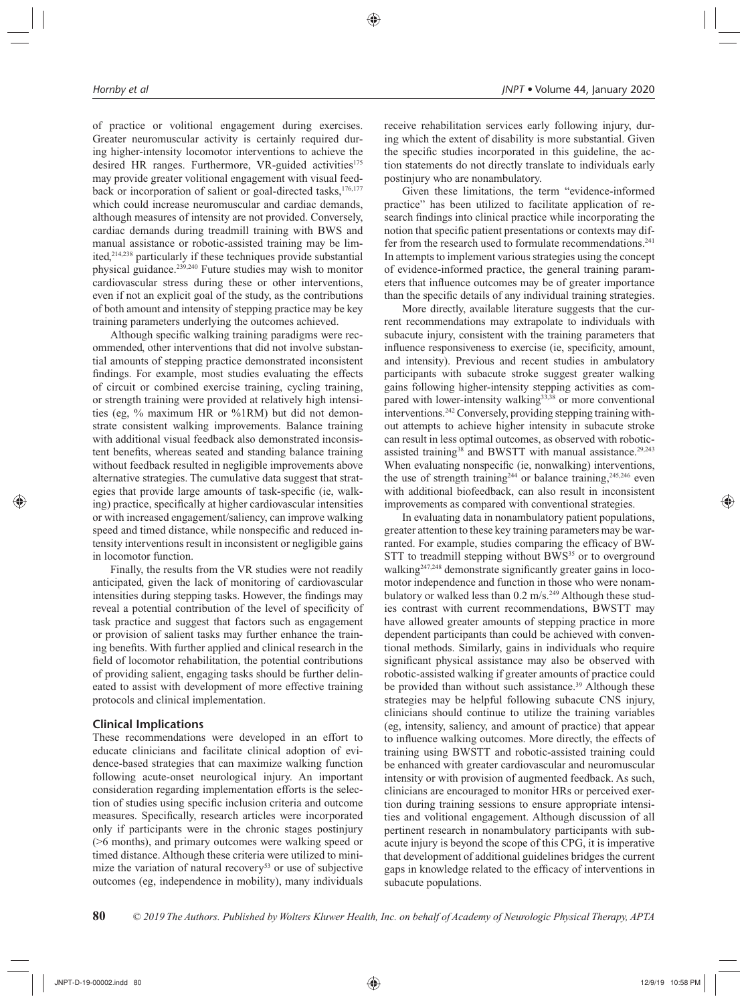of practice or volitional engagement during exercises. Greater neuromuscular activity is certainly required during higher-intensity locomotor interventions to achieve the desired HR ranges. Furthermore, VR-guided activities<sup>175</sup> may provide greater volitional engagement with visual feedback or incorporation of salient or goal-directed tasks,<sup>176,177</sup> which could increase neuromuscular and cardiac demands, although measures of intensity are not provided. Conversely, cardiac demands during treadmill training with BWS and manual assistance or robotic-assisted training may be limited,214,238 particularly if these techniques provide substantial physical guidance.239,240 Future studies may wish to monitor cardiovascular stress during these or other interventions, even if not an explicit goal of the study, as the contributions of both amount and intensity of stepping practice may be key training parameters underlying the outcomes achieved.

Although specific walking training paradigms were recommended, other interventions that did not involve substantial amounts of stepping practice demonstrated inconsistent findings. For example, most studies evaluating the effects of circuit or combined exercise training, cycling training, or strength training were provided at relatively high intensities (eg, % maximum HR or %1RM) but did not demonstrate consistent walking improvements. Balance training with additional visual feedback also demonstrated inconsistent benefits, whereas seated and standing balance training without feedback resulted in negligible improvements above alternative strategies. The cumulative data suggest that strategies that provide large amounts of task-specific (ie, walking) practice, specifically at higher cardiovascular intensities or with increased engagement/saliency, can improve walking speed and timed distance, while nonspecific and reduced intensity interventions result in inconsistent or negligible gains in locomotor function.

Finally, the results from the VR studies were not readily anticipated, given the lack of monitoring of cardiovascular intensities during stepping tasks. However, the findings may reveal a potential contribution of the level of specificity of task practice and suggest that factors such as engagement or provision of salient tasks may further enhance the training benefits. With further applied and clinical research in the field of locomotor rehabilitation, the potential contributions of providing salient, engaging tasks should be further delineated to assist with development of more effective training protocols and clinical implementation.

#### **Clinical Implications**

These recommendations were developed in an effort to educate clinicians and facilitate clinical adoption of evidence-based strategies that can maximize walking function following acute-onset neurological injury. An important consideration regarding implementation efforts is the selection of studies using specific inclusion criteria and outcome measures. Specifically, research articles were incorporated only if participants were in the chronic stages postinjury (>6 months), and primary outcomes were walking speed or timed distance. Although these criteria were utilized to minimize the variation of natural recovery<sup>53</sup> or use of subjective outcomes (eg, independence in mobility), many individuals receive rehabilitation services early following injury, during which the extent of disability is more substantial. Given the specific studies incorporated in this guideline, the action statements do not directly translate to individuals early postinjury who are nonambulatory.

Given these limitations, the term "evidence-informed practice" has been utilized to facilitate application of research findings into clinical practice while incorporating the notion that specific patient presentations or contexts may differ from the research used to formulate recommendations.<sup>241</sup> In attempts to implement various strategies using the concept of evidence-informed practice, the general training parameters that influence outcomes may be of greater importance than the specific details of any individual training strategies.

More directly, available literature suggests that the current recommendations may extrapolate to individuals with subacute injury, consistent with the training parameters that influence responsiveness to exercise (ie, specificity, amount, and intensity). Previous and recent studies in ambulatory participants with subacute stroke suggest greater walking gains following higher-intensity stepping activities as compared with lower-intensity walking<sup>33,38</sup> or more conventional interventions.242 Conversely, providing stepping training without attempts to achieve higher intensity in subacute stroke can result in less optimal outcomes, as observed with roboticassisted training<sup>38</sup> and BWSTT with manual assistance.<sup>29,243</sup> When evaluating nonspecific (ie, nonwalking) interventions, the use of strength training<sup>244</sup> or balance training,<sup>245,246</sup> even with additional biofeedback, can also result in inconsistent improvements as compared with conventional strategies.

In evaluating data in nonambulatory patient populations, greater attention to these key training parameters may be warranted. For example, studies comparing the efficacy of BW- $STT$  to treadmill stepping without BWS $35$  or to overground walking<sup>247,248</sup> demonstrate significantly greater gains in locomotor independence and function in those who were nonambulatory or walked less than  $0.2 \text{ m/s}$ .<sup>249</sup> Although these studies contrast with current recommendations, BWSTT may have allowed greater amounts of stepping practice in more dependent participants than could be achieved with conventional methods. Similarly, gains in individuals who require significant physical assistance may also be observed with robotic-assisted walking if greater amounts of practice could be provided than without such assistance.<sup>39</sup> Although these strategies may be helpful following subacute CNS injury, clinicians should continue to utilize the training variables (eg, intensity, saliency, and amount of practice) that appear to influence walking outcomes. More directly, the effects of training using BWSTT and robotic-assisted training could be enhanced with greater cardiovascular and neuromuscular intensity or with provision of augmented feedback. As such, clinicians are encouraged to monitor HRs or perceived exertion during training sessions to ensure appropriate intensities and volitional engagement. Although discussion of all pertinent research in nonambulatory participants with subacute injury is beyond the scope of this CPG, it is imperative that development of additional guidelines bridges the current gaps in knowledge related to the efficacy of interventions in subacute populations.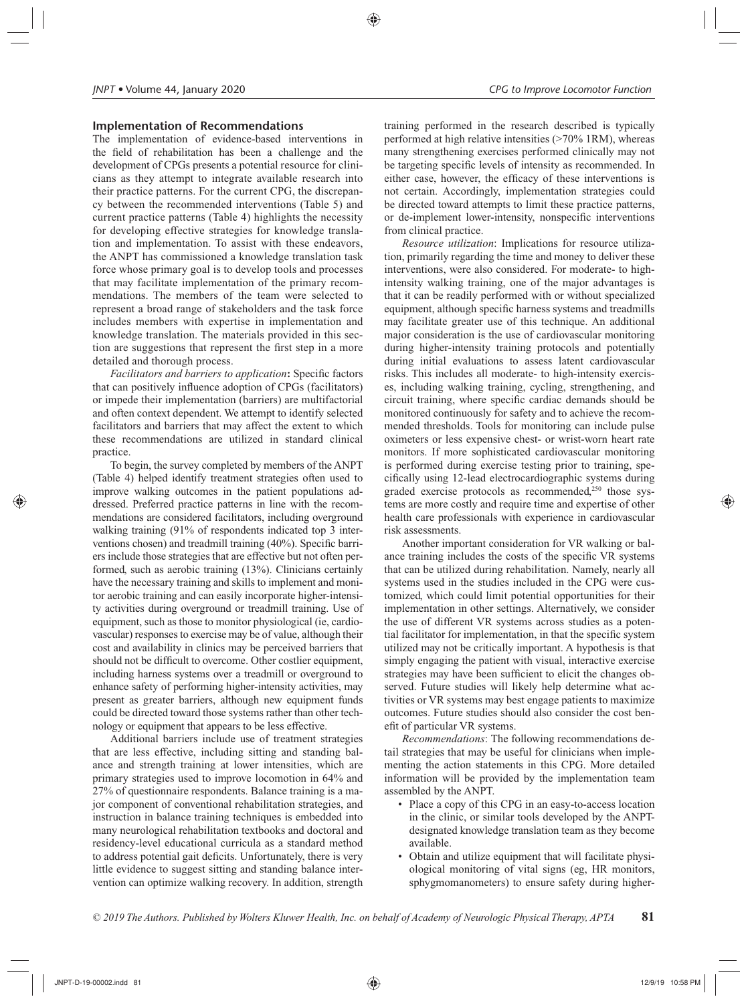#### **Implementation of Recommendations**

The implementation of evidence-based interventions in the field of rehabilitation has been a challenge and the development of CPGs presents a potential resource for clinicians as they attempt to integrate available research into their practice patterns. For the current CPG, the discrepancy between the recommended interventions (Table 5) and current practice patterns (Table 4) highlights the necessity for developing effective strategies for knowledge translation and implementation. To assist with these endeavors, the ANPT has commissioned a knowledge translation task force whose primary goal is to develop tools and processes that may facilitate implementation of the primary recommendations. The members of the team were selected to represent a broad range of stakeholders and the task force includes members with expertise in implementation and knowledge translation. The materials provided in this section are suggestions that represent the first step in a more detailed and thorough process.

*Facilitators and barriers to application*: Specific factors that can positively influence adoption of CPGs (facilitators) or impede their implementation (barriers) are multifactorial and often context dependent. We attempt to identify selected facilitators and barriers that may affect the extent to which these recommendations are utilized in standard clinical practice.

To begin, the survey completed by members of the ANPT (Table 4) helped identify treatment strategies often used to improve walking outcomes in the patient populations addressed. Preferred practice patterns in line with the recommendations are considered facilitators, including overground walking training (91% of respondents indicated top 3 interventions chosen) and treadmill training (40%). Specific barriers include those strategies that are effective but not often performed, such as aerobic training (13%). Clinicians certainly have the necessary training and skills to implement and monitor aerobic training and can easily incorporate higher-intensity activities during overground or treadmill training. Use of equipment, such as those to monitor physiological (ie, cardiovascular) responses to exercise may be of value, although their cost and availability in clinics may be perceived barriers that should not be difficult to overcome. Other costlier equipment, including harness systems over a treadmill or overground to enhance safety of performing higher-intensity activities, may present as greater barriers, although new equipment funds could be directed toward those systems rather than other technology or equipment that appears to be less effective.

Additional barriers include use of treatment strategies that are less effective, including sitting and standing balance and strength training at lower intensities, which are primary strategies used to improve locomotion in 64% and 27% of questionnaire respondents. Balance training is a major component of conventional rehabilitation strategies, and instruction in balance training techniques is embedded into many neurological rehabilitation textbooks and doctoral and residency-level educational curricula as a standard method to address potential gait deficits. Unfortunately, there is very little evidence to suggest sitting and standing balance intervention can optimize walking recovery. In addition, strength training performed in the research described is typically performed at high relative intensities (>70% 1RM), whereas many strengthening exercises performed clinically may not be targeting specific levels of intensity as recommended. In either case, however, the efficacy of these interventions is not certain. Accordingly, implementation strategies could be directed toward attempts to limit these practice patterns, or de-implement lower-intensity, nonspecific interventions from clinical practice.

*Resource utilization*: Implications for resource utilization, primarily regarding the time and money to deliver these interventions, were also considered. For moderate- to highintensity walking training, one of the major advantages is that it can be readily performed with or without specialized equipment, although specific harness systems and treadmills may facilitate greater use of this technique. An additional major consideration is the use of cardiovascular monitoring during higher-intensity training protocols and potentially during initial evaluations to assess latent cardiovascular risks. This includes all moderate- to high-intensity exercises, including walking training, cycling, strengthening, and circuit training, where specific cardiac demands should be monitored continuously for safety and to achieve the recommended thresholds. Tools for monitoring can include pulse oximeters or less expensive chest- or wrist-worn heart rate monitors. If more sophisticated cardiovascular monitoring is performed during exercise testing prior to training, specifically using 12-lead electrocardiographic systems during graded exercise protocols as recommended,<sup>250</sup> those systems are more costly and require time and expertise of other health care professionals with experience in cardiovascular risk assessments.

Another important consideration for VR walking or balance training includes the costs of the specific VR systems that can be utilized during rehabilitation. Namely, nearly all systems used in the studies included in the CPG were customized, which could limit potential opportunities for their implementation in other settings. Alternatively, we consider the use of different VR systems across studies as a potential facilitator for implementation, in that the specific system utilized may not be critically important. A hypothesis is that simply engaging the patient with visual, interactive exercise strategies may have been sufficient to elicit the changes observed. Future studies will likely help determine what activities or VR systems may best engage patients to maximize outcomes. Future studies should also consider the cost benefit of particular VR systems.

*Recommendations*: The following recommendations detail strategies that may be useful for clinicians when implementing the action statements in this CPG. More detailed information will be provided by the implementation team assembled by the ANPT.

- Place a copy of this CPG in an easy-to-access location in the clinic, or similar tools developed by the ANPTdesignated knowledge translation team as they become available.
- Obtain and utilize equipment that will facilitate physiological monitoring of vital signs (eg, HR monitors, sphygmomanometers) to ensure safety during higher-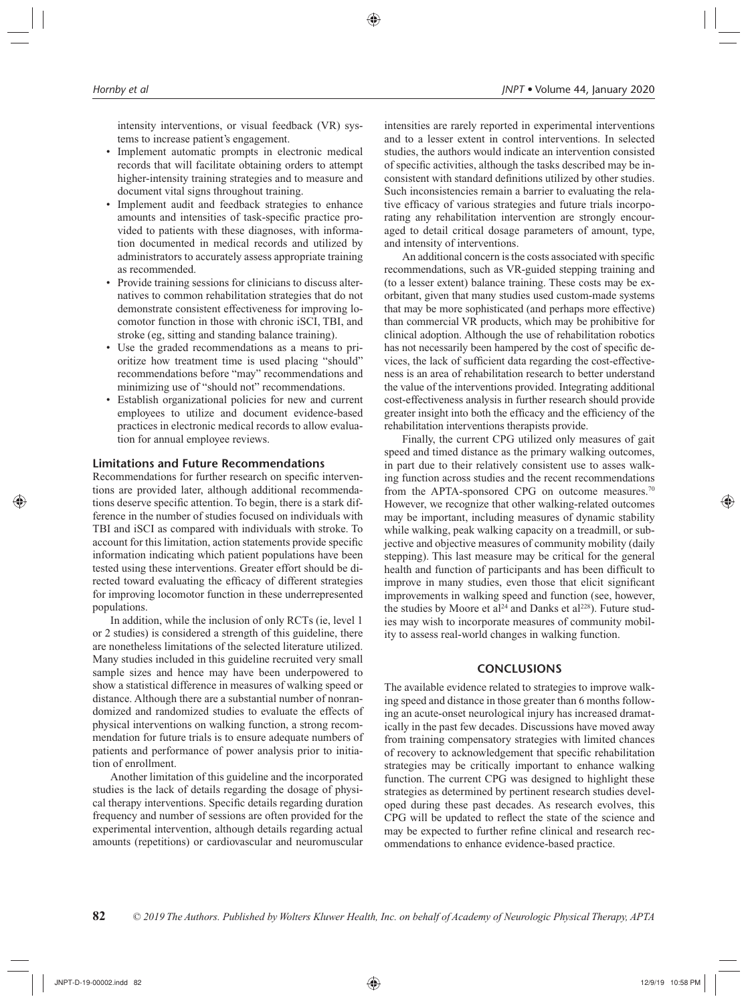intensity interventions, or visual feedback (VR) systems to increase patient's engagement.

- Implement automatic prompts in electronic medical records that will facilitate obtaining orders to attempt higher-intensity training strategies and to measure and document vital signs throughout training.
- Implement audit and feedback strategies to enhance amounts and intensities of task-specific practice provided to patients with these diagnoses, with information documented in medical records and utilized by administrators to accurately assess appropriate training as recommended.
- Provide training sessions for clinicians to discuss alternatives to common rehabilitation strategies that do not demonstrate consistent effectiveness for improving locomotor function in those with chronic iSCI, TBI, and stroke (eg, sitting and standing balance training).
- Use the graded recommendations as a means to prioritize how treatment time is used placing "should" recommendations before "may" recommendations and minimizing use of "should not" recommendations.
- Establish organizational policies for new and current employees to utilize and document evidence-based practices in electronic medical records to allow evaluation for annual employee reviews.

#### **Limitations and Future Recommendations**

Recommendations for further research on specific interventions are provided later, although additional recommendations deserve specific attention. To begin, there is a stark difference in the number of studies focused on individuals with TBI and iSCI as compared with individuals with stroke. To account for this limitation, action statements provide specific information indicating which patient populations have been tested using these interventions. Greater effort should be directed toward evaluating the efficacy of different strategies for improving locomotor function in these underrepresented populations.

In addition, while the inclusion of only RCTs (ie, level 1 or 2 studies) is considered a strength of this guideline, there are nonetheless limitations of the selected literature utilized. Many studies included in this guideline recruited very small sample sizes and hence may have been underpowered to show a statistical difference in measures of walking speed or distance. Although there are a substantial number of nonrandomized and randomized studies to evaluate the effects of physical interventions on walking function, a strong recommendation for future trials is to ensure adequate numbers of patients and performance of power analysis prior to initiation of enrollment.

Another limitation of this guideline and the incorporated studies is the lack of details regarding the dosage of physical therapy interventions. Specific details regarding duration frequency and number of sessions are often provided for the experimental intervention, although details regarding actual amounts (repetitions) or cardiovascular and neuromuscular intensities are rarely reported in experimental interventions and to a lesser extent in control interventions. In selected studies, the authors would indicate an intervention consisted of specific activities, although the tasks described may be inconsistent with standard definitions utilized by other studies. Such inconsistencies remain a barrier to evaluating the relative efficacy of various strategies and future trials incorporating any rehabilitation intervention are strongly encouraged to detail critical dosage parameters of amount, type, and intensity of interventions.

An additional concern is the costs associated with specific recommendations, such as VR-guided stepping training and (to a lesser extent) balance training. These costs may be exorbitant, given that many studies used custom-made systems that may be more sophisticated (and perhaps more effective) than commercial VR products, which may be prohibitive for clinical adoption. Although the use of rehabilitation robotics has not necessarily been hampered by the cost of specific devices, the lack of sufficient data regarding the cost-effectiveness is an area of rehabilitation research to better understand the value of the interventions provided. Integrating additional cost-effectiveness analysis in further research should provide greater insight into both the efficacy and the efficiency of the rehabilitation interventions therapists provide.

Finally, the current CPG utilized only measures of gait speed and timed distance as the primary walking outcomes, in part due to their relatively consistent use to asses walking function across studies and the recent recommendations from the APTA-sponsored CPG on outcome measures.<sup>70</sup> However, we recognize that other walking-related outcomes may be important, including measures of dynamic stability while walking, peak walking capacity on a treadmill, or subjective and objective measures of community mobility (daily stepping). This last measure may be critical for the general health and function of participants and has been difficult to improve in many studies, even those that elicit significant improvements in walking speed and function (see, however, the studies by Moore et al<sup>24</sup> and Danks et al<sup>228</sup>). Future studies may wish to incorporate measures of community mobility to assess real-world changes in walking function.

#### **CONCLUSIONS**

The available evidence related to strategies to improve walking speed and distance in those greater than 6 months following an acute-onset neurological injury has increased dramatically in the past few decades. Discussions have moved away from training compensatory strategies with limited chances of recovery to acknowledgement that specific rehabilitation strategies may be critically important to enhance walking function. The current CPG was designed to highlight these strategies as determined by pertinent research studies developed during these past decades. As research evolves, this CPG will be updated to reflect the state of the science and may be expected to further refine clinical and research recommendations to enhance evidence-based practice.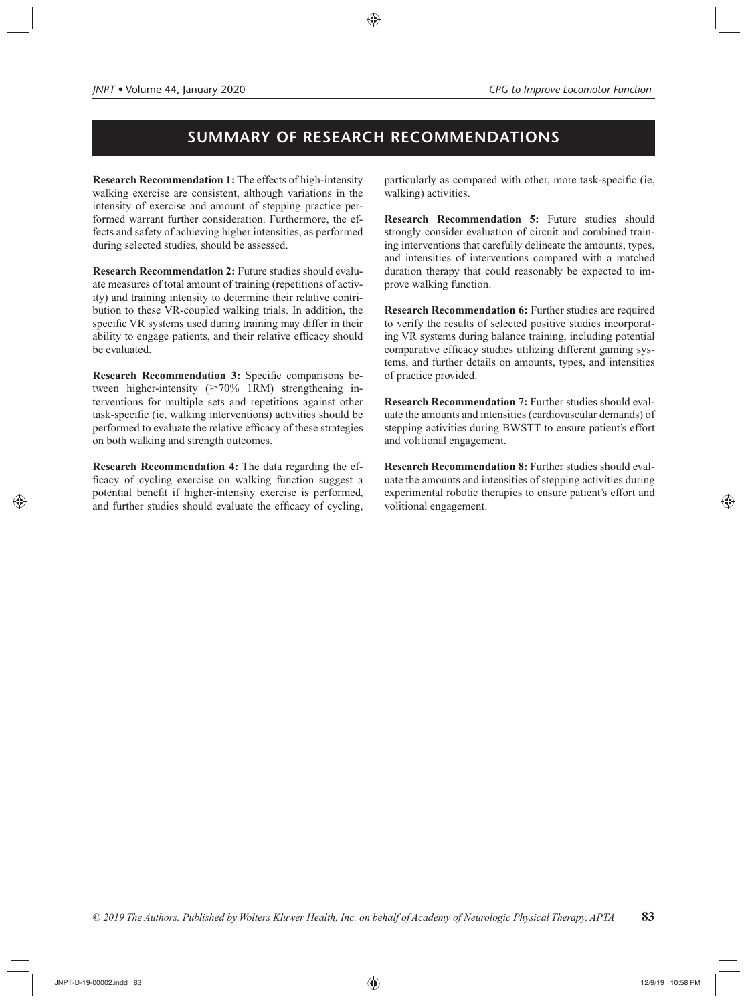# **SUMMARY OF RESEARCH RECOMMENDATIONS**

**Research Recommendation 1:** The effects of high-intensity walking exercise are consistent, although variations in the intensity of exercise and amount of stepping practice performed warrant further consideration. Furthermore, the effects and safety of achieving higher intensities, as performed during selected studies, should be assessed.

**Research Recommendation 2:** Future studies should evaluate measures of total amount of training (repetitions of activity) and training intensity to determine their relative contribution to these VR-coupled walking trials. In addition, the specific VR systems used during training may differ in their ability to engage patients, and their relative efficacy should be evaluated.

**Research Recommendation 3:** Specific comparisons between higher-intensity  $(\geq 70\%$  1RM) strengthening interventions for multiple sets and repetitions against other task-specific (ie, walking interventions) activities should be performed to evaluate the relative efficacy of these strategies on both walking and strength outcomes.

**Research Recommendation 4:** The data regarding the efficacy of cycling exercise on walking function suggest a potential benefit if higher-intensity exercise is performed, and further studies should evaluate the efficacy of cycling, particularly as compared with other, more task-specific (ie, walking) activities.

**Research Recommendation 5:** Future studies should strongly consider evaluation of circuit and combined training interventions that carefully delineate the amounts, types, and intensities of interventions compared with a matched duration therapy that could reasonably be expected to improve walking function.

**Research Recommendation 6:** Further studies are required to verify the results of selected positive studies incorporating VR systems during balance training, including potential comparative efficacy studies utilizing different gaming systems, and further details on amounts, types, and intensities of practice provided.

**Research Recommendation 7: Further studies should eval**uate the amounts and intensities (cardiovascular demands) of stepping activities during BWSTT to ensure patient's effort and volitional engagement.

**Research Recommendation 8:** Further studies should evaluate the amounts and intensities of stepping activities during experimental robotic therapies to ensure patient's effort and volitional engagement.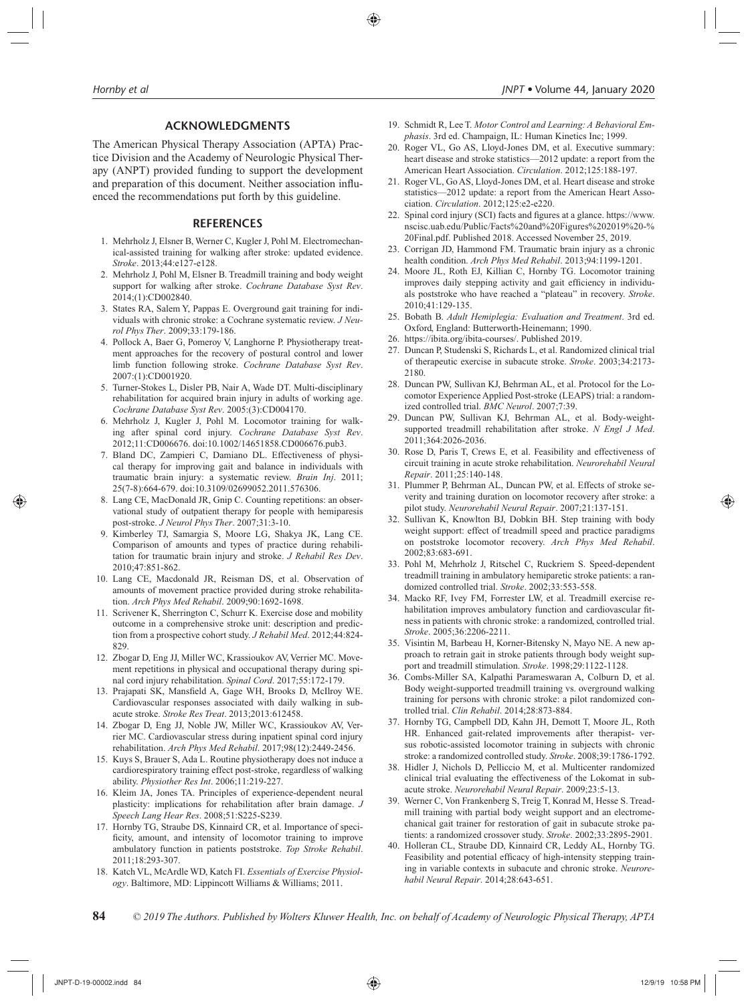#### **ACKNOWLEDGMENTS**

The American Physical Therapy Association (APTA) Practice Division and the Academy of Neurologic Physical Therapy (ANPT) provided funding to support the development and preparation of this document. Neither association influenced the recommendations put forth by this guideline.

#### **REFERENCES**

- 1. Mehrholz J, Elsner B, Werner C, Kugler J, Pohl M. Electromechanical-assisted training for walking after stroke: updated evidence. *Stroke*. 2013;44:e127-e128.
- 2. Mehrholz J, Pohl M, Elsner B. Treadmill training and body weight support for walking after stroke. *Cochrane Database Syst Rev*. 2014;(1):CD002840.
- 3. States RA, Salem Y, Pappas E. Overground gait training for individuals with chronic stroke: a Cochrane systematic review. *J Neurol Phys Ther*. 2009;33:179-186.
- 4. Pollock A, Baer G, Pomeroy V, Langhorne P. Physiotherapy treatment approaches for the recovery of postural control and lower limb function following stroke. *Cochrane Database Syst Rev*. 2007:(1):CD001920.
- 5. Turner-Stokes L, Disler PB, Nair A, Wade DT. Multi-disciplinary rehabilitation for acquired brain injury in adults of working age. *Cochrane Database Syst Rev*. 2005:(3):CD004170.
- 6. Mehrholz J, Kugler J, Pohl M. Locomotor training for walking after spinal cord injury. *Cochrane Database Syst Rev*. 2012;11:CD006676. doi:10.1002/14651858.CD006676.pub3.
- 7. Bland DC, Zampieri C, Damiano DL. Effectiveness of physical therapy for improving gait and balance in individuals with traumatic brain injury: a systematic review. *Brain Inj*. 2011; 25(7-8):664-679. doi:10.3109/02699052.2011.576306.
- 8. Lang CE, MacDonald JR, Gnip C. Counting repetitions: an observational study of outpatient therapy for people with hemiparesis post-stroke. *J Neurol Phys Ther*. 2007;31:3-10.
- 9. Kimberley TJ, Samargia S, Moore LG, Shakya JK, Lang CE. Comparison of amounts and types of practice during rehabilitation for traumatic brain injury and stroke. *J Rehabil Res Dev*. 2010;47:851-862.
- 10. Lang CE, Macdonald JR, Reisman DS, et al. Observation of amounts of movement practice provided during stroke rehabilitation. *Arch Phys Med Rehabil*. 2009;90:1692-1698.
- 11. Scrivener K, Sherrington C, Schurr K. Exercise dose and mobility outcome in a comprehensive stroke unit: description and prediction from a prospective cohort study. *J Rehabil Med*. 2012;44:824- 829.
- 12. Zbogar D, Eng JJ, Miller WC, Krassioukov AV, Verrier MC. Movement repetitions in physical and occupational therapy during spinal cord injury rehabilitation. *Spinal Cord*. 2017;55:172-179.
- 13. Prajapati SK, Mansfield A, Gage WH, Brooks D, McIlroy WE. Cardiovascular responses associated with daily walking in subacute stroke. *Stroke Res Treat*. 2013;2013:612458.
- 14. Zbogar D, Eng JJ, Noble JW, Miller WC, Krassioukov AV, Verrier MC. Cardiovascular stress during inpatient spinal cord injury rehabilitation. *Arch Phys Med Rehabil*. 2017;98(12):2449-2456.
- 15. Kuys S, Brauer S, Ada L. Routine physiotherapy does not induce a cardiorespiratory training effect post-stroke, regardless of walking ability. *Physiother Res Int*. 2006;11:219-227.
- 16. Kleim JA, Jones TA. Principles of experience-dependent neural plasticity: implications for rehabilitation after brain damage. *J Speech Lang Hear Res*. 2008;51:S225-S239.
- 17. Hornby TG, Straube DS, Kinnaird CR, et al. Importance of specificity, amount, and intensity of locomotor training to improve ambulatory function in patients poststroke. *Top Stroke Rehabil*. 2011;18:293-307.
- 18. Katch VL, McArdle WD, Katch FI. *Essentials of Exercise Physiology*. Baltimore, MD: Lippincott Williams & Williams; 2011.
- 19. Schmidt R, Lee T. *Motor Control and Learning: A Behavioral Emphasis*. 3rd ed. Champaign, IL: Human Kinetics Inc; 1999.
- 20. Roger VL, Go AS, Lloyd-Jones DM, et al. Executive summary: heart disease and stroke statistics—2012 update: a report from the American Heart Association. *Circulation*. 2012;125:188-197.
- 21. Roger VL, Go AS, Lloyd-Jones DM, et al. Heart disease and stroke statistics—2012 update: a report from the American Heart Association. *Circulation*. 2012;125:e2-e220.
- 22. Spinal cord injury (SCI) facts and figures at a glance. https://www. nscisc.uab.edu/Public/Facts%20and%20Figures%202019%20-% 20Final.pdf. Published 2018. Accessed November 25, 2019.
- 23. Corrigan JD, Hammond FM. Traumatic brain injury as a chronic health condition. *Arch Phys Med Rehabil*. 2013;94:1199-1201.
- 24. Moore JL, Roth EJ, Killian C, Hornby TG. Locomotor training improves daily stepping activity and gait efficiency in individuals poststroke who have reached a "plateau" in recovery. *Stroke*. 2010;41:129-135.
- 25. Bobath B. *Adult Hemiplegia: Evaluation and Treatment*. 3rd ed. Oxford, England: Butterworth-Heinemann; 1990.
- 26. https://ibita.org/ibita-courses/. Published 2019.
- 27. Duncan P, Studenski S, Richards L, et al. Randomized clinical trial of therapeutic exercise in subacute stroke. *Stroke*. 2003;34:2173- 2180.
- 28. Duncan PW, Sullivan KJ, Behrman AL, et al. Protocol for the Locomotor Experience Applied Post-stroke (LEAPS) trial: a randomized controlled trial. *BMC Neurol*. 2007;7:39.
- 29. Duncan PW, Sullivan KJ, Behrman AL, et al. Body-weightsupported treadmill rehabilitation after stroke. *N Engl J Med*. 2011;364:2026-2036.
- 30. Rose D, Paris T, Crews E, et al. Feasibility and effectiveness of circuit training in acute stroke rehabilitation. *Neurorehabil Neural Repair*. 2011;25:140-148.
- 31. Plummer P, Behrman AL, Duncan PW, et al. Effects of stroke severity and training duration on locomotor recovery after stroke: a pilot study. *Neurorehabil Neural Repair*. 2007;21:137-151.
- 32. Sullivan K, Knowlton BJ, Dobkin BH. Step training with body weight support: effect of treadmill speed and practice paradigms on poststroke locomotor recovery. *Arch Phys Med Rehabil*. 2002;83:683-691.
- 33. Pohl M, Mehrholz J, Ritschel C, Ruckriem S. Speed-dependent treadmill training in ambulatory hemiparetic stroke patients: a randomized controlled trial. *Stroke*. 2002;33:553-558.
- 34. Macko RF, Ivey FM, Forrester LW, et al. Treadmill exercise rehabilitation improves ambulatory function and cardiovascular fitness in patients with chronic stroke: a randomized, controlled trial. *Stroke*. 2005;36:2206-2211.
- 35. Visintin M, Barbeau H, Korner-Bitensky N, Mayo NE. A new approach to retrain gait in stroke patients through body weight support and treadmill stimulation. *Stroke*. 1998;29:1122-1128.
- 36. Combs-Miller SA, Kalpathi Parameswaran A, Colburn D, et al. Body weight-supported treadmill training vs. overground walking training for persons with chronic stroke: a pilot randomized controlled trial. *Clin Rehabil*. 2014;28:873-884.
- 37. Hornby TG, Campbell DD, Kahn JH, Demott T, Moore JL, Roth HR. Enhanced gait-related improvements after therapist- versus robotic-assisted locomotor training in subjects with chronic stroke: a randomized controlled study. *Stroke*. 2008;39:1786-1792.
- 38. Hidler J, Nichols D, Pelliccio M, et al. Multicenter randomized clinical trial evaluating the effectiveness of the Lokomat in subacute stroke. *Neurorehabil Neural Repair*. 2009;23:5-13.
- 39. Werner C, Von Frankenberg S, Treig T, Konrad M, Hesse S. Treadmill training with partial body weight support and an electromechanical gait trainer for restoration of gait in subacute stroke patients: a randomized crossover study. *Stroke*. 2002;33:2895-2901.
- 40. Holleran CL, Straube DD, Kinnaird CR, Leddy AL, Hornby TG. Feasibility and potential efficacy of high-intensity stepping training in variable contexts in subacute and chronic stroke. *Neurorehabil Neural Repair*. 2014;28:643-651.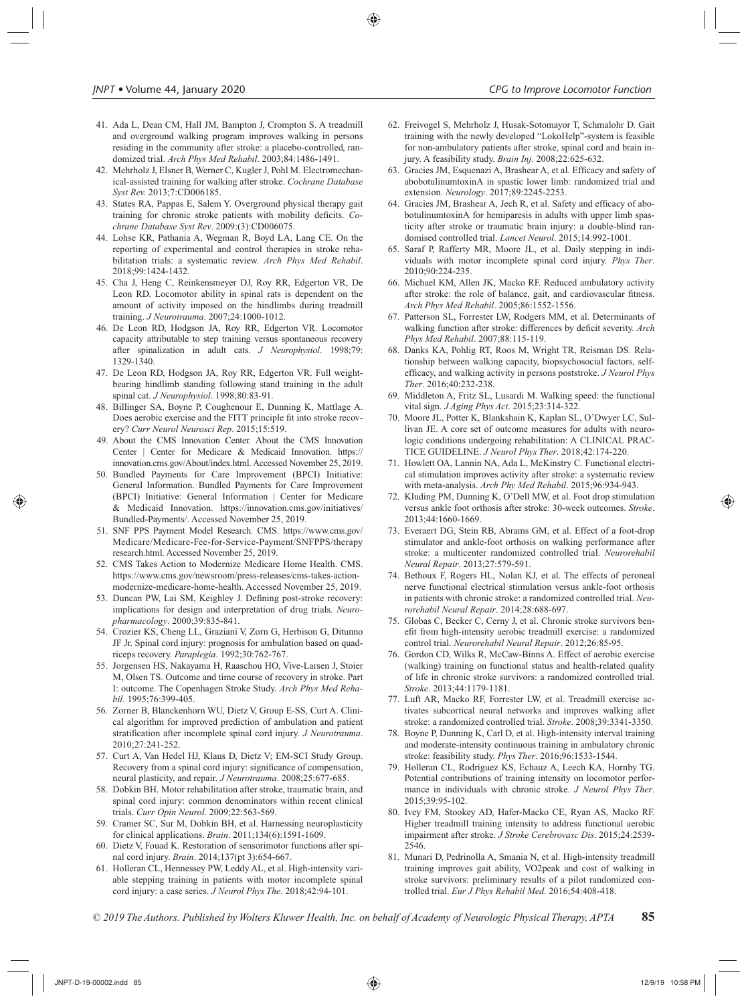- 41. Ada L, Dean CM, Hall JM, Bampton J, Crompton S. A treadmill and overground walking program improves walking in persons residing in the community after stroke: a placebo-controlled, randomized trial. *Arch Phys Med Rehabil*. 2003;84:1486-1491.
- 42. Mehrholz J, Elsner B, Werner C, Kugler J, Pohl M. Electromechanical-assisted training for walking after stroke. *Cochrane Database Syst Rev.* 2013;7:CD006185.
- 43. States RA, Pappas E, Salem Y. Overground physical therapy gait training for chronic stroke patients with mobility deficits. Co*chrane Database Syst Rev*. 2009:(3):CD006075.
- 44. Lohse KR, Pathania A, Wegman R, Boyd LA, Lang CE. On the reporting of experimental and control therapies in stroke rehabilitation trials: a systematic review. *Arch Phys Med Rehabil*. 2018;99:1424-1432.
- 45. Cha J, Heng C, Reinkensmeyer DJ, Roy RR, Edgerton VR, De Leon RD. Locomotor ability in spinal rats is dependent on the amount of activity imposed on the hindlimbs during treadmill training. *J Neurotrauma*. 2007;24:1000-1012.
- 46. De Leon RD, Hodgson JA, Roy RR, Edgerton VR. Locomotor capacity attributable to step training versus spontaneous recovery after spinalization in adult cats. *J Neurophysiol*. 1998;79: 1329-1340.
- 47. De Leon RD, Hodgson JA, Roy RR, Edgerton VR. Full weightbearing hindlimb standing following stand training in the adult spinal cat. *J Neurophysiol*. 1998;80:83-91.
- 48. Billinger SA, Boyne P, Coughenour E, Dunning K, Mattlage A. Does aerobic exercise and the FITT principle fit into stroke recovery? *Curr Neurol Neurosci Rep*. 2015;15:519.
- 49. About the CMS Innovation Center. About the CMS Innovation Center | Center for Medicare & Medicaid Innovation. https:// innovation.cms.gov/About/index.html. Accessed November 25, 2019.
- 50. Bundled Payments for Care Improvement (BPCI) Initiative: General Information. Bundled Payments for Care Improvement (BPCI) Initiative: General Information | Center for Medicare [& Medicaid Innovation. https://innovation.cms.gov/initiatives/](https://innovation.cms.gov/initiatives/Bundled-Payments/) Bundled-Payments/. Accessed November 25, 2019.
- 51. [SNF PPS Payment Model Research. CMS. https://www.cms.gov/](https://www.cms.gov/Medicare/Medicare-Fee-for-Service-Payment/SNFPPS/therapyresearch.html) Medicare/Medicare-Fee-for-Service-Payment/SNFPPS/therapy research.html. Accessed November 25, 2019.
- 52. CMS Takes Action to Modernize Medicare Home Health. CMS. [https://www.cms.gov/newsroom/press-releases/cms-takes-action](https://www.cms.gov/newsroom/press-releases/cms-takes-actionmodernize-medicare-home-health)modernize-medicare-home-health. Accessed November 25, 2019.
- 53. Duncan PW, Lai SM, Keighley J. Defining post-stroke recovery: implications for design and interpretation of drug trials. *Neuropharmacology*. 2000;39:835-841.
- 54. Crozier KS, Cheng LL, Graziani V, Zorn G, Herbison G, Ditunno JF Jr. Spinal cord injury: prognosis for ambulation based on quadriceps recovery. *Paraplegia*. 1992;30:762-767.
- 55. Jorgensen HS, Nakayama H, Raaschou HO, Vive-Larsen J, Stoier M, Olsen TS. Outcome and time course of recovery in stroke. Part I: outcome. The Copenhagen Stroke Study. *Arch Phys Med Rehabil*. 1995;76:399-405.
- 56. Zorner B, Blanckenhorn WU, Dietz V, Group E-SS, Curt A. Clinical algorithm for improved prediction of ambulation and patient stratification after incomplete spinal cord injury. *J Neurotrauma*. 2010;27:241-252.
- 57. Curt A, Van Hedel HJ, Klaus D, Dietz V; EM-SCI Study Group. Recovery from a spinal cord injury: significance of compensation, neural plasticity, and repair. *J Neurotrauma*. 2008;25:677-685.
- 58. Dobkin BH. Motor rehabilitation after stroke, traumatic brain, and spinal cord injury: common denominators within recent clinical trials. *Curr Opin Neurol*. 2009;22:563-569.
- 59. Cramer SC, Sur M, Dobkin BH, et al. Harnessing neuroplasticity for clinical applications. *Brain*. 2011;134(6):1591-1609.
- 60. Dietz V, Fouad K. Restoration of sensorimotor functions after spinal cord injury. *Brain*. 2014;137(pt 3):654-667.
- 61. Holleran CL, Hennessey PW, Leddy AL, et al. High-intensity variable stepping training in patients with motor incomplete spinal cord injury: a case series. *J Neurol Phys The*. 2018;42:94-101.
- 62. Freivogel S, Mehrholz J, Husak-Sotomayor T, Schmalohr D. Gait training with the newly developed "LokoHelp"-system is feasible for non-ambulatory patients after stroke, spinal cord and brain injury. A feasibility study. *Brain Inj*. 2008;22:625-632.
- 63. Gracies JM, Esquenazi A, Brashear A, et al. Efficacy and safety of abobotulinumtoxinA in spastic lower limb: randomized trial and extension. *Neurology*. 2017;89:2245-2253.
- 64. Gracies JM, Brashear A, Jech R, et al. Safety and efficacy of abobotulinumtoxinA for hemiparesis in adults with upper limb spasticity after stroke or traumatic brain injury: a double-blind randomised controlled trial. *Lancet Neurol*. 2015;14:992-1001.
- 65. Saraf P, Rafferty MR, Moore JL, et al. Daily stepping in individuals with motor incomplete spinal cord injury. *Phys Ther*. 2010;90:224-235.
- 66. Michael KM, Allen JK, Macko RF. Reduced ambulatory activity after stroke: the role of balance, gait, and cardiovascular fitness. *Arch Phys Med Rehabil*. 2005;86:1552-1556.
- 67. Patterson SL, Forrester LW, Rodgers MM, et al. Determinants of walking function after stroke: differences by deficit severity. *Arch Phys Med Rehabil*. 2007;88:115-119.
- 68. Danks KA, Pohlig RT, Roos M, Wright TR, Reisman DS. Relationship between walking capacity, biopsychosocial factors, selfefficacy, and walking activity in persons poststroke. *J Neurol Phys Ther*. 2016;40:232-238.
- 69. Middleton A, Fritz SL, Lusardi M. Walking speed: the functional vital sign. *J Aging Phys Act*. 2015;23:314-322.
- 70. Moore JL, Potter K, Blankshain K, Kaplan SL, O'Dwyer LC, Sullivan JE. A core set of outcome measures for adults with neurologic conditions undergoing rehabilitation: A CLINICAL PRAC-TICE GUIDELINE. *J Neurol Phys Ther*. 2018;42:174-220.
- 71. Howlett OA, Lannin NA, Ada L, McKinstry C. Functional electrical stimulation improves activity after stroke: a systematic review with meta-analysis. *Arch Phy Med Rehabil*. 2015;96:934-943.
- 72. Kluding PM, Dunning K, O'Dell MW, et al. Foot drop stimulation versus ankle foot orthosis after stroke: 30-week outcomes. *Stroke*. 2013;44:1660-1669.
- 73. Everaert DG, Stein RB, Abrams GM, et al. Effect of a foot-drop stimulator and ankle-foot orthosis on walking performance after stroke: a multicenter randomized controlled trial. *Neurorehabil Neural Repair*. 2013;27:579-591.
- 74. Bethoux F, Rogers HL, Nolan KJ, et al. The effects of peroneal nerve functional electrical stimulation versus ankle-foot orthosis in patients with chronic stroke: a randomized controlled trial. *Neurorehabil Neural Repair*. 2014;28:688-697.
- 75. Globas C, Becker C, Cerny J, et al. Chronic stroke survivors benefit from high-intensity aerobic treadmill exercise: a randomized control trial. *Neurorehabil Neural Repair*. 2012;26:85-95.
- 76. Gordon CD, Wilks R, McCaw-Binns A. Effect of aerobic exercise (walking) training on functional status and health-related quality of life in chronic stroke survivors: a randomized controlled trial. *Stroke*. 2013;44:1179-1181.
- 77. Luft AR, Macko RF, Forrester LW, et al. Treadmill exercise activates subcortical neural networks and improves walking after stroke: a randomized controlled trial. *Stroke*. 2008;39:3341-3350.
- 78. Boyne P, Dunning K, Carl D, et al. High-intensity interval training and moderate-intensity continuous training in ambulatory chronic stroke: feasibility study. *Phys Ther*. 2016;96:1533-1544.
- 79. Holleran CL, Rodriguez KS, Echauz A, Leech KA, Hornby TG. Potential contributions of training intensity on locomotor performance in individuals with chronic stroke. *J Neurol Phys Ther*. 2015;39:95-102.
- 80. Ivey FM, Stookey AD, Hafer-Macko CE, Ryan AS, Macko RF. Higher treadmill training intensity to address functional aerobic impairment after stroke. *J Stroke Cerebrovasc Dis*. 2015;24:2539- 2546.
- 81. Munari D, Pedrinolla A, Smania N, et al. High-intensity treadmill training improves gait ability, VO2peak and cost of walking in stroke survivors: preliminary results of a pilot randomized controlled trial. *Eur J Phys Rehabil Med*. 2016;54:408-418.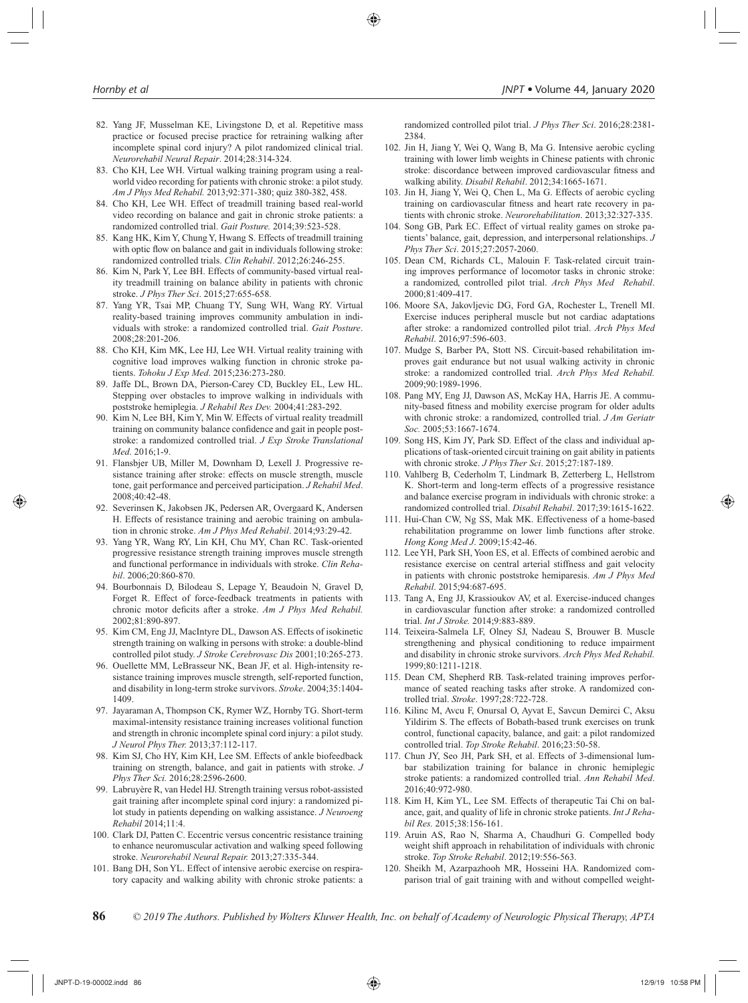- 82. Yang JF, Musselman KE, Livingstone D, et al. Repetitive mass practice or focused precise practice for retraining walking after incomplete spinal cord injury? A pilot randomized clinical trial. *Neurorehabil Neural Repair*. 2014;28:314-324.
- 83. Cho KH, Lee WH. Virtual walking training program using a realworld video recording for patients with chronic stroke: a pilot study. *Am J Phys Med Rehabil.* 2013;92:371-380; quiz 380-382, 458.
- 84. Cho KH, Lee WH. Effect of treadmill training based real-world video recording on balance and gait in chronic stroke patients: a randomized controlled trial. *Gait Posture.* 2014;39:523-528.
- 85. Kang HK, Kim Y, Chung Y, Hwang S. Effects of treadmill training with optic flow on balance and gait in individuals following stroke: randomized controlled trials. *Clin Rehabil*. 2012;26:246-255.
- 86. Kim N, Park Y, Lee BH. Effects of community-based virtual reality treadmill training on balance ability in patients with chronic stroke. *J Phys Ther Sci*. 2015;27:655-658.
- 87. Yang YR, Tsai MP, Chuang TY, Sung WH, Wang RY. Virtual reality-based training improves community ambulation in individuals with stroke: a randomized controlled trial. *Gait Posture*. 2008;28:201-206.
- 88. Cho KH, Kim MK, Lee HJ, Lee WH. Virtual reality training with cognitive load improves walking function in chronic stroke patients. *Tohoku J Exp Med*. 2015;236:273-280.
- 89. Jaffe DL, Brown DA, Pierson-Carey CD, Buckley EL, Lew HL. Stepping over obstacles to improve walking in individuals with poststroke hemiplegia. *J Rehabil Res Dev.* 2004;41:283-292.
- 90. Kim N, Lee BH, Kim Y, Min W. Effects of virtual reality treadmill training on community balance confidence and gait in people poststroke: a randomized controlled trial. *J Exp Stroke Translational Med*. 2016;1-9.
- 91. Flansbjer UB, Miller M, Downham D, Lexell J. Progressive resistance training after stroke: effects on muscle strength, muscle tone, gait performance and perceived participation. *J Rehabil Med*. 2008;40:42-48.
- 92. Severinsen K, Jakobsen JK, Pedersen AR, Overgaard K, Andersen H. Effects of resistance training and aerobic training on ambulation in chronic stroke. *Am J Phys Med Rehabil*. 2014;93:29-42.
- 93. Yang YR, Wang RY, Lin KH, Chu MY, Chan RC. Task-oriented progressive resistance strength training improves muscle strength and functional performance in individuals with stroke. *Clin Rehabil*. 2006;20:860-870.
- 94. Bourbonnais D, Bilodeau S, Lepage Y, Beaudoin N, Gravel D, Forget R. Effect of force-feedback treatments in patients with chronic motor deficits after a stroke. Am J Phys Med Rehabil. 2002;81:890-897.
- 95. Kim CM, Eng JJ, MacIntyre DL, Dawson AS. Effects of isokinetic strength training on walking in persons with stroke: a double-blind controlled pilot study. *J Stroke Cerebrovasc Dis* 2001;10:265-273.
- 96. Ouellette MM, LeBrasseur NK, Bean JF, et al. High-intensity resistance training improves muscle strength, self-reported function, and disability in long-term stroke survivors. *Stroke*. 2004;35:1404- 1409.
- 97. Jayaraman A, Thompson CK, Rymer WZ, Hornby TG. Short-term maximal-intensity resistance training increases volitional function and strength in chronic incomplete spinal cord injury: a pilot study. *J Neurol Phys Ther.* 2013;37:112-117.
- 98. Kim SJ, Cho HY, Kim KH, Lee SM. Effects of ankle biofeedback training on strength, balance, and gait in patients with stroke. *J Phys Ther Sci.* 2016;28:2596-2600.
- 99. Labruyère R, van Hedel HJ. Strength training versus robot-assisted gait training after incomplete spinal cord injury: a randomized pilot study in patients depending on walking assistance. *J Neuroeng Rehabil* 2014;11:4.
- 100. Clark DJ, Patten C. Eccentric versus concentric resistance training to enhance neuromuscular activation and walking speed following stroke. *Neurorehabil Neural Repair.* 2013;27:335-344.
- 101. Bang DH, Son YL. Effect of intensive aerobic exercise on respiratory capacity and walking ability with chronic stroke patients: a

randomized controlled pilot trial. *J Phys Ther Sci*. 2016;28:2381- 2384.

- 102. Jin H, Jiang Y, Wei Q, Wang B, Ma G. Intensive aerobic cycling training with lower limb weights in Chinese patients with chronic stroke: discordance between improved cardiovascular fitness and walking ability. *Disabil Rehabil*. 2012;34:1665-1671.
- 103. Jin H, Jiang Y, Wei Q, Chen L, Ma G. Effects of aerobic cycling training on cardiovascular fitness and heart rate recovery in patients with chronic stroke. *Neurorehabilitation*. 2013;32:327-335.
- 104. Song GB, Park EC. Effect of virtual reality games on stroke patients' balance, gait, depression, and interpersonal relationships. *J Phys Ther Sci*. 2015;27:2057-2060.
- 105. Dean CM, Richards CL, Malouin F. Task-related circuit training improves performance of locomotor tasks in chronic stroke: a randomized, controlled pilot trial. *Arch Phys Med Rehabil*. 2000;81:409-417.
- 106. Moore SA, Jakovljevic DG, Ford GA, Rochester L, Trenell MI. Exercise induces peripheral muscle but not cardiac adaptations after stroke: a randomized controlled pilot trial. *Arch Phys Med Rehabil*. 2016;97:596-603.
- 107. Mudge S, Barber PA, Stott NS. Circuit-based rehabilitation improves gait endurance but not usual walking activity in chronic stroke: a randomized controlled trial. *Arch Phys Med Rehabil.* 2009;90:1989-1996.
- 108. Pang MY, Eng JJ, Dawson AS, McKay HA, Harris JE. A community-based fitness and mobility exercise program for older adults with chronic stroke: a randomized, controlled trial. *J Am Geriatr Soc.* 2005;53:1667-1674.
- 109. Song HS, Kim JY, Park SD. Effect of the class and individual applications of task-oriented circuit training on gait ability in patients with chronic stroke. *J Phys Ther Sci*. 2015;27:187-189.
- 110. Vahlberg B, Cederholm T, Lindmark B, Zetterberg L, Hellstrom K. Short-term and long-term effects of a progressive resistance and balance exercise program in individuals with chronic stroke: a randomized controlled trial. *Disabil Rehabil*. 2017;39:1615-1622.
- 111. Hui-Chan CW, Ng SS, Mak MK. Effectiveness of a home-based rehabilitation programme on lower limb functions after stroke. *Hong Kong Med J*. 2009;15:42-46.
- 112. Lee YH, Park SH, Yoon ES, et al. Effects of combined aerobic and resistance exercise on central arterial stiffness and gait velocity in patients with chronic poststroke hemiparesis. *Am J Phys Med Rehabil*. 2015;94:687-695.
- 113. Tang A, Eng JJ, Krassioukov AV, et al. Exercise-induced changes in cardiovascular function after stroke: a randomized controlled trial. *Int J Stroke.* 2014;9:883-889.
- 114. Teixeira-Salmela LF, Olney SJ, Nadeau S, Brouwer B. Muscle strengthening and physical conditioning to reduce impairment and disability in chronic stroke survivors. *Arch Phys Med Rehabil.* 1999;80:1211-1218.
- 115. Dean CM, Shepherd RB. Task-related training improves performance of seated reaching tasks after stroke. A randomized controlled trial. *Stroke*. 1997;28:722-728.
- 116. Kilinc M, Avcu F, Onursal O, Ayvat E, Savcun Demirci C, Aksu Yildirim S. The effects of Bobath-based trunk exercises on trunk control, functional capacity, balance, and gait: a pilot randomized controlled trial. *Top Stroke Rehabil*. 2016;23:50-58.
- 117. Chun JY, Seo JH, Park SH, et al. Effects of 3-dimensional lumbar stabilization training for balance in chronic hemiplegic stroke patients: a randomized controlled trial. *Ann Rehabil Med*. 2016;40:972-980.
- 118. Kim H, Kim YL, Lee SM. Effects of therapeutic Tai Chi on balance, gait, and quality of life in chronic stroke patients. *Int J Rehabil Res.* 2015;38:156-161.
- 119. Aruin AS, Rao N, Sharma A, Chaudhuri G. Compelled body weight shift approach in rehabilitation of individuals with chronic stroke. *Top Stroke Rehabil*. 2012;19:556-563.
- 120. Sheikh M, Azarpazhooh MR, Hosseini HA. Randomized comparison trial of gait training with and without compelled weight-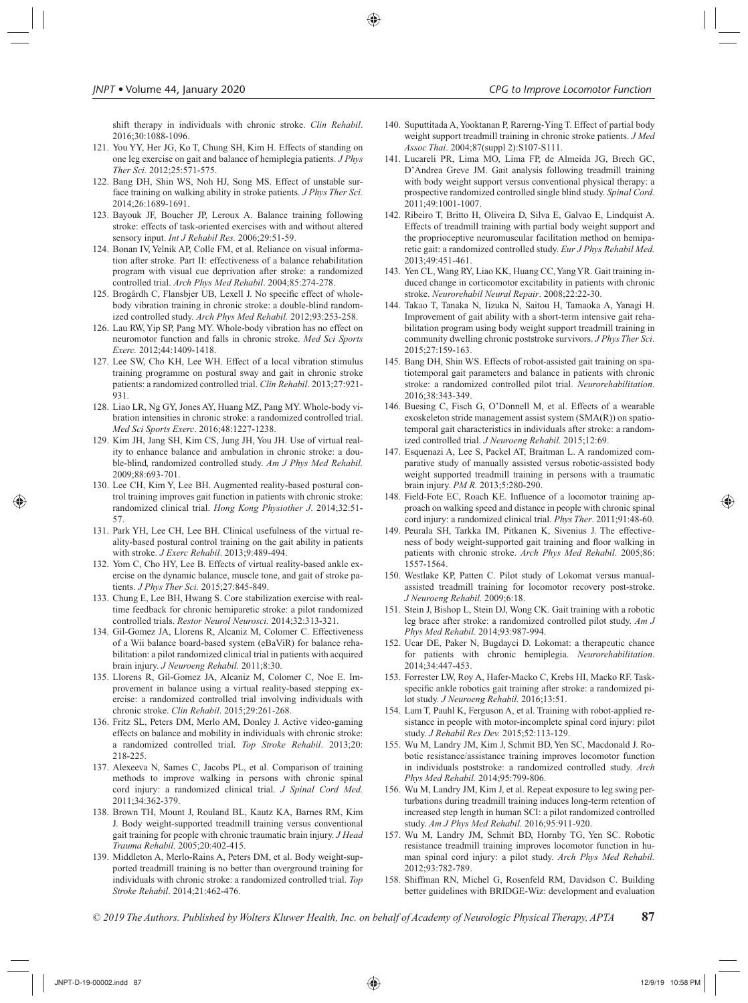shift therapy in individuals with chronic stroke. *Clin Rehabil*. 2016;30:1088-1096.

- 121. You YY, Her JG, Ko T, Chung SH, Kim H. Effects of standing on one leg exercise on gait and balance of hemiplegia patients. *J Phys Ther Sci.* 2012;25:571-575.
- 122. Bang DH, Shin WS, Noh HJ, Song MS. Effect of unstable surface training on walking ability in stroke patients. *J Phys Ther Sci.* 2014;26:1689-1691.
- 123. Bayouk JF, Boucher JP, Leroux A. Balance training following stroke: effects of task-oriented exercises with and without altered sensory input. *Int J Rehabil Res.* 2006;29:51-59.
- 124. Bonan IV, Yelnik AP, Colle FM, et al. Reliance on visual information after stroke. Part II: effectiveness of a balance rehabilitation program with visual cue deprivation after stroke: a randomized controlled trial. *Arch Phys Med Rehabil*. 2004;85:274-278.
- 125. Brogårdh C, Flansbjer UB, Lexell J. No specific effect of wholebody vibration training in chronic stroke: a double-blind randomized controlled study. *Arch Phys Med Rehabil.* 2012;93:253-258.
- 126. Lau RW, Yip SP, Pang MY. Whole-body vibration has no effect on neuromotor function and falls in chronic stroke. *Med Sci Sports Exerc.* 2012;44:1409-1418.
- 127. Lee SW, Cho KH, Lee WH. Effect of a local vibration stimulus training programme on postural sway and gait in chronic stroke patients: a randomized controlled trial. *Clin Rehabil*. 2013;27:921- 931.
- 128. Liao LR, Ng GY, Jones AY, Huang MZ, Pang MY. Whole-body vibration intensities in chronic stroke: a randomized controlled trial. *Med Sci Sports Exerc*. 2016;48:1227-1238.
- 129. Kim JH, Jang SH, Kim CS, Jung JH, You JH. Use of virtual reality to enhance balance and ambulation in chronic stroke: a double-blind, randomized controlled study. *Am J Phys Med Rehabil.* 2009;88:693-701.
- 130. Lee CH, Kim Y, Lee BH. Augmented reality-based postural control training improves gait function in patients with chronic stroke: randomized clinical trial. *Hong Kong Physiother J*. 2014;32:51- 57.
- 131. Park YH, Lee CH, Lee BH. Clinical usefulness of the virtual reality-based postural control training on the gait ability in patients with stroke. *J Exerc Rehabil*. 2013;9:489-494.
- 132. Yom C, Cho HY, Lee B. Effects of virtual reality-based ankle exercise on the dynamic balance, muscle tone, and gait of stroke patients. *J Phys Ther Sci.* 2015;27:845-849.
- 133. Chung E, Lee BH, Hwang S. Core stabilization exercise with realtime feedback for chronic hemiparetic stroke: a pilot randomized controlled trials. *Restor Neurol Neurosci.* 2014;32:313-321.
- 134. Gil-Gomez JA, Llorens R, Alcaniz M, Colomer C. Effectiveness of a Wii balance board-based system (eBaViR) for balance rehabilitation: a pilot randomized clinical trial in patients with acquired brain injury. *J Neuroeng Rehabil.* 2011;8:30.
- 135. Llorens R, Gil-Gomez JA, Alcaniz M, Colomer C, Noe E. Improvement in balance using a virtual reality-based stepping exercise: a randomized controlled trial involving individuals with chronic stroke. *Clin Rehabil*. 2015;29:261-268.
- 136. Fritz SL, Peters DM, Merlo AM, Donley J. Active video-gaming effects on balance and mobility in individuals with chronic stroke: a randomized controlled trial. *Top Stroke Rehabil*. 2013;20: 218-225.
- 137. Alexeeva N, Sames C, Jacobs PL, et al. Comparison of training methods to improve walking in persons with chronic spinal cord injury: a randomized clinical trial. *J Spinal Cord Med.* 2011;34:362-379.
- 138. Brown TH, Mount J, Rouland BL, Kautz KA, Barnes RM, Kim J. Body weight-supported treadmill training versus conventional gait training for people with chronic traumatic brain injury. *J Head Trauma Rehabil.* 2005;20:402-415.
- 139. Middleton A, Merlo-Rains A, Peters DM, et al. Body weight-supported treadmill training is no better than overground training for individuals with chronic stroke: a randomized controlled trial. *Top Stroke Rehabil*. 2014;21:462-476.
- 140. Suputtitada A, Yooktanan P, Rarerng-Ying T. Effect of partial body weight support treadmill training in chronic stroke patients. *J Med Assoc Thai*. 2004;87(suppl 2):S107-S111.
- 141. Lucareli PR, Lima MO, Lima FP, de Almeida JG, Brech GC, D'Andrea Greve JM. Gait analysis following treadmill training with body weight support versus conventional physical therapy: a prospective randomized controlled single blind study. *Spinal Cord.* 2011;49:1001-1007.
- 142. Ribeiro T, Britto H, Oliveira D, Silva E, Galvao E, Lindquist A. Effects of treadmill training with partial body weight support and the proprioceptive neuromuscular facilitation method on hemiparetic gait: a randomized controlled study. *Eur J Phys Rehabil Med.* 2013;49:451-461.
- 143. Yen CL, Wang RY, Liao KK, Huang CC, Yang YR. Gait training induced change in corticomotor excitability in patients with chronic stroke. *Neurorehabil Neural Repair*. 2008;22:22-30.
- 144. Takao T, Tanaka N, Iizuka N, Saitou H, Tamaoka A, Yanagi H. Improvement of gait ability with a short-term intensive gait rehabilitation program using body weight support treadmill training in community dwelling chronic poststroke survivors. *J Phys Ther Sci*. 2015;27:159-163.
- 145. Bang DH, Shin WS. Effects of robot-assisted gait training on spatiotemporal gait parameters and balance in patients with chronic stroke: a randomized controlled pilot trial. *Neurorehabilitation*. 2016;38:343-349.
- 146. Buesing C, Fisch G, O'Donnell M, et al. Effects of a wearable exoskeleton stride management assist system (SMA(R)) on spatiotemporal gait characteristics in individuals after stroke: a randomized controlled trial. *J Neuroeng Rehabil.* 2015;12:69.
- 147. Esquenazi A, Lee S, Packel AT, Braitman L. A randomized comparative study of manually assisted versus robotic-assisted body weight supported treadmill training in persons with a traumatic brain injury. *PM R.* 2013;5:280-290.
- 148. Field-Fote EC, Roach KE. Influence of a locomotor training approach on walking speed and distance in people with chronic spinal cord injury: a randomized clinical trial. *Phys Ther*. 2011;91:48-60.
- 149. Peurala SH, Tarkka IM, Pitkanen K, Sivenius J. The effectiveness of body weight-supported gait training and floor walking in patients with chronic stroke. *Arch Phys Med Rehabil.* 2005;86: 1557-1564.
- 150. Westlake KP, Patten C. Pilot study of Lokomat versus manualassisted treadmill training for locomotor recovery post-stroke. *J Neuroeng Rehabil.* 2009;6:18.
- 151. Stein J, Bishop L, Stein DJ, Wong CK. Gait training with a robotic leg brace after stroke: a randomized controlled pilot study. *Am J Phys Med Rehabil.* 2014;93:987-994.
- 152. Ucar DE, Paker N, Bugdayci D. Lokomat: a therapeutic chance for patients with chronic hemiplegia. *Neurorehabilitation*. 2014;34:447-453.
- 153. Forrester LW, Roy A, Hafer-Macko C, Krebs HI, Macko RF. Taskspecific ankle robotics gait training after stroke: a randomized pilot study. *J Neuroeng Rehabil.* 2016;13:51.
- 154. Lam T, Pauhl K, Ferguson A, et al. Training with robot-applied resistance in people with motor-incomplete spinal cord injury: pilot study. *J Rehabil Res Dev.* 2015;52:113-129.
- 155. Wu M, Landry JM, Kim J, Schmit BD, Yen SC, Macdonald J. Robotic resistance/assistance training improves locomotor function in individuals poststroke: a randomized controlled study. *Arch Phys Med Rehabil.* 2014;95:799-806.
- 156. Wu M, Landry JM, Kim J, et al. Repeat exposure to leg swing perturbations during treadmill training induces long-term retention of increased step length in human SCI: a pilot randomized controlled study. *Am J Phys Med Rehabil.* 2016;95:911-920.
- 157. Wu M, Landry JM, Schmit BD, Hornby TG, Yen SC. Robotic resistance treadmill training improves locomotor function in human spinal cord injury: a pilot study. *Arch Phys Med Rehabil.* 2012;93:782-789.
- 158. Shiffman RN, Michel G, Rosenfeld RM, Davidson C. Building better guidelines with BRIDGE-Wiz: development and evaluation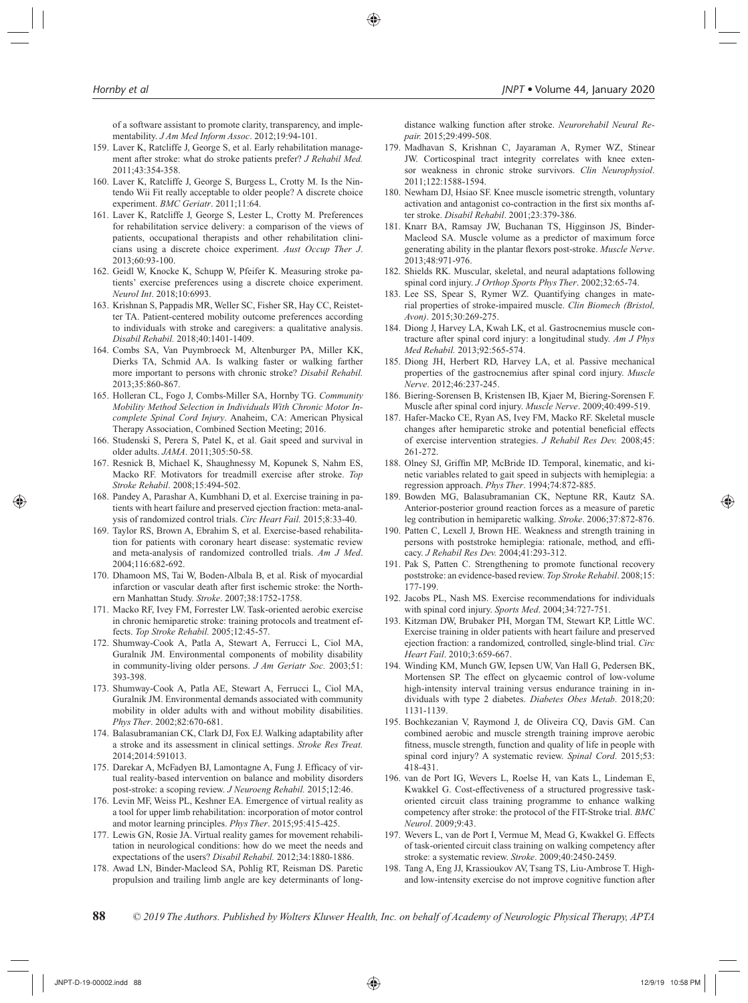of a software assistant to promote clarity, transparency, and implementability. *J Am Med Inform Assoc*. 2012;19:94-101.

- 159. Laver K, Ratcliffe J, George S, et al. Early rehabilitation management after stroke: what do stroke patients prefer? *J Rehabil Med.* 2011;43:354-358.
- 160. Laver K, Ratcliffe J, George S, Burgess L, Crotty M. Is the Nintendo Wii Fit really acceptable to older people? A discrete choice experiment. *BMC Geriatr*. 2011;11:64.
- 161. Laver K, Ratcliffe J, George S, Lester L, Crotty M. Preferences for rehabilitation service delivery: a comparison of the views of patients, occupational therapists and other rehabilitation clinicians using a discrete choice experiment. *Aust Occup Ther J*. 2013;60:93-100.
- 162. Geidl W, Knocke K, Schupp W, Pfeifer K. Measuring stroke patients' exercise preferences using a discrete choice experiment. *Neurol Int*. 2018;10:6993.
- 163. Krishnan S, Pappadis MR, Weller SC, Fisher SR, Hay CC, Reistetter TA. Patient-centered mobility outcome preferences according to individuals with stroke and caregivers: a qualitative analysis. *Disabil Rehabil.* 2018;40:1401-1409.
- 164. Combs SA, Van Puymbroeck M, Altenburger PA, Miller KK, Dierks TA, Schmid AA. Is walking faster or walking farther more important to persons with chronic stroke? *Disabil Rehabil.* 2013;35:860-867.
- 165. Holleran CL, Fogo J, Combs-Miller SA, Hornby TG. *Community Mobility Method Selection in Individuals With Chronic Motor Incomplete Spinal Cord Injury*. Anaheim, CA: American Physical Therapy Association, Combined Section Meeting; 2016.
- 166. Studenski S, Perera S, Patel K, et al. Gait speed and survival in older adults. *JAMA*. 2011;305:50-58.
- 167. Resnick B, Michael K, Shaughnessy M, Kopunek S, Nahm ES, Macko RF. Motivators for treadmill exercise after stroke. *Top Stroke Rehabil*. 2008;15:494-502.
- 168. Pandey A, Parashar A, Kumbhani D, et al. Exercise training in patients with heart failure and preserved ejection fraction: meta-analysis of randomized control trials. *Circ Heart Fail.* 2015;8:33-40.
- 169. Taylor RS, Brown A, Ebrahim S, et al. Exercise-based rehabilitation for patients with coronary heart disease: systematic review and meta-analysis of randomized controlled trials. *Am J Med*. 2004;116:682-692.
- 170. Dhamoon MS, Tai W, Boden-Albala B, et al. Risk of myocardial infarction or vascular death after first ischemic stroke: the Northern Manhattan Study. *Stroke*. 2007;38:1752-1758.
- 171. Macko RF, Ivey FM, Forrester LW. Task-oriented aerobic exercise in chronic hemiparetic stroke: training protocols and treatment effects. *Top Stroke Rehabil.* 2005;12:45-57.
- 172. Shumway-Cook A, Patla A, Stewart A, Ferrucci L, Ciol MA, Guralnik JM. Environmental components of mobility disability in community-living older persons. *J Am Geriatr Soc.* 2003;51: 393-398.
- 173. Shumway-Cook A, Patla AE, Stewart A, Ferrucci L, Ciol MA, Guralnik JM. Environmental demands associated with community mobility in older adults with and without mobility disabilities. *Phys Ther*. 2002;82:670-681.
- 174. Balasubramanian CK, Clark DJ, Fox EJ. Walking adaptability after a stroke and its assessment in clinical settings. *Stroke Res Treat.* 2014;2014:591013.
- 175. Darekar A, McFadyen BJ, Lamontagne A, Fung J. Efficacy of virtual reality-based intervention on balance and mobility disorders post-stroke: a scoping review. *J Neuroeng Rehabil.* 2015;12:46.
- 176. Levin MF, Weiss PL, Keshner EA. Emergence of virtual reality as a tool for upper limb rehabilitation: incorporation of motor control and motor learning principles. *Phys Ther*. 2015;95:415-425.
- 177. Lewis GN, Rosie JA. Virtual reality games for movement rehabilitation in neurological conditions: how do we meet the needs and expectations of the users? *Disabil Rehabil.* 2012;34:1880-1886.
- 178. Awad LN, Binder-Macleod SA, Pohlig RT, Reisman DS. Paretic propulsion and trailing limb angle are key determinants of long-

distance walking function after stroke. *Neurorehabil Neural Repair.* 2015;29:499-508.

- 179. Madhavan S, Krishnan C, Jayaraman A, Rymer WZ, Stinear JW. Corticospinal tract integrity correlates with knee extensor weakness in chronic stroke survivors. *Clin Neurophysiol*. 2011;122:1588-1594.
- 180. Newham DJ, Hsiao SF. Knee muscle isometric strength, voluntary activation and antagonist co-contraction in the first six months after stroke. *Disabil Rehabil*. 2001;23:379-386.
- 181. Knarr BA, Ramsay JW, Buchanan TS, Higginson JS, Binder-Macleod SA. Muscle volume as a predictor of maximum force generating ability in the plantar flexors post-stroke. *Muscle Nerve*. 2013;48:971-976.
- 182. Shields RK. Muscular, skeletal, and neural adaptations following spinal cord injury. *J Orthop Sports Phys Ther*. 2002;32:65-74.
- 183. Lee SS, Spear S, Rymer WZ. Quantifying changes in material properties of stroke-impaired muscle. *Clin Biomech (Bristol, Avon)*. 2015;30:269-275.
- 184. Diong J, Harvey LA, Kwah LK, et al. Gastrocnemius muscle contracture after spinal cord injury: a longitudinal study. *Am J Phys Med Rehabil.* 2013;92:565-574.
- 185. Diong JH, Herbert RD, Harvey LA, et al. Passive mechanical properties of the gastrocnemius after spinal cord injury. *Muscle Nerve*. 2012;46:237-245.
- 186. Biering-Sorensen B, Kristensen IB, Kjaer M, Biering-Sorensen F. Muscle after spinal cord injury. *Muscle Nerve*. 2009;40:499-519.
- 187. Hafer-Macko CE, Ryan AS, Ivey FM, Macko RF. Skeletal muscle changes after hemiparetic stroke and potential beneficial effects of exercise intervention strategies. *J Rehabil Res Dev.* 2008;45: 261-272.
- 188. Olney SJ, Griffin MP, McBride ID. Temporal, kinematic, and kinetic variables related to gait speed in subjects with hemiplegia: a regression approach. *Phys Ther*. 1994;74:872-885.
- 189. Bowden MG, Balasubramanian CK, Neptune RR, Kautz SA. Anterior-posterior ground reaction forces as a measure of paretic leg contribution in hemiparetic walking. *Stroke*. 2006;37:872-876.
- 190. Patten C, Lexell J, Brown HE. Weakness and strength training in persons with poststroke hemiplegia: rationale, method, and efficacy. *J Rehabil Res Dev.* 2004;41:293-312.
- 191. Pak S, Patten C. Strengthening to promote functional recovery poststroke: an evidence-based review. *Top Stroke Rehabil*. 2008;15: 177-199.
- 192. Jacobs PL, Nash MS. Exercise recommendations for individuals with spinal cord injury. *Sports Med*. 2004;34:727-751.
- 193. Kitzman DW, Brubaker PH, Morgan TM, Stewart KP, Little WC. Exercise training in older patients with heart failure and preserved ejection fraction: a randomized, controlled, single-blind trial. *Circ Heart Fail*. 2010;3:659-667.
- 194. Winding KM, Munch GW, Iepsen UW, Van Hall G, Pedersen BK, Mortensen SP. The effect on glycaemic control of low-volume high-intensity interval training versus endurance training in individuals with type 2 diabetes. *Diabetes Obes Metab*. 2018;20: 1131-1139.
- 195. Bochkezanian V, Raymond J, de Oliveira CQ, Davis GM. Can combined aerobic and muscle strength training improve aerobic fitness, muscle strength, function and quality of life in people with spinal cord injury? A systematic review. *Spinal Cord*. 2015;53: 418-431.
- 196. van de Port IG, Wevers L, Roelse H, van Kats L, Lindeman E, Kwakkel G. Cost-effectiveness of a structured progressive taskoriented circuit class training programme to enhance walking competency after stroke: the protocol of the FIT-Stroke trial. *BMC Neurol*. 2009;9:43.
- 197. Wevers L, van de Port I, Vermue M, Mead G, Kwakkel G. Effects of task-oriented circuit class training on walking competency after stroke: a systematic review. *Stroke*. 2009;40:2450-2459.
- 198. Tang A, Eng JJ, Krassioukov AV, Tsang TS, Liu-Ambrose T. Highand low-intensity exercise do not improve cognitive function after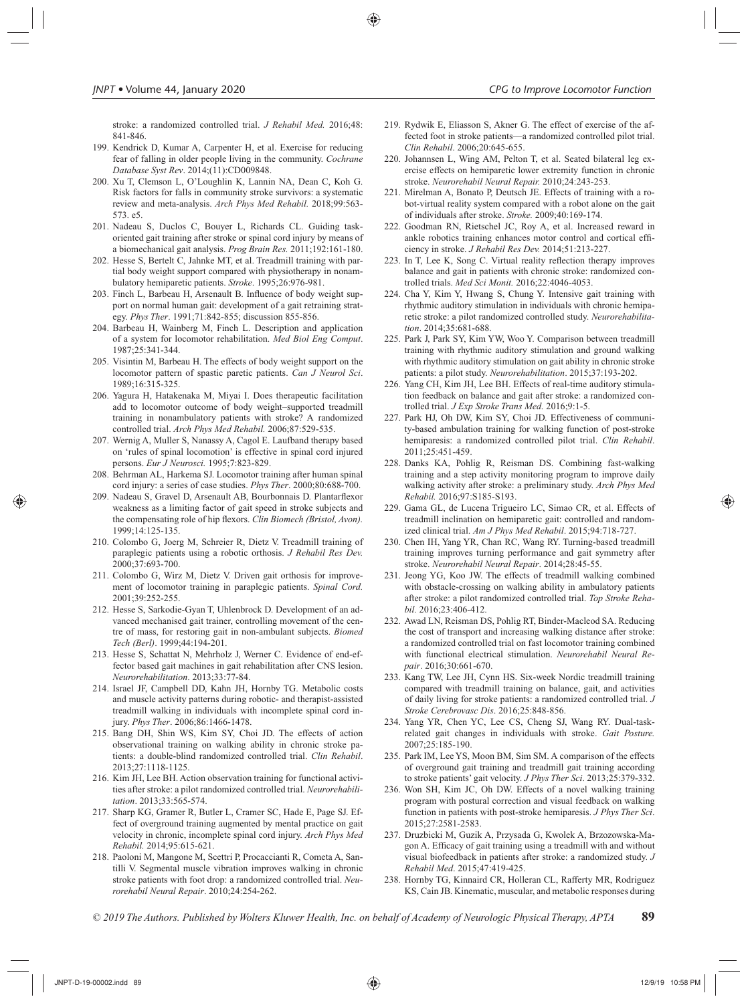stroke: a randomized controlled trial. *J Rehabil Med.* 2016;48: 841-846.

- 199. Kendrick D, Kumar A, Carpenter H, et al. Exercise for reducing fear of falling in older people living in the community. *Cochrane Database Syst Rev*. 2014;(11):CD009848.
- 200. Xu T, Clemson L, O'Loughlin K, Lannin NA, Dean C, Koh G. Risk factors for falls in community stroke survivors: a systematic review and meta-analysis. *Arch Phys Med Rehabil.* 2018;99:563- 573. e5.
- 201. Nadeau S, Duclos C, Bouyer L, Richards CL. Guiding taskoriented gait training after stroke or spinal cord injury by means of a biomechanical gait analysis. *Prog Brain Res.* 2011;192:161-180.
- 202. Hesse S, Bertelt C, Jahnke MT, et al. Treadmill training with partial body weight support compared with physiotherapy in nonambulatory hemiparetic patients. *Stroke*. 1995;26:976-981.
- 203. Finch L, Barbeau H, Arsenault B. Influence of body weight support on normal human gait: development of a gait retraining strategy. *Phys Ther*. 1991;71:842-855; discussion 855-856.
- 204. Barbeau H, Wainberg M, Finch L. Description and application of a system for locomotor rehabilitation. *Med Biol Eng Comput*. 1987;25:341-344.
- 205. Visintin M, Barbeau H. The effects of body weight support on the locomotor pattern of spastic paretic patients. *Can J Neurol Sci*. 1989;16:315-325.
- 206. Yagura H, Hatakenaka M, Miyai I. Does therapeutic facilitation add to locomotor outcome of body weight–supported treadmill training in nonambulatory patients with stroke? A randomized controlled trial. *Arch Phys Med Rehabil.* 2006;87:529-535.
- 207. Wernig A, Muller S, Nanassy A, Cagol E. Laufband therapy based on 'rules of spinal locomotion' is effective in spinal cord injured persons. *Eur J Neurosci.* 1995;7:823-829.
- 208. Behrman AL, Harkema SJ. Locomotor training after human spinal cord injury: a series of case studies. *Phys Ther*. 2000;80:688-700.
- 209. Nadeau S, Gravel D, Arsenault AB, Bourbonnais D. Plantarflexor weakness as a limiting factor of gait speed in stroke subjects and the compensating role of hip flexors. *Clin Biomech (Bristol, Avon)*. 1999;14:125-135.
- 210. Colombo G, Joerg M, Schreier R, Dietz V. Treadmill training of paraplegic patients using a robotic orthosis. *J Rehabil Res Dev.* 2000;37:693-700.
- 211. Colombo G, Wirz M, Dietz V. Driven gait orthosis for improvement of locomotor training in paraplegic patients. *Spinal Cord.* 2001;39:252-255.
- 212. Hesse S, Sarkodie-Gyan T, Uhlenbrock D. Development of an advanced mechanised gait trainer, controlling movement of the centre of mass, for restoring gait in non-ambulant subjects. *Biomed Tech (Berl)*. 1999;44:194-201.
- 213. Hesse S, Schattat N, Mehrholz J, Werner C. Evidence of end-effector based gait machines in gait rehabilitation after CNS lesion. *Neurorehabilitation*. 2013;33:77-84.
- 214. Israel JF, Campbell DD, Kahn JH, Hornby TG. Metabolic costs and muscle activity patterns during robotic- and therapist-assisted treadmill walking in individuals with incomplete spinal cord injury. *Phys Ther*. 2006;86:1466-1478.
- 215. Bang DH, Shin WS, Kim SY, Choi JD. The effects of action observational training on walking ability in chronic stroke patients: a double-blind randomized controlled trial. *Clin Rehabil*. 2013;27:1118-1125.
- 216. Kim JH, Lee BH. Action observation training for functional activities after stroke: a pilot randomized controlled trial. *Neurorehabilitation*. 2013;33:565-574.
- 217. Sharp KG, Gramer R, Butler L, Cramer SC, Hade E, Page SJ. Effect of overground training augmented by mental practice on gait velocity in chronic, incomplete spinal cord injury. *Arch Phys Med Rehabil.* 2014;95:615-621.
- 218. Paoloni M, Mangone M, Scettri P, Procaccianti R, Cometa A, Santilli V. Segmental muscle vibration improves walking in chronic stroke patients with foot drop: a randomized controlled trial. *Neurorehabil Neural Repair*. 2010;24:254-262.
- 219. Rydwik E, Eliasson S, Akner G. The effect of exercise of the affected foot in stroke patients—a randomized controlled pilot trial. *Clin Rehabil*. 2006;20:645-655.
- 220. Johannsen L, Wing AM, Pelton T, et al. Seated bilateral leg exercise effects on hemiparetic lower extremity function in chronic stroke. *Neurorehabil Neural Repair.* 2010;24:243-253.
- 221. Mirelman A, Bonato P, Deutsch JE. Effects of training with a robot-virtual reality system compared with a robot alone on the gait of individuals after stroke. *Stroke.* 2009;40:169-174.
- 222. Goodman RN, Rietschel JC, Roy A, et al. Increased reward in ankle robotics training enhances motor control and cortical efficiency in stroke. *J Rehabil Res Dev.* 2014;51:213-227.
- 223. In T, Lee K, Song C. Virtual reality reflection therapy improves balance and gait in patients with chronic stroke: randomized controlled trials. *Med Sci Monit.* 2016;22:4046-4053.
- 224. Cha Y, Kim Y, Hwang S, Chung Y. Intensive gait training with rhythmic auditory stimulation in individuals with chronic hemiparetic stroke: a pilot randomized controlled study. *Neurorehabilitation*. 2014;35:681-688.
- 225. Park J, Park SY, Kim YW, Woo Y. Comparison between treadmill training with rhythmic auditory stimulation and ground walking with rhythmic auditory stimulation on gait ability in chronic stroke patients: a pilot study. *Neurorehabilitation*. 2015;37:193-202.
- 226. Yang CH, Kim JH, Lee BH. Effects of real-time auditory stimulation feedback on balance and gait after stroke: a randomized controlled trial. *J Exp Stroke Trans Med.* 2016;9:1-5.
- 227. Park HJ, Oh DW, Kim SY, Choi JD. Effectiveness of community-based ambulation training for walking function of post-stroke hemiparesis: a randomized controlled pilot trial. *Clin Rehabil*. 2011;25:451-459.
- 228. Danks KA, Pohlig R, Reisman DS. Combining fast-walking training and a step activity monitoring program to improve daily walking activity after stroke: a preliminary study. *Arch Phys Med Rehabil.* 2016;97:S185-S193.
- 229. Gama GL, de Lucena Trigueiro LC, Simao CR, et al. Effects of treadmill inclination on hemiparetic gait: controlled and randomized clinical trial. *Am J Phys Med Rehabil*. 2015;94:718-727.
- 230. Chen IH, Yang YR, Chan RC, Wang RY. Turning-based treadmill training improves turning performance and gait symmetry after stroke. *Neurorehabil Neural Repair*. 2014;28:45-55.
- 231. Jeong YG, Koo JW. The effects of treadmill walking combined with obstacle-crossing on walking ability in ambulatory patients after stroke: a pilot randomized controlled trial. *Top Stroke Rehabil.* 2016;23:406-412.
- 232. Awad LN, Reisman DS, Pohlig RT, Binder-Macleod SA. Reducing the cost of transport and increasing walking distance after stroke: a randomized controlled trial on fast locomotor training combined with functional electrical stimulation. *Neurorehabil Neural Repair*. 2016;30:661-670.
- 233. Kang TW, Lee JH, Cynn HS. Six-week Nordic treadmill training compared with treadmill training on balance, gait, and activities of daily living for stroke patients: a randomized controlled trial. *J Stroke Cerebrovasc Dis*. 2016;25:848-856.
- 234. Yang YR, Chen YC, Lee CS, Cheng SJ, Wang RY. Dual-taskrelated gait changes in individuals with stroke. *Gait Posture.* 2007;25:185-190.
- 235. Park IM, Lee YS, Moon BM, Sim SM. A comparison of the effects of overground gait training and treadmill gait training according to stroke patients' gait velocity. *J Phys Ther Sci*. 2013;25:379-332.
- 236. Won SH, Kim JC, Oh DW. Effects of a novel walking training program with postural correction and visual feedback on walking function in patients with post-stroke hemiparesis. *J Phys Ther Sci*. 2015;27:2581-2583.
- 237. Druzbicki M, Guzik A, Przysada G, Kwolek A, Brzozowska-Magon A. Efficacy of gait training using a treadmill with and without visual biofeedback in patients after stroke: a randomized study. *J Rehabil Med*. 2015;47:419-425.
- 238. Hornby TG, Kinnaird CR, Holleran CL, Rafferty MR, Rodriguez KS, Cain JB. Kinematic, muscular, and metabolic responses during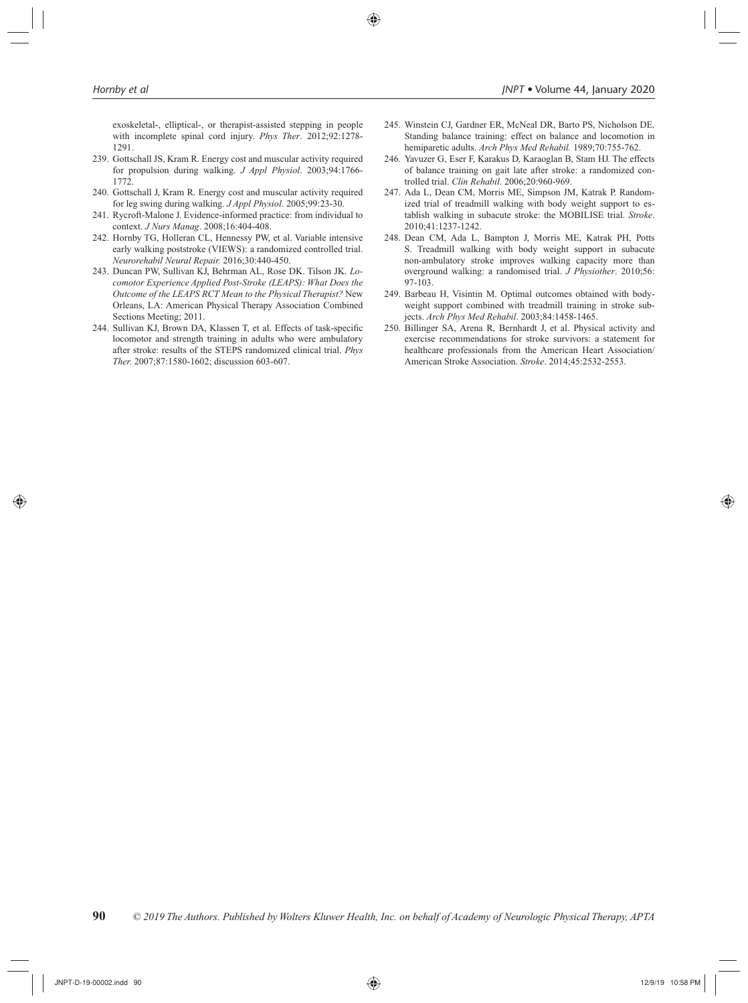exoskeletal-, elliptical-, or therapist-assisted stepping in people with incomplete spinal cord injury. *Phys Ther*. 2012;92:1278- 1291.

- 239. Gottschall JS, Kram R. Energy cost and muscular activity required for propulsion during walking. *J Appl Physiol*. 2003;94:1766- 1772.
- 240. Gottschall J, Kram R. Energy cost and muscular activity required for leg swing during walking. *J Appl Physiol*. 2005;99:23-30.
- 241. Rycroft-Malone J. Evidence-informed practice: from individual to context. *J Nurs Manag*. 2008;16:404-408.
- 242. Hornby TG, Holleran CL, Hennessy PW, et al. Variable intensive early walking poststroke (VIEWS): a randomized controlled trial. *Neurorehabil Neural Repair.* 2016;30:440-450.
- 243. Duncan PW, Sullivan KJ, Behrman AL, Rose DK. Tilson JK. *Locomotor Experience Applied Post-Stroke (LEAPS): What Does the Outcome of the LEAPS RCT Mean to the Physical Therapist?* New Orleans, LA: American Physical Therapy Association Combined Sections Meeting; 2011.
- 244. Sullivan KJ, Brown DA, Klassen T, et al. Effects of task-specific locomotor and strength training in adults who were ambulatory after stroke: results of the STEPS randomized clinical trial. *Phys Ther.* 2007;87:1580-1602; discussion 603-607.
- 245. Winstein CJ, Gardner ER, McNeal DR, Barto PS, Nicholson DE. Standing balance training: effect on balance and locomotion in hemiparetic adults. *Arch Phys Med Rehabil.* 1989;70:755-762.
- 246. Yavuzer G, Eser F, Karakus D, Karaoglan B, Stam HJ. The effects of balance training on gait late after stroke: a randomized controlled trial. *Clin Rehabil*. 2006;20:960-969.
- 247. Ada L, Dean CM, Morris ME, Simpson JM, Katrak P. Randomized trial of treadmill walking with body weight support to establish walking in subacute stroke: the MOBILISE trial. *Stroke*. 2010;41:1237-1242.
- 248. Dean CM, Ada L, Bampton J, Morris ME, Katrak PH, Potts S. Treadmill walking with body weight support in subacute non-ambulatory stroke improves walking capacity more than overground walking: a randomised trial. *J Physiother*. 2010;56: 97-103.
- 249. Barbeau H, Visintin M. Optimal outcomes obtained with bodyweight support combined with treadmill training in stroke subjects. *Arch Phys Med Rehabil*. 2003;84:1458-1465.
- 250. Billinger SA, Arena R, Bernhardt J, et al. Physical activity and exercise recommendations for stroke survivors: a statement for healthcare professionals from the American Heart Association/ American Stroke Association. *Stroke*. 2014;45:2532-2553.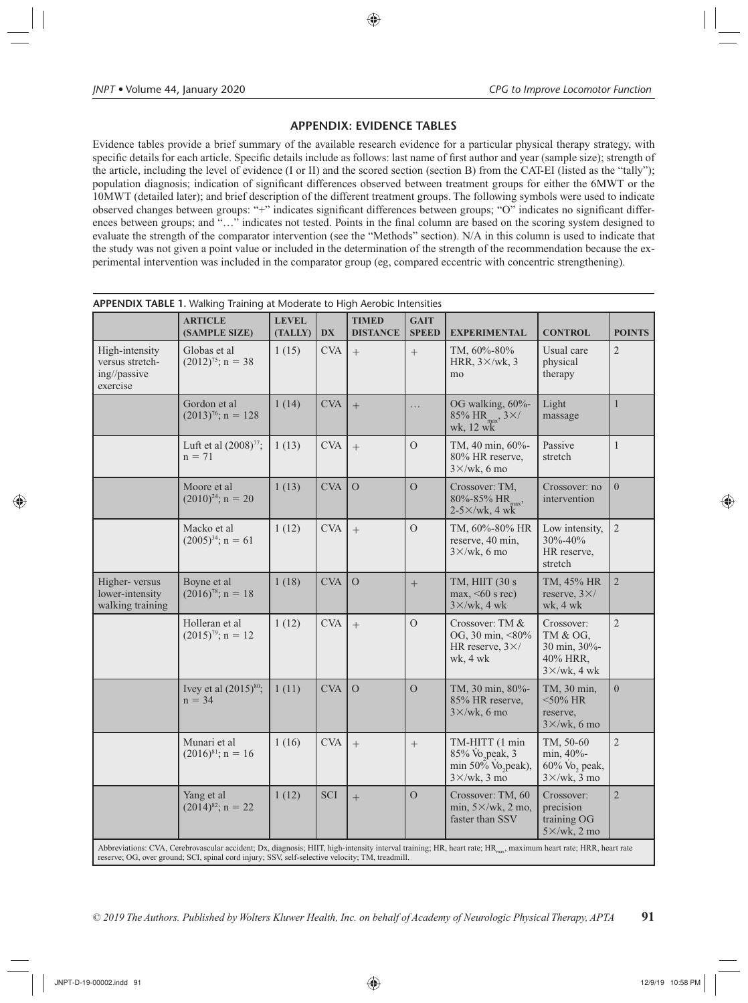# **APPENDIX: EVIDENCE TABLES**

Evidence tables provide a brief summary of the available research evidence for a particular physical therapy strategy, with specific details for each article. Specific details include as follows: last name of first author and year (sample size); strength of the article, including the level of evidence (I or II) and the scored section (section B) from the CAT-EI (listed as the "tally"); population diagnosis; indication of significant differences observed between treatment groups for either the 6MWT or the 10MWT (detailed later); and brief description of the different treatment groups. The following symbols were used to indicate observed changes between groups: "+" indicates significant differences between groups; "O" indicates no significant differences between groups; and "..." indicates not tested. Points in the final column are based on the scoring system designed to evaluate the strength of the comparator intervention (see the "Methods" section). N/A in this column is used to indicate that the study was not given a point value or included in the determination of the strength of the recommendation because the experimental intervention was included in the comparator group (eg, compared eccentric with concentric strengthening).

|                                                               | <b>ARTICLE</b><br>(SAMPLE SIZE)               | <b>LEVEL</b><br>(TALLY) | <b>DX</b>  | <b>TIMED</b><br><b>DISTANCE</b> | <b>GAIT</b><br><b>SPEED</b> | <b>EXPERIMENTAL</b>                                                                                           | <b>CONTROL</b>                                                                        | <b>POINTS</b>  |
|---------------------------------------------------------------|-----------------------------------------------|-------------------------|------------|---------------------------------|-----------------------------|---------------------------------------------------------------------------------------------------------------|---------------------------------------------------------------------------------------|----------------|
| High-intensity<br>versus stretch-<br>ing//passive<br>exercise | Globas et al<br>$(2012)^{75}$ ; n = 38        | 1(15)                   | <b>CVA</b> | $\qquad \qquad +$               | $\, +$                      | TM, 60%-80%<br>HRR, $3 \times$ /wk, 3<br>mo                                                                   | Usual care<br>physical<br>therapy                                                     | $\overline{2}$ |
|                                                               | Gordon et al<br>$(2013)^{76}$ ; n = 128       | 1(14)                   | <b>CVA</b> | $+$                             | .                           | OG walking, 60%-<br>85% HR $_{max}$ , 3×/<br>wk, 12 wk                                                        | Light<br>massage                                                                      | $\mathbf{1}$   |
|                                                               | Luft et al (2008) <sup>77</sup> ;<br>$n = 71$ | 1(13)                   | <b>CVA</b> | $+$                             | $\Omega$                    | TM, 40 min, 60%-<br>80% HR reserve,<br>$3 \times$ /wk, 6 mo                                                   | Passive<br>stretch                                                                    | $\mathbf{1}$   |
|                                                               | Moore et al<br>$(2010)^{24}$ ; n = 20         | 1(13)                   | <b>CVA</b> | $\mathcal{O}$                   | $\overline{O}$              | Crossover: TM,<br>80%-85% HR <sub>max</sub> , 2-5×/wk, 4 wk                                                   | Crossover: no<br>intervention                                                         | $\Omega$       |
|                                                               | Macko et al<br>$(2005)^{34}$ ; n = 61         | 1(12)                   | <b>CVA</b> | $\qquad \qquad +$               | $\Omega$                    | TM, 60%-80% HR<br>reserve, 40 min,<br>$3 \times$ /wk, 6 mo                                                    | Low intensity,<br>30%-40%<br>HR reserve,<br>stretch                                   | $\overline{2}$ |
| Higher-versus<br>lower-intensity<br>walking training          | Boyne et al<br>$(2016)^{78}$ ; n = 18         | 1(18)                   | <b>CVA</b> | $\overline{O}$                  | $\qquad \qquad +$           | TM, HIIT (30 s<br>$max, <60$ s rec)<br>$3 \times$ /wk, 4 wk                                                   | TM, 45% HR<br>reserve, $3 \times/$<br>wk, 4 wk                                        | $\overline{2}$ |
|                                                               | Holleran et al<br>$(2015)^{79}$ ; n = 12      | 1(12)                   | <b>CVA</b> | $\overline{+}$                  | $\mathcal{O}$               | Crossover: TM &<br>OG, 30 min, <80%<br>HR reserve, $3 \times/$<br>wk, 4 wk                                    | Crossover:<br>TM & OG,<br>30 min, 30%-<br>40% HRR,<br>$3 \times$ /wk, 4 wk            | $\overline{2}$ |
|                                                               | Ivey et al $(2015)^{80}$ ;<br>$n = 34$        | 1(11)                   | <b>CVA</b> | $\Omega$                        | $\overline{O}$              | TM, 30 min, 80%-<br>85% HR reserve,<br>$3 \times$ /wk, 6 mo                                                   | TM, 30 min,<br>$<$ 50% HR<br>reserve,<br>$3 \times$ /wk, 6 mo                         | $\overline{0}$ |
|                                                               | Munari et al<br>$(2016)^{81}$ ; n = 16        | 1(16)                   | <b>CVA</b> | $\qquad \qquad +$               | $^{+}$                      | TM-HITT (1 min<br>$85\%$ Vo <sub>y</sub> peak, 3<br>min $50\%$ Vo <sub>2</sub> peak),<br>$3 \times$ /wk, 3 mo | TM, 50-60<br>min, 40%-<br>60% Vo <sub>2</sub> peak,<br>$3 \times$ /wk, $3 \text{ mo}$ | $\overline{2}$ |
|                                                               | Yang et al<br>$(2014)^{82}$ ; n = 22          | 1(12)                   | <b>SCI</b> | $\ddot{}$                       | $\overline{O}$              | Crossover: TM, 60<br>min, $5 \times$ /wk, 2 mo,<br>faster than SSV                                            | Crossover:<br>precision<br>training OG<br>$5 \times$ /wk, 2 mo                        | $\overline{2}$ |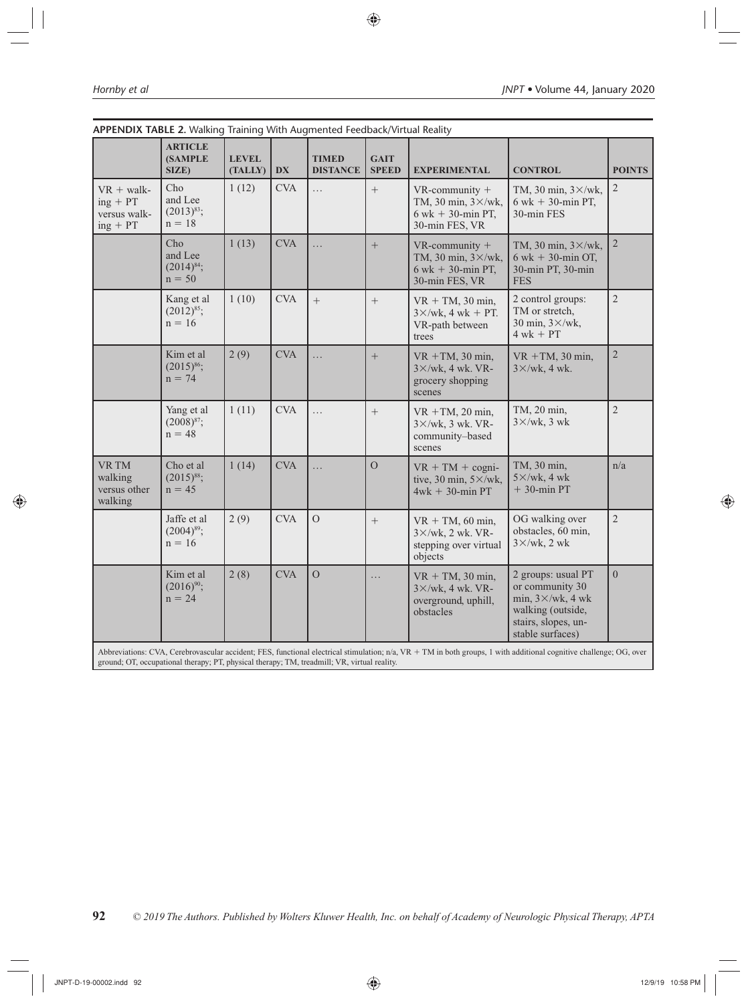| APPENDIX TABLE 2. Walking Training With Augmented Feedback/Virtual Reality |                                               |                         |            |                                 |                             |                                                                                           |                                                                                                                                    |                |
|----------------------------------------------------------------------------|-----------------------------------------------|-------------------------|------------|---------------------------------|-----------------------------|-------------------------------------------------------------------------------------------|------------------------------------------------------------------------------------------------------------------------------------|----------------|
|                                                                            | <b>ARTICLE</b><br><b>(SAMPLE</b><br>SIZE)     | <b>LEVEL</b><br>(TALLY) | <b>DX</b>  | <b>TIMED</b><br><b>DISTANCE</b> | <b>GAIT</b><br><b>SPEED</b> | <b>EXPERIMENTAL</b>                                                                       | <b>CONTROL</b>                                                                                                                     | <b>POINTS</b>  |
| $VR + walk$ -<br>$ing + PT$<br>versus walk-<br>$ing + PT$                  | Cho<br>and Lee<br>$(2013)^{83}$ ;<br>$n = 18$ | 1(12)                   | <b>CVA</b> | .                               | $\boldsymbol{+}$            | $VR$ -community +<br>TM, 30 min, $3 \times$ /wk,<br>$6$ wk + 30-min PT,<br>30-min FES, VR | TM, 30 min, $3 \times$ /wk,<br>$6 \text{ wk} + 30$ -min PT,<br>30-min FES                                                          | $\overline{2}$ |
|                                                                            | Cho<br>and Lee<br>$(2014)^{84}$ ;<br>$n = 50$ | 1(13)                   | <b>CVA</b> | .                               | $\! +$                      | VR-community +<br>TM, 30 min, $3 \times$ /wk,<br>$6$ wk + 30-min PT,<br>30-min FES, VR    | TM, 30 min, $3 \times$ /wk,<br>$6$ wk + 30-min OT,<br>30-min PT, 30-min<br><b>FES</b>                                              | $\overline{2}$ |
|                                                                            | Kang et al<br>$(2012)^{85}$ ;<br>$n = 16$     | 1(10)                   | <b>CVA</b> | $\boldsymbol{+}$                | $+$                         | $VR + TM$ , 30 min,<br>$3 \times$ /wk, 4 wk + PT.<br>VR-path between<br>trees             | 2 control groups:<br>TM or stretch,<br>30 min, $3 \times$ /wk,<br>$4$ wk + PT                                                      | $\overline{2}$ |
|                                                                            | Kim et al<br>$(2015)^{86}$ ;<br>$n = 74$      | 2(9)                    | <b>CVA</b> | .                               | $+$                         | $VR + TM$ , 30 min,<br>$3 \times$ /wk, 4 wk. VR-<br>grocery shopping<br>scenes            | $VR + TM$ , 30 min,<br>$3 \times$ /wk, 4 wk.                                                                                       | $\overline{2}$ |
|                                                                            | Yang et al<br>$(2008)^{87};$<br>$n = 48$      | 1(11)                   | <b>CVA</b> | .                               | $+$                         | $VR + TM$ , 20 min,<br>$3 \times$ /wk, 3 wk. VR-<br>community-based<br>scenes             | TM, 20 min,<br>$3 \times$ /wk, 3 wk                                                                                                | $\overline{2}$ |
| VR TM<br>walking<br>versus other<br>walking                                | Cho et al<br>$(2015)^{88}$ ;<br>$n = 45$      | 1(14)                   | <b>CVA</b> | .                               | $\overline{O}$              | $VR + TM + cogni$ -<br>tive, 30 min, $5 \times$ /wk,<br>$4wk + 30$ -min PT                | TM, 30 min,<br>$5 \times$ /wk, 4 wk<br>$+30$ -min PT                                                                               | n/a            |
|                                                                            | Jaffe et al<br>$(2004)^{89}$ ;<br>$n = 16$    | 2(9)                    | <b>CVA</b> | $\overline{O}$                  | $\! +$                      | $VR + TM$ , 60 min,<br>$3 \times$ /wk, 2 wk. VR-<br>stepping over virtual<br>objects      | OG walking over<br>obstacles, 60 min,<br>$3 \times$ /wk, 2 wk                                                                      | $\overline{2}$ |
|                                                                            | Kim et al<br>$(2016)^{90}$ ;<br>$n = 24$      | 2(8)                    | <b>CVA</b> | $\overline{O}$                  | $\cdots$                    | $VR + TM$ , 30 min,<br>$3 \times$ /wk, 4 wk. VR-<br>overground, uphill,<br>obstacles      | 2 groups: usual PT<br>or community 30<br>min, $3 \times$ /wk, 4 wk<br>walking (outside,<br>stairs, slopes, un-<br>stable surfaces) | $\overline{0}$ |

Abbreviations: CVA, Cerebrovascular accident; FES, functional electrical stimulation; n/a, VR + TM in both groups, 1 with additional cognitive challenge; OG, over ground; OT, occupational therapy; PT, physical therapy; TM, treadmill; VR, virtual reality.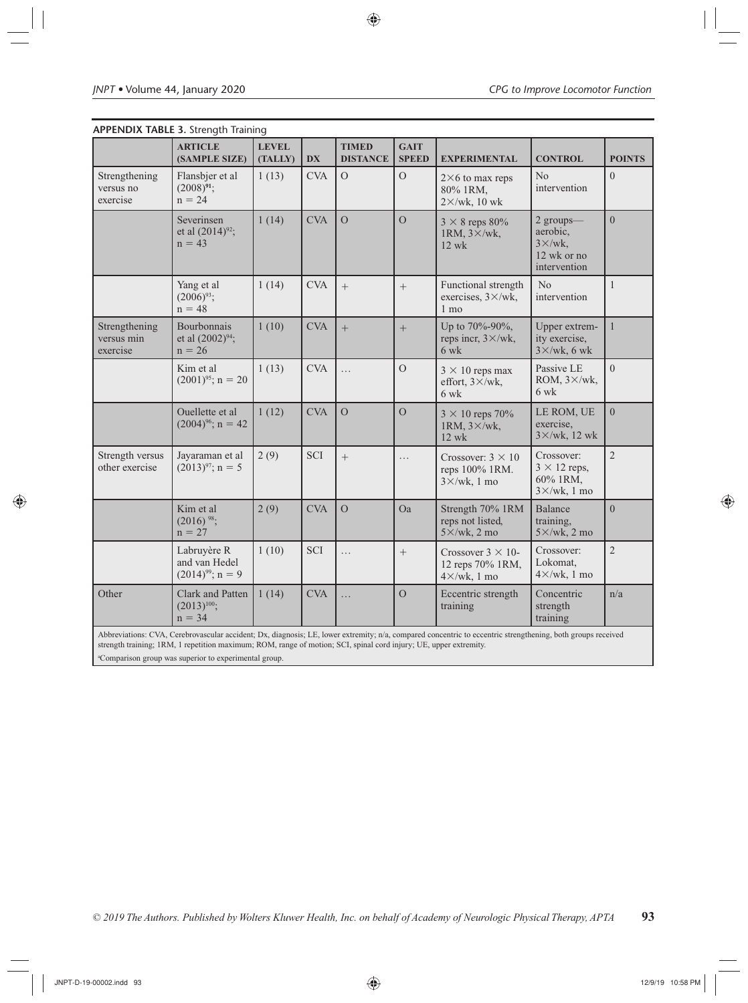|                                         | <b>APPENDIX TABLE 3. Strength Training</b>              |                         |            |                                 |                             |                                                                       |                                                                                                                                                                                                                                                                                                                                                                                                                        |                  |
|-----------------------------------------|---------------------------------------------------------|-------------------------|------------|---------------------------------|-----------------------------|-----------------------------------------------------------------------|------------------------------------------------------------------------------------------------------------------------------------------------------------------------------------------------------------------------------------------------------------------------------------------------------------------------------------------------------------------------------------------------------------------------|------------------|
|                                         | <b>ARTICLE</b><br>(SAMPLE SIZE)                         | <b>LEVEL</b><br>(TALLY) | <b>DX</b>  | <b>TIMED</b><br><b>DISTANCE</b> | <b>GAIT</b><br><b>SPEED</b> | <b>EXPERIMENTAL</b>                                                   | <b>CONTROL</b>                                                                                                                                                                                                                                                                                                                                                                                                         | <b>POINTS</b>    |
| Strengthening<br>versus no<br>exercise  | Flansbjer et al<br>$(2008)^{91}$ ;<br>$n = 24$          | 1(13)                   | <b>CVA</b> | $\Omega$                        | $\overline{O}$              | $2\times 6$ to max reps<br>80% 1RM,<br>$2 \times$ /wk, 10 wk          | No<br>intervention<br>2 groups-<br>aerobic.<br>$3 \times$ /wk,<br>12 wk or no<br>intervention<br>N <sub>o</sub><br>intervention<br>Upper extrem-<br>ity exercise,<br>$3 \times$ /wk, 6 wk<br>Passive LE<br>ROM, $3 \times$ /wk,<br>$6$ wk<br>LE ROM, UE<br>exercise,<br>$3 \times$ /wk, 12 wk<br>Crossover:<br>$3 \times 12$ reps,<br>60% 1RM,<br>$3 \times$ /wk, 1 mo<br>Balance<br>training.<br>$5 \times$ /wk, 2 mo | $\overline{0}$   |
|                                         | Severinsen<br>et al $(2014)^{92}$ ;<br>$n = 43$         | 1(14)                   | <b>CVA</b> | $\Omega$                        | $\overline{O}$              | $3 \times 8$ reps 80%<br>1RM, $3 \times$ /wk,<br>12 wk                |                                                                                                                                                                                                                                                                                                                                                                                                                        | $\theta$         |
|                                         | Yang et al<br>$(2006)^{93}$ ;<br>$n = 48$               | 1(14)                   | <b>CVA</b> | $+$                             | $^{+}$                      | Functional strength<br>exercises, $3 \times$ /wk,<br>1 mo             |                                                                                                                                                                                                                                                                                                                                                                                                                        | $\mathbf{1}$     |
| Strengthening<br>versus min<br>exercise | Bourbonnais<br>et al (2002) <sup>94</sup> ;<br>$n = 26$ | 1(10)                   | <b>CVA</b> | $+$                             | $+$                         | Up to 70%-90%,<br>reps incr, $3 \times$ /wk,<br>6 wk                  |                                                                                                                                                                                                                                                                                                                                                                                                                        | $\mathbf{1}$     |
|                                         | Kim et al<br>$(2001)^{95}$ ; n = 20                     | 1(13)                   | <b>CVA</b> | $\cdots$                        | $\overline{O}$              | $3 \times 10$ reps max<br>effort, $3 \times$ /wk.<br>$6 \text{ wk}$   |                                                                                                                                                                                                                                                                                                                                                                                                                        | $\overline{0}$   |
|                                         | Ouellette et al<br>$(2004)^{96}$ ; n = 42               | 1(12)                   | <b>CVA</b> | $\Omega$                        | $\Omega$                    | $3 \times 10$ reps 70%<br>1RM, $3 \times$ /wk,<br>$12$ wk             |                                                                                                                                                                                                                                                                                                                                                                                                                        | $\overline{0}$   |
| Strength versus<br>other exercise       | Jayaraman et al<br>$(2013)^{97}$ ; n = 5                | 2(9)                    | <b>SCI</b> | $\qquad \qquad +$               | .                           | Crossover: $3 \times 10$<br>reps 100% 1RM.<br>$3 \times$ /wk, 1 mo    |                                                                                                                                                                                                                                                                                                                                                                                                                        | $\overline{2}$   |
|                                         | Kim et al<br>$(2016)$ <sup>98</sup> ;<br>$n = 27$       | 2(9)                    | <b>CVA</b> | $\Omega$                        | <b>Oa</b>                   | Strength 70% 1RM<br>reps not listed,<br>$5 \times$ /wk, 2 mo          |                                                                                                                                                                                                                                                                                                                                                                                                                        | $\boldsymbol{0}$ |
|                                         | Labruyère R<br>and van Hedel<br>$(2014)^{99}$ ; n = 9   | 1(10)                   | <b>SCI</b> | $\cdots$                        | $\boldsymbol{+}$            | Crossover $3 \times 10$ -<br>12 reps 70% 1RM,<br>$4 \times$ /wk, 1 mo | Crossover:<br>Lokomat,<br>$4 \times$ /wk, 1 mo                                                                                                                                                                                                                                                                                                                                                                         | $\overline{2}$   |
| Other                                   | Clark and Patten<br>$(2013)^{100}$ ;<br>$n = 34$        | 1(14)                   | <b>CVA</b> | $\ddots$                        | $\overline{O}$              | Eccentric strength<br>training                                        | Concentric<br>strength<br>training                                                                                                                                                                                                                                                                                                                                                                                     | n/a              |

a Comparison group was superior to experimental group.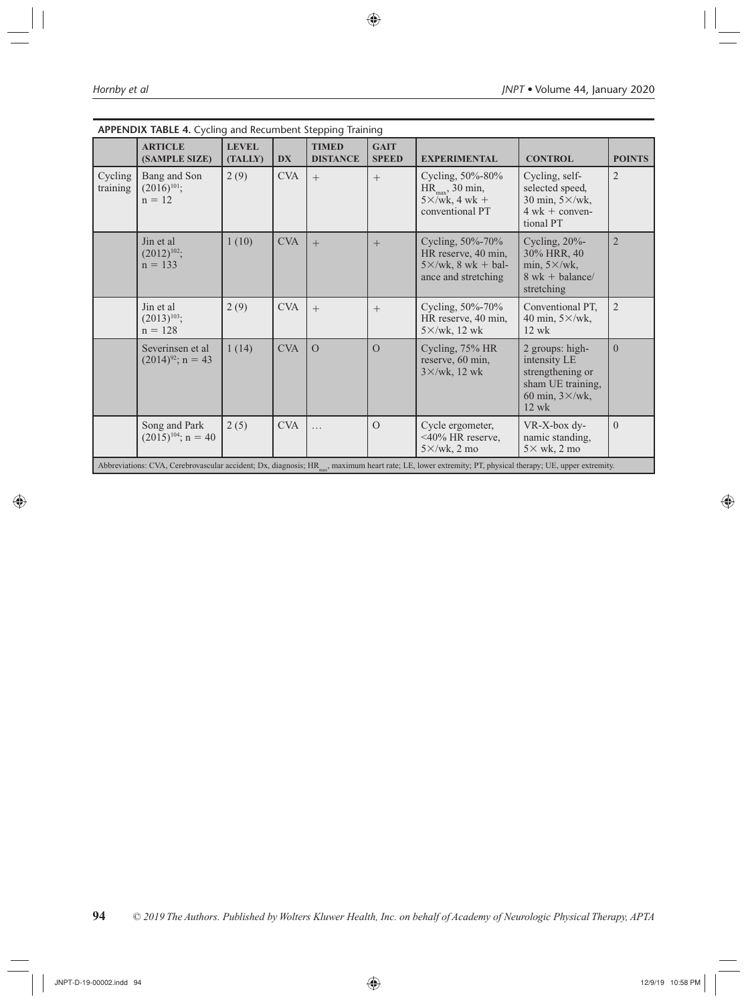| APPENDIX TABLE 4. Cycling and Recumbent Stepping Training<br><b>LEVEL</b><br><b>ARTICLE</b><br><b>TIMED</b><br><b>GAIT</b><br>(SAMPLE SIZE)<br><b>DX</b><br><b>DISTANCE</b><br><b>SPEED</b><br><b>CONTROL</b><br>(TALLY)<br><b>EXPERIMENTAL</b><br>$\overline{2}$<br>2(9)<br><b>CVA</b><br>Cycling<br>Bang and Son<br>Cycling, $50\% - 80\%$<br>Cycling, self-<br>$+$<br>$+$<br>$(2016)^{101}$ ;<br>$HR_{max}$ , 30 min,<br>selected speed,<br>training<br>$5 \times$ /wk, 4 wk +<br>30 min, $5 \times$ /wk,<br>$n = 12$<br>conventional PT<br>$4$ wk + conven-<br>tional PT<br><b>CVA</b><br>$\overline{2}$<br>1(10)<br>Jin et al<br>Cycling, 50%-70%<br>Cycling, $20\%$ -<br>$+$<br>$+$<br>$(2012)^{102}$ ;<br>HR reserve, 40 min,<br>30% HRR, 40<br>$5 \times$ /wk, 8 wk + bal-<br>$n = 133$<br>min, $5 \times$ /wk,<br>ance and stretching<br>$8$ wk + balance/<br>stretching<br>$\overline{2}$<br><b>CVA</b><br>Jin et al.<br>2(9)<br>Conventional PT,<br>Cycling, 50%-70%<br>$+$<br>$+$<br>$(2013)^{103}$ ;<br>40 min, $5 \times$ /wk,<br>HR reserve, 40 min,<br>$5 \times$ /wk, 12 wk<br>$12 \text{ wk}$<br>$n = 128$<br><b>CVA</b><br>1(14)<br>$\Omega$<br>$\Omega$<br>$\theta$<br>Cycling, 75% HR<br>2 groups: high-<br>Severinsen et al |                                          |      |            |   |          |                                                                                                                                                                      |                                                                                                     |               |
|---------------------------------------------------------------------------------------------------------------------------------------------------------------------------------------------------------------------------------------------------------------------------------------------------------------------------------------------------------------------------------------------------------------------------------------------------------------------------------------------------------------------------------------------------------------------------------------------------------------------------------------------------------------------------------------------------------------------------------------------------------------------------------------------------------------------------------------------------------------------------------------------------------------------------------------------------------------------------------------------------------------------------------------------------------------------------------------------------------------------------------------------------------------------------------------------------------------------------------------------------|------------------------------------------|------|------------|---|----------|----------------------------------------------------------------------------------------------------------------------------------------------------------------------|-----------------------------------------------------------------------------------------------------|---------------|
|                                                                                                                                                                                                                                                                                                                                                                                                                                                                                                                                                                                                                                                                                                                                                                                                                                                                                                                                                                                                                                                                                                                                                                                                                                                   |                                          |      |            |   |          |                                                                                                                                                                      |                                                                                                     | <b>POINTS</b> |
|                                                                                                                                                                                                                                                                                                                                                                                                                                                                                                                                                                                                                                                                                                                                                                                                                                                                                                                                                                                                                                                                                                                                                                                                                                                   |                                          |      |            |   |          |                                                                                                                                                                      |                                                                                                     |               |
|                                                                                                                                                                                                                                                                                                                                                                                                                                                                                                                                                                                                                                                                                                                                                                                                                                                                                                                                                                                                                                                                                                                                                                                                                                                   |                                          |      |            |   |          |                                                                                                                                                                      |                                                                                                     |               |
|                                                                                                                                                                                                                                                                                                                                                                                                                                                                                                                                                                                                                                                                                                                                                                                                                                                                                                                                                                                                                                                                                                                                                                                                                                                   |                                          |      |            |   |          |                                                                                                                                                                      |                                                                                                     |               |
|                                                                                                                                                                                                                                                                                                                                                                                                                                                                                                                                                                                                                                                                                                                                                                                                                                                                                                                                                                                                                                                                                                                                                                                                                                                   | $(2014)^{92}$ ; n = 43                   |      |            |   |          | reserve, 60 min,<br>$3 \times$ /wk, 12 wk                                                                                                                            | intensity LE<br>strengthening or<br>sham UE training,<br>60 min, $3 \times$ /wk,<br>$12 \text{ wk}$ |               |
|                                                                                                                                                                                                                                                                                                                                                                                                                                                                                                                                                                                                                                                                                                                                                                                                                                                                                                                                                                                                                                                                                                                                                                                                                                                   | Song and Park<br>$(2015)^{104}$ ; n = 40 | 2(5) | <b>CVA</b> | . | $\Omega$ | Cycle ergometer,<br>$<40\%$ HR reserve,<br>$5 \times$ /wk, 2 mo                                                                                                      | VR-X-box dy-<br>namic standing,<br>$5\times$ wk, 2 mo                                               | $\Omega$      |
|                                                                                                                                                                                                                                                                                                                                                                                                                                                                                                                                                                                                                                                                                                                                                                                                                                                                                                                                                                                                                                                                                                                                                                                                                                                   |                                          |      |            |   |          | Abbreviations: CVA, Cerebrovascular accident; Dx, diagnosis; HR <sub>max</sub> , maximum heart rate; LE, lower extremity; PT, physical therapy; UE, upper extremity. |                                                                                                     |               |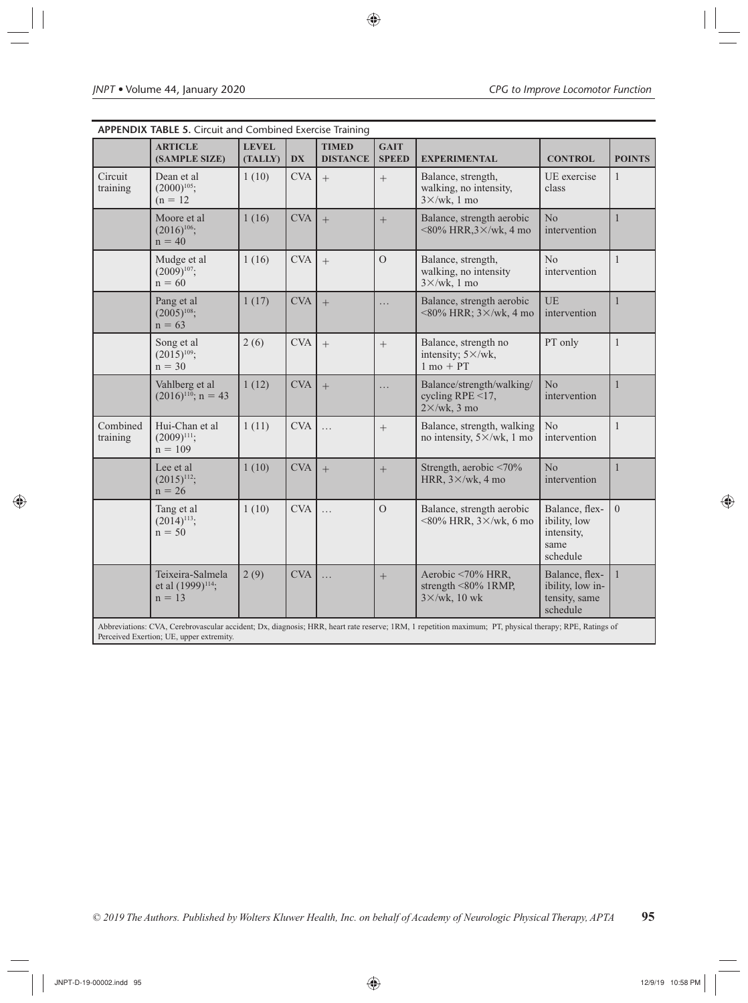|                      | <b>APPENDIX TABLE 5.</b> Circuit and Combined Exercise Training |                         |            |                                 |                             |                                                                                                                                                        |                                                                  |               |
|----------------------|-----------------------------------------------------------------|-------------------------|------------|---------------------------------|-----------------------------|--------------------------------------------------------------------------------------------------------------------------------------------------------|------------------------------------------------------------------|---------------|
|                      | <b>ARTICLE</b><br>(SAMPLE SIZE)                                 | <b>LEVEL</b><br>(TALLY) | <b>DX</b>  | <b>TIMED</b><br><b>DISTANCE</b> | <b>GAIT</b><br><b>SPEED</b> | <b>EXPERIMENTAL</b>                                                                                                                                    | <b>CONTROL</b>                                                   | <b>POINTS</b> |
| Circuit<br>training  | Dean et al<br>$(2000)^{105}$ ;<br>$(n = 12)$                    | 1(10)                   | <b>CVA</b> | $+$                             | $\! +$                      | Balance, strength,<br>walking, no intensity,<br>$3 \times$ /wk, 1 mo                                                                                   | UE exercise<br>class                                             | $\mathbf{1}$  |
|                      | Moore et al<br>$(2016)^{106}$ ;<br>$n = 40$                     | 1(16)                   | <b>CVA</b> | $+$                             | $+$                         | Balance, strength aerobic<br>$<80\%$ HRR, $3\times$ /wk, 4 mo                                                                                          | N <sub>o</sub><br>intervention                                   | $\mathbf{1}$  |
|                      | Mudge et al<br>$(2009)^{107}$ ;<br>$n = 60$                     | 1(16)                   | <b>CVA</b> | $+$                             | $\overline{O}$              | Balance, strength,<br>walking, no intensity<br>$3 \times$ /wk, 1 mo                                                                                    | No.<br>intervention                                              | $\mathbf{1}$  |
|                      | Pang et al<br>$(2005)^{108}$ ;<br>$n = 63$                      | 1(17)                   | <b>CVA</b> | $+$                             | .                           | Balance, strength aerobic<br><80% HRR; $3 \times$ /wk, 4 mo                                                                                            | UE<br>intervention                                               | $\mathbf{1}$  |
|                      | Song et al<br>$(2015)^{109}$ ;<br>$n = 30$                      | 2(6)                    | <b>CVA</b> | $+$                             |                             | Balance, strength no<br>intensity; $5 \times$ /wk,<br>$1 \text{ mo} + PT$                                                                              | PT only                                                          | $\mathbf{1}$  |
|                      | Vahlberg et al<br>$(2016)^{110}$ ; n = 43                       | 1(12)                   | <b>CVA</b> | $+$                             | .                           | Balance/strength/walking/<br>cycling RPE $\leq$ 17,<br>$2 \times$ /wk, 3 mo                                                                            | No<br>intervention                                               | $\mathbf{1}$  |
| Combined<br>training | Hui-Chan et al<br>$(2009)^{111};$<br>$n = 109$                  | 1(11)                   | <b>CVA</b> | $\cdots$                        | $+$                         | Balance, strength, walking<br>no intensity, $5 \times$ /wk, 1 mo                                                                                       | No<br>intervention                                               | $\mathbf{1}$  |
|                      | Lee et al<br>$(2015)^{112}$ ;<br>$n = 26$                       | 1(10)                   | <b>CVA</b> | $+$                             | $+$                         | Strength, aerobic <70%<br>HRR, $3 \times$ /wk, 4 mo                                                                                                    | No<br>intervention                                               | $\mathbf{1}$  |
|                      | Tang et al<br>$(2014)^{113}$ ;<br>$n = 50$                      | 1(10)                   | <b>CVA</b> | $\ddotsc$                       | $\Omega$                    | Balance, strength aerobic<br>$<80\%$ HRR, $3\times$ /wk, 6 mo                                                                                          | Balance, flex-<br>ibility, low<br>intensity,<br>same<br>schedule | $\theta$      |
|                      | Teixeira-Salmela<br>et al (1999) <sup>114</sup> ;<br>$n = 13$   | 2(9)                    | <b>CVA</b> | .                               | $+$                         | Aerobic <70% HRR,<br>strength <80% 1RMP,<br>$3 \times$ /wk, 10 wk                                                                                      | Balance, flex-<br>ibility, low in-<br>tensity, same<br>schedule  | $\mathbf{1}$  |
|                      | Perceived Exertion; UE, upper extremity.                        |                         |            |                                 |                             | Abbreviations: CVA, Cerebrovascular accident; Dx, diagnosis; HRR, heart rate reserve; 1RM, 1 repetition maximum; PT, physical therapy; RPE, Ratings of |                                                                  |               |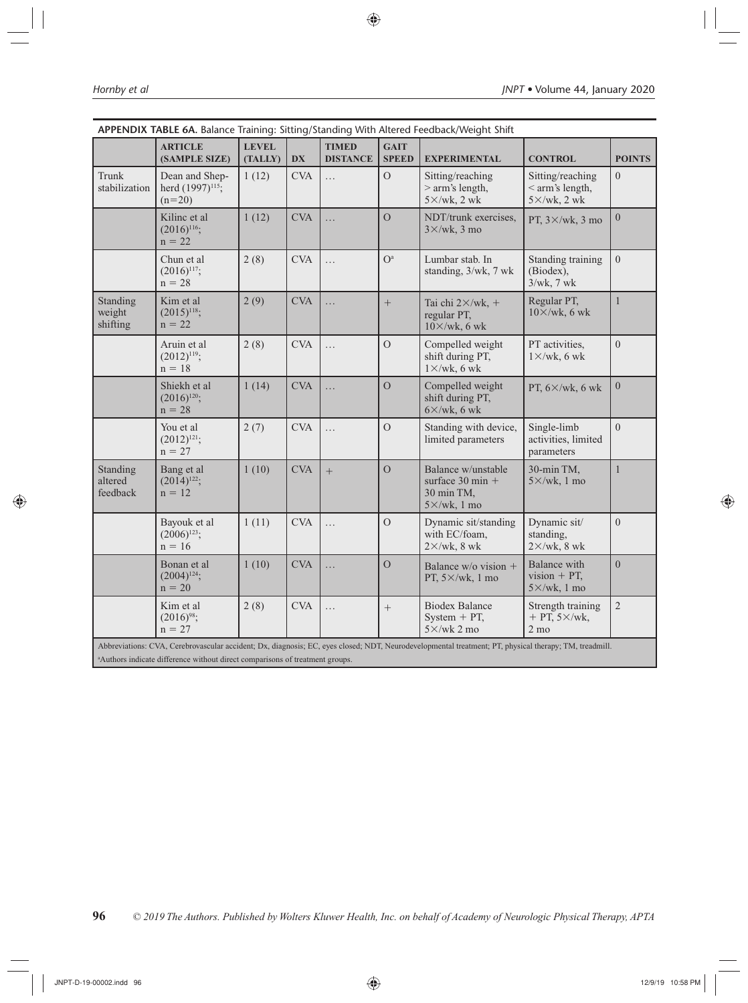| APPENDIX TABLE 6A. Balance Training: Sitting/Standing With Altered Feedback/Weight Shift |                                                                                          |                         |            |                                 |                             |                                                                                                                                                       |                                                                |                  |  |
|------------------------------------------------------------------------------------------|------------------------------------------------------------------------------------------|-------------------------|------------|---------------------------------|-----------------------------|-------------------------------------------------------------------------------------------------------------------------------------------------------|----------------------------------------------------------------|------------------|--|
|                                                                                          | <b>ARTICLE</b><br>(SAMPLE SIZE)                                                          | <b>LEVEL</b><br>(TALLY) | <b>DX</b>  | <b>TIMED</b><br><b>DISTANCE</b> | <b>GAIT</b><br><b>SPEED</b> | <b>EXPERIMENTAL</b>                                                                                                                                   | <b>CONTROL</b>                                                 | <b>POINTS</b>    |  |
| Trunk<br>stabilization                                                                   | Dean and Shep-<br>herd (1997) <sup>115</sup> ;<br>$(n=20)$                               | 1(12)                   | <b>CVA</b> | $\cdots$                        | $\Omega$                    | Sitting/reaching<br>> arm's length,<br>$5 \times$ /wk, 2 wk                                                                                           | Sitting/reaching<br>< arm's length,<br>$5 \times$ /wk, 2 wk    | $\theta$         |  |
|                                                                                          | Kilinc et al<br>$(2016)^{116}$ ;<br>$n = 22$                                             | 1(12)                   | <b>CVA</b> | .                               | $\overline{O}$              | NDT/trunk exercises,<br>$3 \times$ /wk, 3 mo                                                                                                          | PT, $3 \times$ /wk, 3 mo                                       | $\boldsymbol{0}$ |  |
|                                                                                          | Chun et al<br>$(2016)^{117}$ ;<br>$n = 28$                                               | 2(8)                    | <b>CVA</b> | .                               | O <sup>a</sup>              | Lumbar stab. In<br>standing, 3/wk, 7 wk                                                                                                               | Standing training<br>(Biodex),<br>$3/wk$ , $7wk$               | $\mathbf{0}$     |  |
| Standing<br>weight<br>shifting                                                           | Kim et al<br>$(2015)^{118}$ ;<br>$n = 22$                                                | 2(9)                    | <b>CVA</b> | .                               | $\! +$                      | Tai chi $2 \times$ /wk, +<br>regular PT,<br>$10 \times$ /wk, 6 wk                                                                                     | Regular PT,<br>$10 \times$ /wk, 6 wk                           | $\mathbf{1}$     |  |
|                                                                                          | Aruin et al<br>$(2012)^{119}$ ;<br>$n = 18$                                              | 2(8)                    | <b>CVA</b> | $\cdots$                        | $\overline{O}$              | Compelled weight<br>shift during PT,<br>$1 \times$ /wk, 6 wk                                                                                          | PT activities,<br>$1 \times$ /wk, 6 wk                         | $\mathbf{0}$     |  |
|                                                                                          | Shiekh et al<br>$(2016)^{120}$ ;<br>$n = 28$                                             | 1(14)                   | <b>CVA</b> | $\cdots$                        | $\overline{O}$              | Compelled weight<br>shift during PT,<br>$6 \times$ /wk, 6 wk                                                                                          | PT, $6 \times$ /wk, 6 wk                                       | $\boldsymbol{0}$ |  |
|                                                                                          | You et al<br>$(2012)^{121}$ ;<br>$n = 27$                                                | 2(7)                    | <b>CVA</b> | $\cdots$                        | $\overline{O}$              | Standing with device,<br>limited parameters                                                                                                           | Single-limb<br>activities, limited<br>parameters               | $\overline{0}$   |  |
| Standing<br>altered<br>feedback                                                          | Bang et al<br>$(2014)^{122}$ ;<br>$n = 12$                                               | 1(10)                   | <b>CVA</b> | $+$                             | $\overline{O}$              | Balance w/unstable<br>surface 30 min +<br>30 min TM,<br>$5 \times$ /wk, 1 mo                                                                          | 30-min TM.<br>$5 \times$ /wk, 1 mo                             | $\mathbf{1}$     |  |
|                                                                                          | Bayouk et al<br>$(2006)^{123}$ ;<br>$n = 16$                                             | 1(11)                   | <b>CVA</b> | $\cdots$                        | $\Omega$                    | Dynamic sit/standing<br>with EC/foam,<br>$2 \times$ /wk, 8 wk                                                                                         | Dynamic sit/<br>standing,<br>$2 \times$ /wk, 8 wk              | $\theta$         |  |
|                                                                                          | Bonan et al<br>$(2004)^{124}$ ;<br>$n = 20$                                              | 1(10)                   | <b>CVA</b> | $\cdots$                        | $\overline{O}$              | Balance w/o vision +<br>PT, $5 \times$ /wk, 1 mo                                                                                                      | <b>Balance</b> with<br>vision $+ PT$ ,<br>$5 \times$ /wk, 1 mo | $\overline{0}$   |  |
|                                                                                          | Kim et al<br>$(2016)^{98}$ ;<br>$n = 27$                                                 | 2(8)                    | <b>CVA</b> | .                               | $\! +$                      | <b>Biodex Balance</b><br>System $+$ PT,<br>$5 \times$ /wk 2 mo                                                                                        | Strength training<br>$+$ PT, $5 \times$ /wk,<br>$2 \text{ mo}$ | $\overline{2}$   |  |
|                                                                                          | <sup>a</sup> Authors indicate difference without direct comparisons of treatment groups. |                         |            |                                 |                             | Abbreviations: CVA, Cerebrovascular accident; Dx, diagnosis; EC, eyes closed; NDT, Neurodevelopmental treatment; PT, physical therapy; TM, treadmill. |                                                                |                  |  |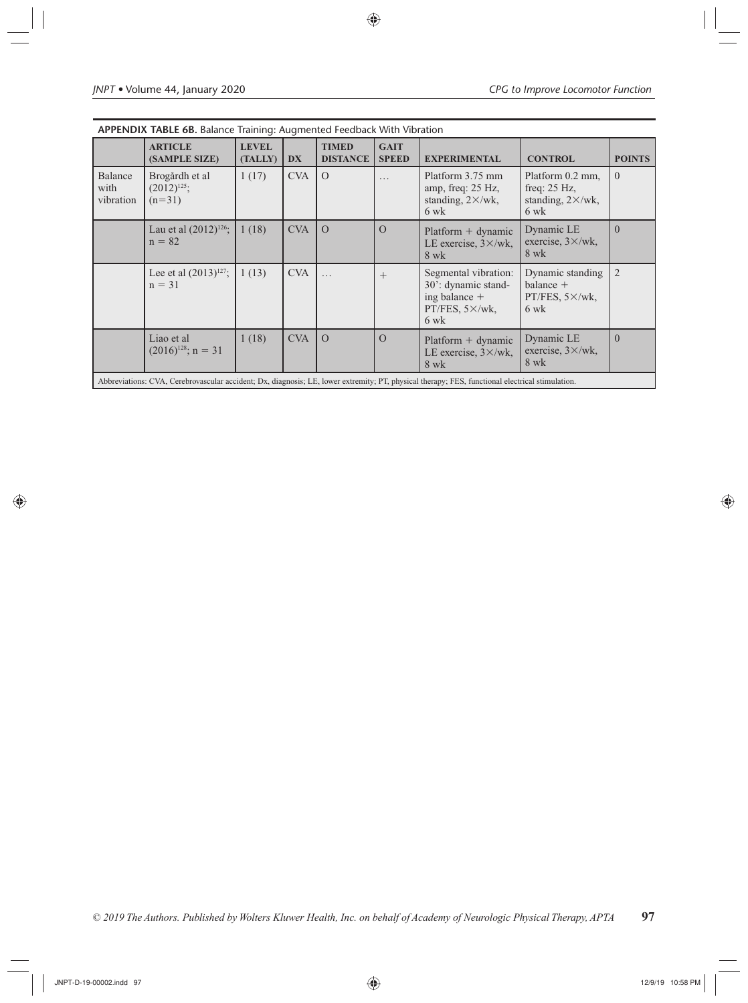|                              | APPENDIX TABLE 6B. Balance Training: Augmented Feedback With Vibration |                         |            |                                 |                             |                                                                                                                                                 |                                                                                   |                |
|------------------------------|------------------------------------------------------------------------|-------------------------|------------|---------------------------------|-----------------------------|-------------------------------------------------------------------------------------------------------------------------------------------------|-----------------------------------------------------------------------------------|----------------|
|                              | <b>ARTICLE</b><br>(SAMPLE SIZE)                                        | <b>LEVEL</b><br>(TALLY) | <b>DX</b>  | <b>TIMED</b><br><b>DISTANCE</b> | <b>GAIT</b><br><b>SPEED</b> | <b>EXPERIMENTAL</b>                                                                                                                             | <b>CONTROL</b>                                                                    | <b>POINTS</b>  |
| Balance<br>with<br>vibration | Brogårdh et al<br>$(2012)^{125}$ ;<br>$(n=31)$                         | 1(17)                   | <b>CVA</b> | $\Omega$                        | $\cdots$                    | Platform 3.75 mm<br>amp, freq: 25 Hz,<br>standing, $2 \times$ /wk,<br>$6 \text{ wk}$                                                            | Platform 0.2 mm,<br>freq: $25$ Hz,<br>standing, $2 \times$ /wk,<br>$6 \text{ wk}$ | $\Omega$       |
|                              | Lau et al $(2012)^{126}$ ;<br>$n = 82$                                 | 1(18)                   | <b>CVA</b> | $\Omega$                        | $\Omega$                    | $Platform + dynamic$<br>LE exercise, $3 \times$ /wk,<br>$8$ wk                                                                                  | Dynamic LE<br>exercise, $3 \times$ /wk,<br>8 wk                                   | $\Omega$       |
|                              | Lee et al $(2013)^{127}$ ;<br>$n = 31$                                 | 1(13)                   | <b>CVA</b> | .                               | $^{+}$                      | Segmental vibration:<br>30': dynamic stand-<br>ing balance $+$<br>$PT/FES, 5 \times /wk$ ,<br>$6 \text{ wk}$                                    | Dynamic standing<br>balance $+$<br>$PT/FES, 5 \times /wk,$<br>$6 \text{ wk}$      | $\overline{2}$ |
|                              | Liao et al<br>$(2016)^{128}$ ; n = 31                                  | 1(18)                   | <b>CVA</b> | $\Omega$                        | $\Omega$                    | $Platform + dynamic$<br>LE exercise, $3 \times$ /wk,<br>8 wk                                                                                    | Dynamic LE<br>exercise, $3 \times$ /wk,<br>8 wk                                   | $\Omega$       |
|                              |                                                                        |                         |            |                                 |                             | Abbreviations: CVA, Cerebrovascular accident; Dx, diagnosis; LE, lower extremity; PT, physical therapy; FES, functional electrical stimulation. |                                                                                   |                |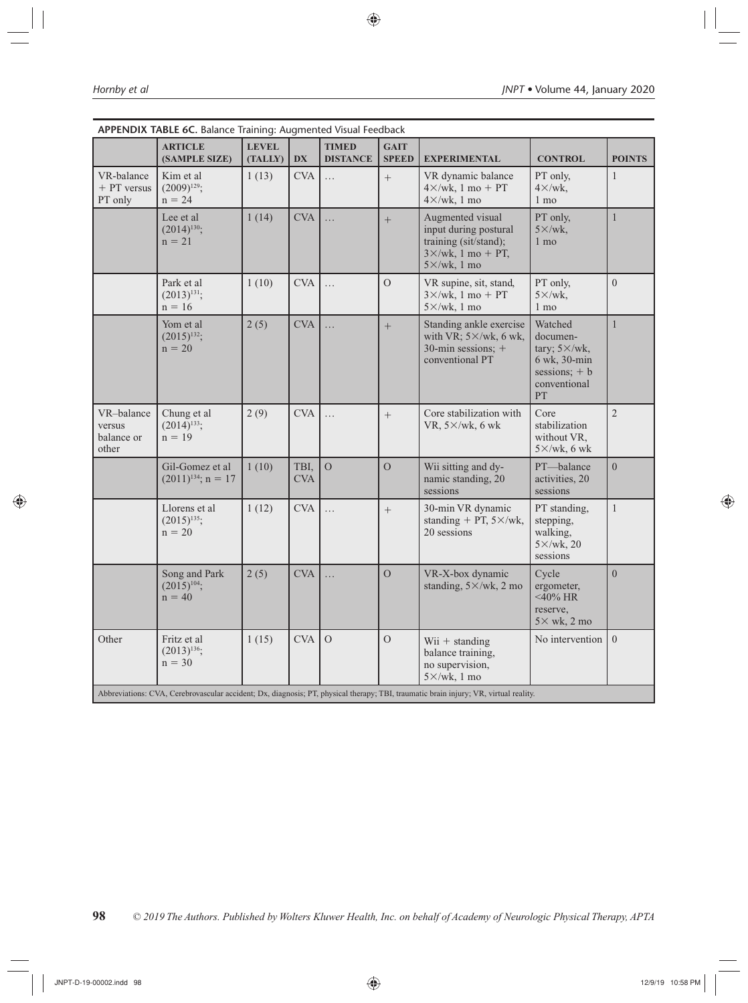|                                             | APPENDIX TABLE 6C. Balance Training: Augmented Visual Feedback |                         |                    |                                 |                             |                                                                                                                                      |                                                                                                       |                |  |
|---------------------------------------------|----------------------------------------------------------------|-------------------------|--------------------|---------------------------------|-----------------------------|--------------------------------------------------------------------------------------------------------------------------------------|-------------------------------------------------------------------------------------------------------|----------------|--|
|                                             | <b>ARTICLE</b><br>(SAMPLE SIZE)                                | <b>LEVEL</b><br>(TALLY) | <b>DX</b>          | <b>TIMED</b><br><b>DISTANCE</b> | <b>GAIT</b><br><b>SPEED</b> | <b>EXPERIMENTAL</b>                                                                                                                  | <b>CONTROL</b>                                                                                        | <b>POINTS</b>  |  |
| VR-balance<br>$+$ PT versus<br>PT only      | Kim et al<br>$(2009)^{129}$ ;<br>$n = 24$                      | 1(13)                   | <b>CVA</b>         | $\dddotsc$                      | $^{+}$                      | VR dynamic balance<br>$4 \times$ /wk, 1 mo + PT<br>$4 \times$ /wk, 1 mo                                                              | PT only,<br>$4 \times$ /wk.<br>$1 \text{ mo}$                                                         | $\mathbf{1}$   |  |
|                                             | Lee et al<br>$(2014)^{130}$ ;<br>$n = 21$                      | 1(14)                   | <b>CVA</b>         | $\cdots$                        | $\boldsymbol{+}$            | Augmented visual<br>input during postural<br>training (sit/stand);<br>$3 \times$ /wk, 1 mo + PT,<br>$5 \times$ /wk, 1 mo             | PT only,<br>$5 \times$ /wk.<br>$1 \text{ mo}$                                                         | $\mathbf{1}$   |  |
|                                             | Park et al<br>$(2013)^{131};$<br>$n = 16$                      | 1(10)                   | <b>CVA</b>         | .                               | $\overline{O}$              | VR supine, sit, stand,<br>$3 \times$ /wk, 1 mo + PT<br>$5 \times$ /wk, 1 mo                                                          | PT only,<br>$5 \times$ /wk.<br>1 mo                                                                   | $\theta$       |  |
|                                             | Yom et al<br>$(2015)^{132}$ ;<br>$n = 20$                      | 2(5)                    | <b>CVA</b>         | $\ddots$                        | $\boldsymbol{+}$            | Standing ankle exercise<br>with VR; $5 \times$ /wk, 6 wk,<br>$30$ -min sessions; $+$<br>conventional PT                              | Watched<br>documen-<br>tary; $5 \times$ /wk,<br>6 wk, 30-min<br>sessions; $+ b$<br>conventional<br>PT | $\mathbf{1}$   |  |
| VR-balance<br>versus<br>balance or<br>other | Chung et al<br>$(2014)^{133}$ ;<br>$n = 19$                    | 2(9)                    | <b>CVA</b>         | .                               | $\boldsymbol{+}$            | Core stabilization with<br>VR, $5 \times$ /wk, 6 wk                                                                                  | Core<br>stabilization<br>without VR,<br>$5 \times$ /wk, 6 wk                                          | $\overline{2}$ |  |
|                                             | Gil-Gomez et al<br>$(2011)^{134}$ ; n = 17                     | 1(10)                   | TBI,<br><b>CVA</b> | $\overline{O}$                  | $\overline{O}$              | Wii sitting and dy-<br>namic standing, 20<br>sessions                                                                                | PT-balance<br>activities, 20<br>sessions                                                              | $\mathbf{0}$   |  |
|                                             | Llorens et al<br>$(2015)^{135}$ ;<br>$n = 20$                  | 1(12)                   | <b>CVA</b>         | $\cdots$                        | $\boldsymbol{+}$            | 30-min VR dynamic<br>standing + PT, $5 \times$ /wk,<br>20 sessions                                                                   | PT standing,<br>stepping,<br>walking,<br>$5 \times$ /wk, 20<br>sessions                               | $\mathbf{1}$   |  |
|                                             | Song and Park<br>$(2015)^{104}$ ;<br>$n = 40$                  | 2(5)                    | <b>CVA</b>         | .                               | $\overline{O}$              | VR-X-box dynamic<br>standing, $5 \times$ /wk, 2 mo                                                                                   | Cycle<br>ergometer,<br>$<$ 40% HR<br>reserve,<br>$5\times$ wk, 2 mo                                   | $\mathbf{0}$   |  |
| Other                                       | Fritz et al<br>$(2013)^{136}$ ;<br>$n = 30$                    | 1(15)                   | <b>CVA</b>         | $\Omega$                        | $\overline{O}$              | $Wii + standing$<br>balance training,<br>no supervision,<br>$5 \times$ /wk, 1 mo                                                     | No intervention                                                                                       | $\theta$       |  |
|                                             |                                                                |                         |                    |                                 |                             | Abbreviations: CVA, Cerebrovascular accident; Dx, diagnosis; PT, physical therapy; TBI, traumatic brain injury; VR, virtual reality. |                                                                                                       |                |  |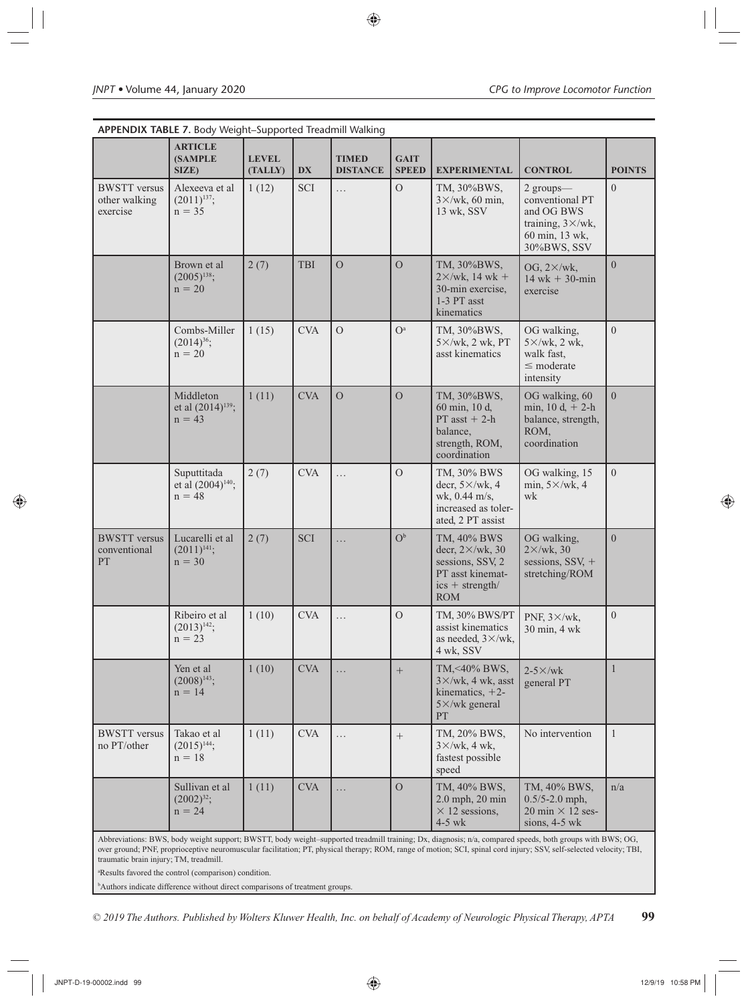|                                                  | <b>APPENDIX TABLE 7. Body Weight-Supported Treadmill Walking</b> |                         |               |                                 |                             |                                                                                                                    |                                                                                                          |                  |
|--------------------------------------------------|------------------------------------------------------------------|-------------------------|---------------|---------------------------------|-----------------------------|--------------------------------------------------------------------------------------------------------------------|----------------------------------------------------------------------------------------------------------|------------------|
|                                                  | <b>ARTICLE</b><br><b>(SAMPLE</b><br>SIZE)                        | <b>LEVEL</b><br>(TALLY) | $\mathbf{DX}$ | <b>TIMED</b><br><b>DISTANCE</b> | <b>GAIT</b><br><b>SPEED</b> | <b>EXPERIMENTAL</b>                                                                                                | <b>CONTROL</b>                                                                                           | <b>POINTS</b>    |
| <b>BWSTT</b> versus<br>other walking<br>exercise | Alexeeva et al<br>$(2011)^{137}$ ;<br>$n = 35$                   | 1(12)                   | SCI           | .                               | $\overline{O}$              | TM, 30%BWS,<br>$3 \times$ /wk, 60 min,<br>13 wk, SSV                                                               | 2 groups-<br>conventional PT<br>and OG BWS<br>training, $3 \times$ /wk,<br>60 min, 13 wk,<br>30%BWS, SSV | $\overline{0}$   |
|                                                  | Brown et al<br>$(2005)^{138}$ ;<br>$n = 20$                      | 2(7)                    | TBI           | $\overline{O}$                  | $\mathcal{O}$               | TM, 30%BWS,<br>$2 \times$ /wk, 14 wk +<br>30-min exercise,<br>1-3 PT asst<br>kinematics                            | OG, $2 \times$ /wk,<br>$14$ wk + 30-min<br>exercise                                                      | $\overline{0}$   |
|                                                  | Combs-Miller<br>$(2014)^{36}$ ;<br>$n = 20$                      | 1(15)                   | <b>CVA</b>    | $\mathcal{O}$                   | $\mathbf{O}^{\text{a}}$     | TM, 30%BWS,<br>$5 \times$ /wk, 2 wk, PT<br>asst kinematics                                                         | OG walking,<br>$5 \times$ /wk, 2 wk,<br>walk fast,<br>$\leq$ moderate<br>intensity                       | $\boldsymbol{0}$ |
|                                                  | Middleton<br>et al $(2014)^{139}$ ;<br>$n = 43$                  | 1(11)                   | <b>CVA</b>    | $\overline{O}$                  | $\overline{O}$              | TM, 30%BWS,<br>60 min, 10 d,<br>$PT$ asst + 2-h<br>balance,<br>strength, ROM,<br>coordination                      | OG walking, 60<br>min, $10 d + 2-h$<br>balance, strength,<br>ROM,<br>coordination                        | $\overline{0}$   |
|                                                  | Suputtitada<br>et al (2004) <sup>140</sup> ;<br>$n = 48$         | 2(7)                    | <b>CVA</b>    | .                               | $\overline{O}$              | TM, 30% BWS<br>decr, $5 \times$ /wk, 4<br>wk, $0.44 \text{ m/s}$ ,<br>increased as toler-<br>ated, 2 PT assist     | OG walking, 15<br>min, $5 \times$ /wk, 4<br>wk                                                           | $\overline{0}$   |
| <b>BWSTT</b> versus<br>conventional<br><b>PT</b> | Lucarelli et al<br>$(2011)^{141};$<br>$n = 30$                   | 2(7)                    | <b>SCI</b>    | .                               | $O^b$                       | TM, 40% BWS<br>decr, $2 \times$ /wk, 30<br>sessions, SSV, 2<br>PT asst kinemat-<br>$ics + strength/$<br><b>ROM</b> | OG walking,<br>$2 \times$ /wk, 30<br>sessions, SSV, +<br>stretching/ROM                                  | $\overline{0}$   |
|                                                  | Ribeiro et al<br>$(2013)^{142}$ ;<br>$n = 23$                    | 1(10)                   | <b>CVA</b>    | .                               | $\overline{O}$              | TM. 30% BWS/PT<br>assist kinematics<br>as needed, $3 \times$ /wk,<br>4 wk, SSV                                     | PNF, $3 \times$ /wk,<br>30 min, 4 wk                                                                     | $\overline{0}$   |
|                                                  | Yen et al<br>$(2008)^{143}$ ;<br>$n = 14$                        | 1(10)                   | <b>CVA</b>    | .                               | $^{+}$                      | TM, <40% BWS,<br>$3 \times$ /wk, 4 wk, asst<br>kinematics, $+2$ -<br>$5 \times$ /wk general<br>PT                  | $2-5 \times$ /wk<br>general PT                                                                           | $\mathbf{1}$     |
| <b>BWSTT</b> versus<br>no PT/other               | Takao et al<br>$(2015)^{144}$ ;<br>$n = 18$                      | 1(11)                   | <b>CVA</b>    | .                               | $\boldsymbol{+}$            | TM, 20% BWS,<br>$3 \times$ /wk, 4 wk,<br>fastest possible<br>speed                                                 | No intervention                                                                                          | $\mathbf{1}$     |
|                                                  | Sullivan et al<br>$(2002)^{32}$ ;<br>$n = 24$                    | 1(11)                   | <b>CVA</b>    | .                               | $\mathcal O$                | TM, 40% BWS,<br>$2.0$ mph, $20$ min<br>$\times$ 12 sessions,<br>$4-5$ wk                                           | TM, 40% BWS,<br>$0.5/5 - 2.0$ mph,<br>20 min $\times$ 12 ses-<br>sions, $4-5$ wk                         | n/a              |

Abbreviations: BWS, body weight support; BWSTT, body weight–supported treadmill training; Dx, diagnosis; n/a, compared speeds, both groups with BWS; OG, over ground; PNF, proprioceptive neuromuscular facilitation; PT, physical therapy; ROM, range of motion; SCI, spinal cord injury; SSV, self-selected velocity; TBI, traumatic brain injury; TM, treadmill.

a Results favored the control (comparison) condition.

b Authors indicate difference without direct comparisons of treatment groups.